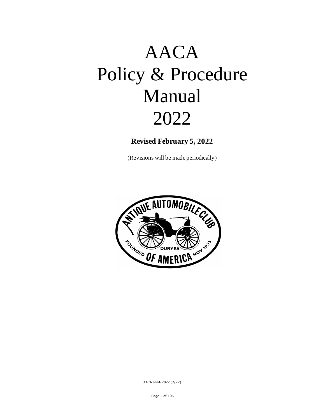# AACA Policy & Procedure Manual 2022

**Revised February 5, 2022**

(Revisions will be made periodically)

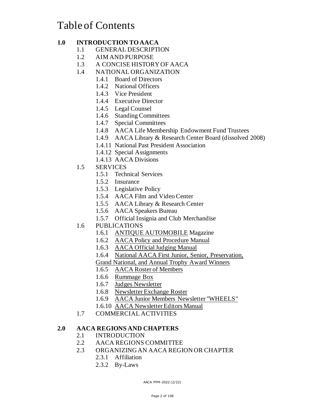# Table of Contents

# **1.0 INTRODUCTION TO AACA**

- 1.1 GENERAL DESCRIPTION
- 1.2 AIM AND PURPOSE
- 1.3 A CONCISE HISTORY OF AACA
- 1.4 NATIONAL ORGANIZATION
	- 1.4.1 Board of Directors
	- 1.4.2 National Officers
	- 1.4.3 Vice President
	- 1.4.4 Executive Director
	- 1.4.5 Legal Counsel
	- 1.4.6 Standing Committees
	- 1.4.7 Special Committees
	- 1.4.8 AACA Life Membership Endowment Fund Trustees
	- 1.4.9 AACA Library & Research Center Board (dissolved 2008)
	- 1.4.11 National Past President Association
	- 1.4.12 Special Assignments
	- 1.4.13 AACA Divisions
- 1.5 SERVICES
	- 1.5.1 Technical Services
	- 1.5.2 Insurance
	- 1.5.3 Legislative Policy
	- 1.5.4 AACA Film and Video Center
	- 1.5.5 AACA Library & Research Center
	- 1.5.6 AACA Speakers Bureau
	- 1.5.7 Official Insignia and Club Merchandise
- 1.6 PUBLICATIONS
	- 1.6.1 ANTIQUE AUTOMOBILE Magazine
	- 1.6.2 AACA Policy and Procedure Manual
	- 1.6.3 AACA Official Judging Manual
	- 1.6.4 National AACA First Junior, Senior, Preservation,
	- Grand National, and Annual Trophy Award Winners
	- 1.6.5 AACA Roster of Members
	- 1.6.6 Rummage Box
	- 1.6.7 Judges Newsletter
	- 1.6.8 Newsletter Exchange Roster
	- 1.6.9 AACA Junior Members Newsletter "WHEELS"
	- 1.6.10 AACA Newsletter Editors Manual
- 1.7 COMMERCIAL ACTIVITIES

#### **2.0 AACA REGIONS AND CHAPTERS**

- 2.1 INTRODUCTION
- 2.2 AACA REGIONS COMMITTEE
- 2.3 ORGANIZING AN AACA REGION OR CHAPTER
	- 2.3.1 Affiliation
	- 2.3.2 By-Laws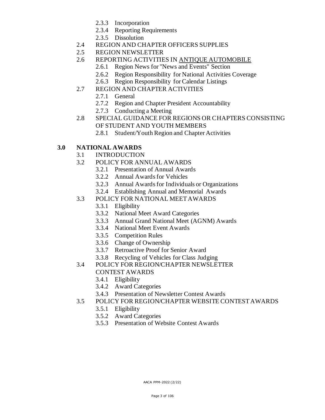- 2.3.3 Incorporation
- 2.3.4 Reporting Requirements
- 2.3.5 Dissolution
- 2.4 REGION AND CHAPTER OFFICERS SUPPLIES
- 2.5 REGION NEWSLETTER
- 2.6 REPORTING ACTIVITIES IN ANTIQUE AUTOMOBILE
	- 2.6.1 Region News for "News and Events" Section
	- 2.6.2 Region Responsibility for National Activities Coverage
	- 2.6.3 Region Responsibility for Calendar Listings
- 2.7 REGION AND CHAPTER ACTIVITIES
	- 2.7.1 General
	- 2.7.2 Region and Chapter President Accountability
	- 2.7.3 Conducting a Meeting
- 2.8 SPECIAL GUIDANCE FOR REGIONS OR CHAPTERS CONSISTING OF STUDENT AND YOUTH MEMBERS
	- 2.8.1 Student/Youth Region and Chapter Activities

# **3.0 NATIONAL AWARDS**

- 3.1 INTRODUCTION
- 3.2 POLICY FOR ANNUAL AWARDS
	- 3.2.1 Presentation of Annual Awards
	- 3.2.2 Annual Awards for Vehicles
	- 3.2.3 Annual Awards for Individuals or Organizations
	- 3.2.4 Establishing Annual and Memorial Awards
- 3.3 POLICY FOR NATIONAL MEET AWARDS
	- 3.3.1 Eligibility
	- 3.3.2 National Meet Award Categories
	- 3.3.3 Annual Grand National Meet (AGNM) Awards
	- 3.3.4 National Meet Event Awards
	- 3.3.5 Competition Rules
	- 3.3.6 Change of Ownership
	- 3.3.7 Retroactive Proof for Senior Award
	- 3.3.8 Recycling of Vehicles for Class Judging
- 3.4 POLICY FOR REGION/CHAPTER NEWSLETTER CONTEST AWARDS
	- 3.4.1 Eligibility
	- 3.4.2 Award Categories
	- 3.4.3 Presentation of Newsletter Contest Awards
- 3.5 POLICY FOR REGION/CHAPTER WEBSITE CONTEST AWARDS
	- 3.5.1 Eligibility
	- 3.5.2 Award Categories
	- 3.5.3 Presentation of Website Contest Awards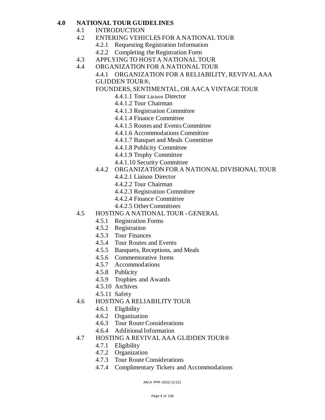#### **4.0 NATIONAL TOUR GUIDELINES**

- 4.1 INTRODUCTION
- 4.2 ENTERING VEHICLES FOR A NATIONAL TOUR
	- 4.2.1 Requesting Registration Information
	- 4.2.2 Completing the Registration Form
- 4.3 APPLYING TO HOST A NATIONAL TOUR
- 4.4 ORGANIZATION FOR A NATIONAL TOUR
	- 4.4.1 ORGANIZATION FOR A RELIABILITY, REVIVAL AAA GLIDDEN TOUR®,

FOUNDERS, SENTIMENTAL, OR AACA VINTAGE TOUR

- 4.4.1.1 Tour Liaison Director
- 4.4.1.2 Tour Chairman
- 4.4.1.3 Registration Committee
- 4.4.1.4 Finance Committee
- 4.4.1.5 Routes and Events Committee
- 4.4.1.6 Accommodations Committee
- 4.4.1.7 Banquet and Meals Committee
- 4.4.1.8 Publicity Committee
- 4.4.1.9 Trophy Committee
- 4.4.1.10 Security Committee
- 4.4.2 ORGANIZATION FOR A NATIONAL DIVISIONAL TOUR
	- 4.4.2.1 Liaison Director
	- 4.4.2.2 Tour Chairman
	- 4.4.2.3 Registration Committee
	- 4.4.2.4 Finance Committee
	- 4.4.2.5 Other Committees
- 4.5 HOSTING A NATIONAL TOUR GENERAL
	- 4.5.1 Registration Forms
	- 4.5.2 Registration
	- 4.5.3 Tour Finances
	- 4.5.4 Tour Routes and Events
	- 4.5.5 Banquets, Receptions, and Meals
	- 4.5.6 Commemorative Items
	- 4.5.7 Accommodations
	- 4.5.8 Publicity
	- 4.5.9 Trophies and Awards
	- 4.5.10 Archives
	- 4.5.11 Safety
- 4.6 HOSTING A RELIABILITY TOUR
	- 4.6.1 Eligibility
	- 4.6.2 Organization
	- 4.6.3 Tour Route Considerations
	- 4.6.4 Additional Information
- 4.7 HOSTING A REVIVAL AAA GLIDDEN TOUR®
	- 4.7.1 Eligibility
	- 4.7.2 Organization
	- 4.7.3 Tour Route Considerations
	- 4.7.4 Complimentary Tickets and Accommodations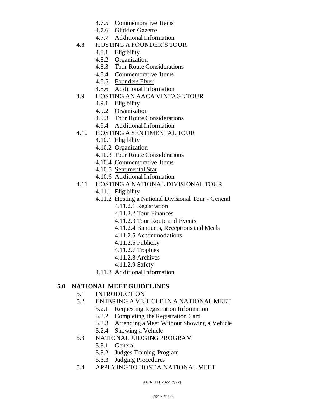- 4.7.5 Commemorative Items
- 4.7.6 Glidden Gazette
- 4.7.7 Additional Information
- 4.8 HOSTING A FOUNDER'S TOUR
	- 4.8.1 Eligibility
	- 4.8.2 Organization
	- 4.8.3 Tour Route Considerations
	- 4.8.4 Commemorative Items
	- 4.8.5 Founders Flyer
	- 4.8.6 Additional Information
- 4.9 HOSTING AN AACA VINTAGE TOUR
	- 4.9.1 Eligibility
	- 4.9.2 Organization
	- 4.9.3 Tour Route Considerations
	- 4.9.4 Additional Information
- 4.10 HOSTING A SENTIMENTAL TOUR
	- 4.10.1 Eligibility
	- 4.10.2 Organization
	- 4.10.3 Tour Route Considerations
	- 4.10.4 Commemorative Items
	- 4.10.5 Sentimental Star
	- 4.10.6 Additional Information
- 4.11 HOSTING A NATIONAL DIVISIONAL TOUR
	- 4.11.1 Eligibility
	- 4.11.2 Hosting a National Divisional Tour General
		- 4.11.2.1 Registration
		- 4.11.2.2 Tour Finances
		- 4.11.2.3 Tour Route and Events
		- 4.11.2.4 Banquets, Receptions and Meals
		- 4.11.2.5 Accommodations
		- 4.11.2.6 Publicity
		- 4.11.2.7 Trophies
		- 4.11.2.8 Archives
		- 4.11.2.9 Safety
	- 4.11.3 Additional Information

#### **5.0 NATIONAL MEET GUIDELINES**

- 5.1 INTRODUCTION
- 5.2 ENTERING A VEHICLE IN A NATIONAL MEET
	- 5.2.1 Requesting Registration Information
	- 5.2.2 Completing the Registration Card
	- 5.2.3 Attending a Meet Without Showing a Vehicle
	- 5.2.4 Showing a Vehicle
- 5.3 NATIONAL JUDGING PROGRAM
	- 5.3.1 General
	- 5.3.2 Judges Training Program
	- 5.3.3 Judging Procedures
- 5.4 APPLYING TO HOST A NATIONAL MEET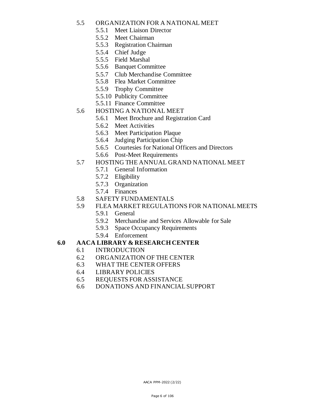#### 5.5 ORGANIZATION FOR A NATIONAL MEET

- 5.5.1 Meet Liaison Director
- 5.5.2 Meet Chairman
- 5.5.3 Registration Chairman
- 5.5.4 Chief Judge
- 5.5.5 Field Marshal
- 5.5.6 Banquet Committee
- 5.5.7 Club Merchandise Committee
- 5.5.8 Flea Market Committee
- 5.5.9 Trophy Committee
- 5.5.10 Publicity Committee
- 5.5.11 Finance Committee
- 5.6 HOSTING A NATIONAL MEET
	- 5.6.1 Meet Brochure and Registration Card
	- 5.6.2 Meet Activities
	- 5.6.3 Meet Participation Plaque
	- 5.6.4 Judging Participation Chip
	- 5.6.5 Courtesies for National Officers and Directors
	- 5.6.6 Post-Meet Requirements

#### 5.7 HOSTING THE ANNUAL GRAND NATIONAL MEET

- 5.7.1 General Information
- 5.7.2 Eligibility
- 5.7.3 Organization
- 5.7.4 Finances
- 5.8 SAFETY FUNDAMENTALS
- 5.9 FLEA MARKET REGULATIONS FOR NATIONAL MEETS
	- 5.9.1 General
	- 5.9.2 Merchandise and Services Allowable for Sale
	- 5.9.3 Space Occupancy Requirements
	- 5.9.4 Enforcement

#### **6.0 AACA LIBRARY & RESEARCH CENTER**

- 6.1 INTRODUCTION
- 6.2 ORGANIZATION OF THE CENTER
- 6.3 WHAT THE CENTER OFFERS
- 6.4 LIBRARY POLICIES
- 6.5 REQUESTS FOR ASSISTANCE
- 6.6 DONATIONS AND FINANCIAL SUPPORT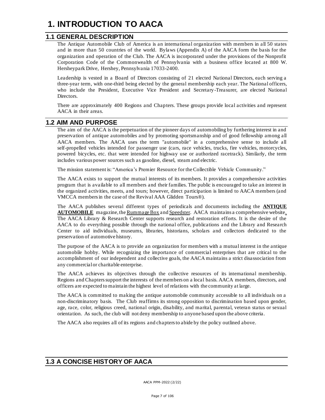# **1. INTRODUCTION TO AACA**

#### **1.1 GENERAL DESCRIPTION**

The Antique Automobile Club of America is an international organization with members in all 50 states and in more than 50 countries of the world. Bylaws (Appendix A) of the AACA form the basis for the organization and operation of the Club. The AACA is incorporated under the provisions of the Nonprofit Corporation Code of the Commonwealth of Pennsylvania with a business office located at 800 W. Hersheypark Drive, Hershey, Pennsylvania 17033-2400.

Leadership is vested in a Board of Directors consisting of 21 elected National Directors, each serving a three-year term, with one-third being elected by the general membership each year. The National officers, who include the President, Executive Vice President and Secretary-Treasurer, are elected National Directors.

There are approximately 400 Regions and Chapters. These groups provide local activities and represent AACA in their areas.

#### **1.2 AIM AND PURPOSE**

The aim of the AACA is the perpetuation of the pioneer days of automobiling by furthering interest in and preservation of antique automobiles and by promoting sportsmanship and of good fellowship among all AACA members. The AACA uses the term "automobile" in a comprehensive sense to include all self-propelled vehicles intended for passenger use (cars, race vehicles, trucks, fire vehicles, motorcycles, powered bicycles, etc. that were intended for highway use or authorized racetrack). Similarly, the term includes various power sources such as gasoline, diesel, steam and electric.

The mission statement is: "America's Premier Resource for the Collectible Vehicle Community."

The AACA exists to support the mutual interests of its members. It provides a comprehensive activities program that is available to all members and their families. The public is encouraged to take an interest in the organized activities, meets, and tours; however, direct participation is limited to AACA members (and VMCCA members in the case of the Revival AAA Glidden Tours®).

The AACA publishes several different types of periodicals and documents including the **ANTIQUE**  AUTOMOBILE magazine, the Rummage Box and Speedster. AACA maintains a comprehensive website. The AACA Library & Research Center supports research and restoration efforts. It is the desire of the AACA to do everything possible through the national office, publications and the Library and Research Center to aid individuals, museums, libraries, historians, scholars and collectors dedicated to the preservation of automotive history.

The purpose of the AACA is to provide an organization for members with a mutual interest in the antique automobile hobby. While recognizing the importance of commercial enterprises that are critical to the accomplishment of our independent and collective goals, the AACA maintains a strict disassociation from any commercial or charitable enterprise.

The AACA achieves its objectives through the collective resources of its international membership. Regions and Chapters support the interests of the members on a local basis. AACA members, directors, and officers are expected to maintain the highest level of relations with the community at large.

The AACA is committed to making the antique automobile community accessible to all individuals on a non-discriminatory basis. The Club reaffirms its strong opposition to discrimination based upon gender, age, race, color, religious creed, national origin, disability, and marital, parental, veteran status or sexual orientation. As such, the club will not deny membership to anyone based upon the above criteria.

The AACA also requires all of its regions and chapters to abide by the policy outlined above.

#### **1.3 A CONCISE HISTORY OF AACA**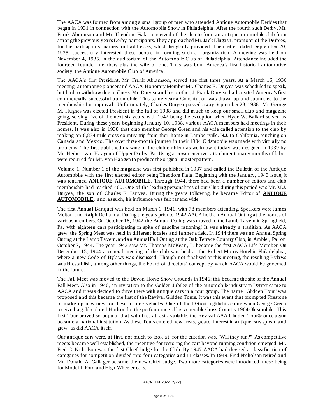The AACA was formed from among a small group of men who attended Antique Automobile Derbies that began in 1931 in connection with the Automobile Show in Philadelphia. After the fourth such Derby, Mr. Frank Abramson and Mr. Theodore Fiala conceived of the idea to form an antique automobile club from among the previous year's Derby participants. They approached Mr. Jack Dlugash, promoter of the De rbies, for the participants' names and addresses, which he gladly provided. Their letter, dated September 20, 1935, successfully interested these people in forming such an organization. A meeting was held on November 4, 1935, in the auditorium of the Automobile Club of Philadelphia. Attendance included the fourteen founder members plus the wife of one. Thus was born America's first historical automotive society, the Antique Automobile Club of America.

The AACA's first President, Mr. Frank Abramson, served the first three years. At a March 16, 1936 meeting, automotive pioneer and AACA Honorary Member Mr. Charles E. Duryea was scheduled to speak, but had to withdraw due to illness. Mr. Duryea and his brother, J. Frank Duryea, had created America's first commercially successful automobile. This same year a Constitution was drawn up and submitted to the membership for approval. Unfortunately, Charles Duryea passed away September 28, 1938. Mr. George M. Hughes was elected President in the fall of 1938 and did much to keep our small club and magazine going, serving five of the next six years, with 1942 being the exception when Hyde W. Ballard served as President. During these years beginning January 10, 1938, various AACA members had meetings in their homes. It was also in 1938 that club member George Green and his wife called attention to the club by making an 8,834-mile cross country trip from their home in Lambertville, N.J. to California, touching on Canada and Mexico. The over three-month journey in their 1904 Oldsmobile was made with virtually no problems. The first published drawing of the club emblem as we know it today was designed in 1939 by Mr. Herbert van Haagen of Upper Darby, Pa. Using a power engraver attachment, many months of labor were required for Mr. van Haagen to produce the original master pattern.

Volume 1, Number 1 of the magazine was first published in 1937 and called the Bulletin of the Antique Automobile with the first elected editor being Theodore Fiala. Beginning with the January, 1943 issue, it was renamed **ANTIQUE AUTOMOBILE**. Through 1944, there had been a number of editors and club membership had reached 400. One of the leading personalities of our Club during this period was Mr. M.J. Duryea, the son of Charles E. Duryea. During the years following, he became Editor of **ANTIQUE AUTOMOBILE**, and, as such, his influence was felt far and wide.

The first Annual Banquet was held on March 1, 1941, with 78 members attending. Speakers were James Melton and Ralph De Palma. During the years prior to 1942 AACA held an Annual Outing at the homes of various members. On October 18, 1942 the Annual Outing was moved to the Lamb Tavern in Springfield, Pa. with eighteen cars participating in spite of gasoline rationing! It was already a tradition. As AACA grew, the Spring Meet was held in different locales and farther afield. In 1944 there was an Annual Spring Outing at the Lamb Tavern, and an Annual Fall Outing at the Oak Terrace Country Club, in Ambler, Pa. on October 7, 1944. The year 1943 saw Mr. Thomas McKean, Jr. become the first AACA Life Member. On December 15, 1944 a general meeting of the club was held at the Robert Morris Hotel in Philadelphia, where a new Code of Bylaws was discussed. Though not finalized at this meeting, the resulting Bylaws would establish, among other things, the board of directors' concept by which AACA would be governed in the future.

The Fall Meet was moved to the Devon Horse Show Grounds in 1946; this became the site of the Annual Fall Meet. Also in 1946, an invitation to the Golden Jubilee of the automobile industry in Detroit came to AACA and it was decided to drive there with antique cars in a tour group. The name "Glidden Tour" was proposed and this became the first of the Revival Glidden Tours. It was this event that promp ted Firestone to make up new tires for these historic vehicles. One of the Detroit highlights came when George Green received a gold-colored Hudson for the performance of his venerable Cross Country 1904 Oldsmobile. This first Tour proved so popular that with tires at last available, the Revival AAA Glidden Tour® once again became a national institution. As these Tours entered new areas, greater interest in antique cars spread and grew, as did AACA itself.

Our antique cars were, at first, not much to look a t, for the criterion was, "Will they run?" As competitive meets became well established, the incentive for restoring the cars beyond running condition emerged. Mr. Fred C. Nicholson was the first Chief Judge for the Club. By 1947 AACA had devised a classification of categories for competition divided into four categories and 11 classes. In 1949, Fred Nicholson retired and Mr. Donald A. Gallager became the new Chief Judge. Two more categories were introduced, these being for Model T Ford and High Wheeler cars.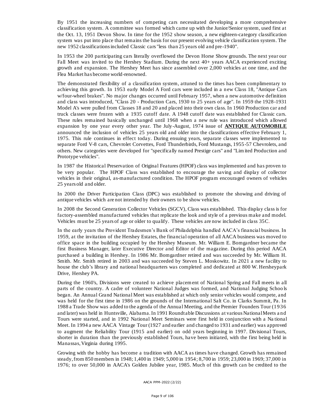By 1951 the increasing numbers of competing cars necessitated developing a more comprehensive classification system. A committee was formed which came up with the Junior/Senior system, used first at the Oct. 13, 1951 Devon Show. In time for the 1952 show season, a new eighteen-category classification system was put into place that remains the basis for our present evolving vehicle classification system. The new 1952 classifications included Classic cars "less than 25 years old and pre-1940".

In 1953 the 200 participating cars literally overflowed the Devon Horse Show grounds. The next year our Fall Meet was invited to the Hershey Stadium. During the next 40+ years AACA experienced exciting growth and expansion. The Hershey Meet has since assembled over 2,000 vehicles at one time, and the Flea Market has become world-renowned.

The demonstrated flexibility of a classification system, attuned to the times has been complimentary to achieving this growth. In 1953 early Model A Ford cars were included in a n ew Class 18, "Antique Cars w/four-wheel brakes". No major changes occurred until February 1957, when a new automotive definition and class was introduced, "Class 20 - Production Cars, 1930 to 25 years of age". In 1959 the 1928-1931 Model A's were pulled from Classes 18 and 20 and placed into their own class. In 1960 Production car and truck classes were frozen with a 1935 cutoff date. A 1948 cutoff date was established for Classic cars. These rules remained basically unchanged until 1968 when a new rule was introduced which allowed expansion by one year every other year. The July-August, 1974 issue of **ANTIQUE AUTOMOBILE** announced the inclusion of vehicles 25 years old and older into the classifications effective February 1, 1975. This rule continues in effect today. During ensuing years, separate classes were implemented to separate Ford V-8 cars, Chevrolet Corvettes, Ford Thunderbirds, Ford Mustangs, 1955-57 Chevrolets, and others. New categories were developed for "specifically named Prestige cars" and "Lim ited Production and Prototype vehicles".

In 1987 the Historical Preservation of Original Features (HPOF) class was implemented and has proven to be very popular. The HPOF Class was established to encourage the saving and display of collector vehicles in their original, as-manufactured condition. The HPOF program encouraged owners of vehicles 25 years old and older.

In 2000 the Driver Participation Class (DPC) was established to promote the showing and driving of antique vehicles which are not intended by their owners to be show vehicles.

In 2008 the Second Generation Collector Vehicles (SGCV), Class was established. This display class is for factory-assembled manufactured vehicles that replicate the look and style of a previous make and model. Vehicles must be 25 years of age or older to qualify. These vehicles are now included in class 35C.

In the early years the Provident Tradesmen's Bank of Philadelphia handled AACA's financial business. In 1959, at the invitation of the Hershey Estates, the financial operation of all AACA business was moved to office space in the building occupied by the Hershey Museum. Mr. William E. Bomgardner became the first Business Manager, later Executive Director and Editor of the magazine. During this period AACA purchased a building in Hershey. In 1986 Mr. Bomgardner retired and was succeeded by Mr. William H. Smith. Mr. Smith retired in 2003 and was succeeded by Steven L. Moskowitz. In 2021 a new facility to house the club's library and national headquarters was completed and dedicated at 800 W. Hersheypark Drive, Hershey PA.

During the 1960's, Divisions were created to achieve placement of National Spring and Fall meets in all parts of the country. A cadre of volunteer National Judges was formed, and National Judging Schoo ls began. An Annual Grand National Meet was established at which only senior vehicles would compete, and was held for the first time in 1986 on the grounds of the International Salt Co. in Clarks Summit, Pa. In 1988 a Trade Show was added to the agenda of the Annual Meeting, and the Premier Founders Tour (1936 and later) was held in Huntsville, Alabama. In 1991 Roundtable Discussions at various National Meets a nd Tours were started, and in 1992 National Meet Seminars were first held in conjunction with a Na tional Meet. In 1994 a new AACA Vintage Tour (1927 and earlier and changed to 1931 and earlier) was approved to augment the Reliability Tour (1915 and earlier) on odd years beginning in 1997. Divisional Tours, shorter in duration than the previously established Tours, have been initiated, with the first being held in Manassas, Virginia during 1995.

Growing with the hobby has become a tradition with AACA as times have changed. Growth has remained steady, from 850 members in 1948; 1,400 in 1949; 5,000 in 1954; 8,700 in 1959; 23,000 in 1969; 37,000 in 1976; to over 50,000 in AACA's Golden Jubilee year, 1985. Much of this growth can be credited to the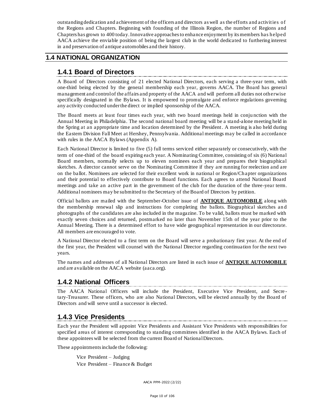outstanding dedication and achievement of the officers and directors as well as the efforts and activities of the Regions and Chapters. Beginning with founding of the Illinois Region, the number of Regions and Chapters has grown to 400 today. Innovative approaches to enhance enjoyment by its members has helped AACA achieve the enviable position of being the largest club in the world dedicated to furthering interest in and preservation of antique automobiles and their history.

#### **1.4 NATIONAL ORGANIZATION**

## **1.4.1 Board of Directors**

A Board of Directors consisting of 21 elected National Directors, each serving a three-year term, with one-third being elected by the general membership each year, governs AACA. The Board has general management and control of the affairs and property of the AACA and will perform all duties not otherwise specifically designated in the Bylaws. It is empowered to promulgate and enforce regulations governing any activity conducted under the direct or implied sponsorship of the AACA.

The Board meets at least four times each year, with two board meetings held in conju nction with the Annual Meeting in Philadelphia. The second national board meeting will be a stand-alone meeting held in the Spring at an appropriate time and location determined by the President. A meeting is also held during the Eastern Division Fall Meet at Hershey, Pennsylvania. Additional meetings may be called in accordance with rules in the AACA Bylaws (Appendix A).

Each National Director is limited to five (5) full terms serviced either separately or consecutively, with the term of one-third of the board expiring each year. A Nominating Committee, consisting of six (6) National Board members, normally selects up to eleven nominees each year and prepares their biographical sketches. A director cannot serve on the Nominating Committee if they are running for reelection and are on the ballot. Nominees are selected for their excellent work in national or Region/Chapter organizations and their potential to effectively contribute to Board functions. Each agrees to attend National Board meetings and take an active part in the government of the club for the duration of the three-year term. Additional nominees may be submitted to the Secretary of the Board of Directors by petition.

Official ballots are mailed with the September-October issue of **ANTIQUE AUTOMOBILE** along with the membership renewal slip and instructions for completing the ballots. Biographical sketches an d photographs of the candidates are also included in the magazine. To be valid, ballots must be marked with exactly seven choices and returned, postmarked no later than November 15th of the year prior to the Annual Meeting. There is a determined effort to have wide geographical representation in our directorate. All members are encouraged to vote.

A National Director elected to a first term on the Board will serve a probationary first year. At the end of the first year, the President will counsel with the National Director regarding continuation for the next two years.

The names and addresses of all National Directors are listed in each issue of **ANTIQUE AUTOMOBILE**  and are available on the AACA website (aaca.org).

#### **1.4.2 National Officers**

The AACA National Officers will include the President, Executive Vice President, and Secre tary-Treasurer. These officers, who are also National Directors, will be elected annually by the Board of Directors and will serve until a successor is elected.

# **1.4.3 Vice Presidents**

Each year the President will appoint Vice Presidents and Assistant Vice Presidents with responsibilities for specified areas of interest corresponding to standing committees identified in the AACA Bylaws. Each of these appointees will be selected from the current Board of National Directors.

These appointments include the following:

Vice President – Judging Vice President – Finance & Budget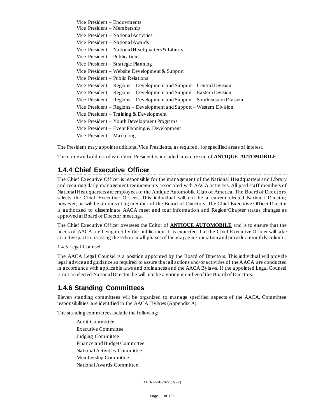Vice President – Endowments Vice President – Membership Vice President – National Activities Vice President – National Awards Vice President – National Headquarters & Library Vice President – Publications Vice President – Strategic Planning Vice President – Website Development & Support Vice President – Public Relations Vice President – Regions – Development and Support – Central Division Vice President – Regions – Development and Support – Eastern Division Vice President – Regions – Development and Support – Southeastern Division Vice President – Regions – Development and Support – Western Division Vice President – Training & Development Vice President – Youth Development Programs Vice President – Event Planning & Development Vice President – Marketing

The President may appoint additional Vice Presidents, as required, for specified areas of interest.

The name and address of each Vice President is included in each issue of **ANTIQUE AUTOMOBILE**.

#### **1.4.4 Chief Executive Officer**

The Chief Executive Officer is responsible for the management of the National Headquarters and Library and recurring daily management requirements associated with AACA activities. All paid staff members of National Headquarters are employees of the Antique Automobile Club of America. The Board of Directors selects the Chief Executive Officer. This individual will not be a current elected National Director; however, he will be a non-voting member of the Board of Directors. The Chief Executive Officer Director is authorized to disseminate AACA meet and tour information and Region/Chapter status changes as approved at Board of Director meetings.

The Chief Executive Officer oversees the Editor of **ANTIQUE AUTOMOBILE** and is to ensure that the needs of AACA are being met by the publication. It is expected that the Chief Executive Officer will take an active part in assisting the Editor in all phases of the magazine operation and provide a month ly column.

1.4.5 Legal Counsel

The AACA Legal Counsel is a position appointed by the Board of Directo rs. This individual will provide legal advice and guidance as required to assure that all actions and/or activities of the AACA are conducted in accordance with applicable laws and ordinances and the AACA Bylaws. If the appointed Legal Counsel is not an elected National Director he will not be a voting member of the Board of Directors.

#### **1.4.6 Standing Committees**

Eleven standing committees will be organized to manage specified aspects of the AACA. Committee responsibilities are identified in the AACA Bylaws (Appendix A).

The standing committees include the following:

Audit Committee Executive Committee Judging Committee Finance and Budget Committee National Activities Committee Membership Committee National Awards Committee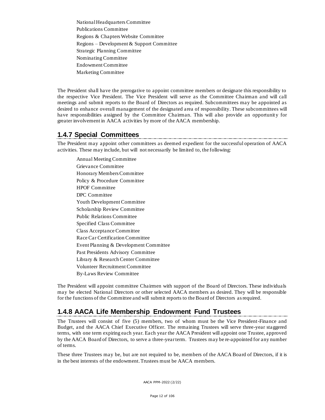National Headquarters Committee Publications Committee Regions & Chapters Website Committee Regions – Development & Support Committee Strategic Planning Committee Nominating Committee Endowment Committee Marketing Committee

The President shall have the prerogative to appoint committee members or designate this responsibility to the respective Vice President. The Vice President will serve as the Committee Chairman and will call meetings and submit reports to the Board of Directors as required. Subcommittees may be appointed as desired to enhance overall management of the designated area of responsibility. These subcommittees will have responsibilities assigned by the Committee Chairman. This will also provide an opportunit y for greater involvement in AACA activities by more of the AACA membership.

#### **1.4.7 Special Committees**

The President may appoint other committees as deemed expedient for the successful operation of AACA activities. These may include, but will not necessarily be limited to, the following:

Annual Meeting Committee Grievance Committee Honorary Members Committee Policy & Procedure Committee HPOF Committee DPC Committee Youth Development Committee Scholarship Review Committee Public Relations Committee Specified Class Committee Class Acceptance Committee Race Car Certification Committee Event Planning & Development Committee Past Presidents Advisory Committee Library & Research Center Committee Volunteer Recruitment Committee By-Laws Review Committee

The President will appoint committee Chairmen with support of the Board of Directors. These individuals may be elected National Directors or other selected AACA members as desired. They will be responsible for the functions of the Committee and will submit reports to the Board of Directors as required.

# **1.4.8 AACA Life Membership Endowment Fund Trustees**

The Trustees will consist of five (5) members, two of whom must be the Vice President-Finance and Budget, and the AACA Chief Executive Officer. The remaining Trustees will serve three-year staggered terms, with one term expiring each year. Each year the AACA President will appoint one Trustee, approved by the AACA Board of Directors, to serve a three-year term. Trustees may be re-appointed for any number of terms.

These three Trustees may be, but are not required to be, members of the AACA Board of Directors, if it is in the best interests of the endowment. Trustees must be AACA members.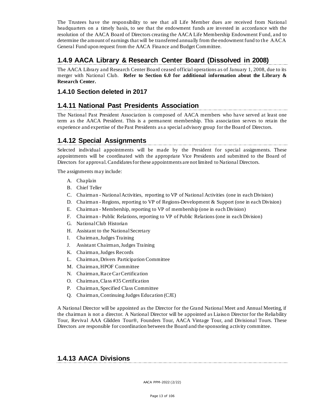The Trustees have the responsibility to see that all Life Member dues are received from National headquarters on a timely basis, to see that the endowment funds are invested in accordance with the resolution of the AACA Board of Directors creating the AACA Life Membership Endowment Fund, and to determine the amount of earnings that will be transferred annually from the endowment fund to the AACA General Fund upon request from the AACA Finance and Budget Committee.

#### **1.4.9 AACA Library & Research Center Board (Dissolved in 2008)**

The AACA Library and Research Center Board ceased official operations as of January 1, 2008, due to its merger with National Club. **Refer to Section 6.0 for additional information about the Library & Research Center.**

#### **1.4.10 Section deleted in 2017**

#### **1.4.11 National Past Presidents Association**

The National Past President Association is composed of AACA members who have served at least one term as the AACA President. This is a permanent membership. This association serves to retain the experience and expertise of the Past Presidents as a special advisory group for the Board of Directors.

#### **1.4.12 Special Assignments**

Selected individual appointments will be made by the President for special assignments. These appointments will be coordinated with the appropriate Vice Presidents and submitted to the Board of Directors for approval. Candidates for these appointments are not limited to National Directors.

The assignments may include:

- A. Chaplain
- B. Chief Teller
- C. Chairman National Activities, reporting to VP of National Activities (one in each Division)
- D. Chairman Regions, reporting to VP of Regions-Development & Support (one in each Division)
- E. Chairman Membership, reporting to VP of membership (one in each Division)
- F. Chairman Public Relations, reporting to VP of Public Relations (one in each Division)
- G. National Club Historian
- H. Assistant to the National Secretary
- I. Chairman, Judges Training
- J. Assistant Chairman, Judges Training
- K. Chairman, Judges Records
- L. Chairman, Drivers Participation Committee
- M. Chairman, HPOF Committee
- N. Chairman, Race Car Certification
- O. Chairman, Class #35 Certification
- P. Chairman, Specified Class Committee
- Q. Chairman, Continuing Judges Education (CJE)

A National Director will be appointed as the Director for the Grand National Meet and Annual Meeting, if the chairman is not a director. A National Director will be appointed as Liaiso n Director for the Reliability Tour, Revival AAA Glidden Tour®, Founders Tour, AACA Vintage Tour, and Divisional Tours. These Directors are responsible for coordination between the Board and the sponsoring activity committee.

#### **1.4.13 AACA Divisions**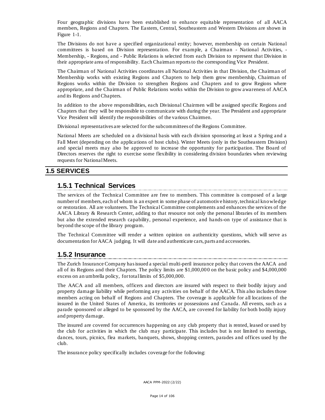Four geographic divisions have been established to enhance equitable representation of all AACA members, Regions and Chapters. The Eastern, Central, Southeastern and Western Divisions are shown in Figure 1-1.

The Divisions do not have a specified organizational entity; however, membership on certain National committees is based on Division representation. For example, a Chairman - National Activities, - Membership, - Regions, and - Public Relations is selected from each Division to represent that Division in their appropriate area of responsibility. Each Chairman reports to the corresponding Vice President.

The Chairman of National Activities coordinates all National Activities in that Division, the Chairman of Membership works with existing Regions and Chapters to help them grow membership, Chairman of Regions works within the Division to strengthen Regions and Chapters and to grow Regions where appropriate, and the Chairman of Public Relations works within the Division to grow awareness of AACA and its Regions and Chapters.

In addition to the above responsibilities, each Divisional Chairmen will be assigned specific Regions and Chapters that they will be responsible to communicate with during the year. The President and appropriate Vice President will identify the responsibilities of the various Chairmen.

Divisional representatives are selected for the subcommittees of the Regions Committee.

National Meets are scheduled on a divisional basis with each division sponsoring at least a Spring and a Fall Meet (depending on the applications of host clubs). Winter Meets (only in the Southeastern Division) and special meets may also be approved to increase the opportunity for participation. The Board of Directors reserves the right to exercise some flexibility in considering division boundaries when reviewing requests for National Meets.

#### **1.5 SERVICES**

# **1.5.1 Technical Services**

The services of the Technical Committee are free to members. This committee is composed of a large number of members, each of whom is an expert in some phase of automotive history, technical knowledge or restoration. All are volunteers. The Technical Committee complements and enhances the services of the AACA Library & Research Center, adding to that resource not only the personal libraries of its members but also the extended research capability, personal experience, and hands-on type of assistance that is beyond the scope of the library program.

The Technical Committee will render a written opinion on authenticity questions, which will serve as documentation for AACA judging. It will date and authenticate cars, parts and accessories.

# **1.5.2 Insurance**

The Zurich Insurance Company has issued a special multi-peril insurance policy that covers the AACA and all of its Regions and their Chapters. The policy limits are \$1,000,000 on the basic policy and \$4,000,000 excess on an umbrella policy, for total limits of \$5,000,000.

The AACA and all members, officers and directors are insured with respect to their bodily injury and property damage liability while performing any activities on behalf of the AACA. This also includes those members acting on behalf of Regions and Chapters. The coverage is applicable for all locations of the insured in the United States of America, its territories or possessions and Canada. All events, such as a parade sponsored or alleged to be sponsored by the AACA, are covered for liability for both bodily injury and property damage.

The insured are covered for occurrences happening on any club property that is rented, leased or used by the club for activities in which the club may participate. This includes but is not limited to meetings, dances, tours, picnics, flea markets, banquets, shows, shopping centers, parades and offices used by the club.

The insurance policy specifically includes coverage for the following: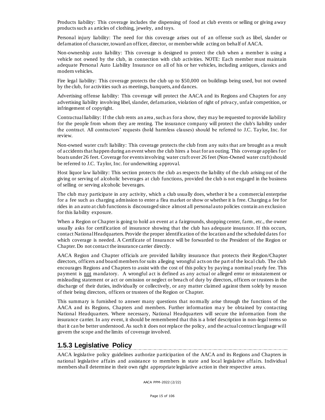Products liability: This coverage includes the dispensing of food at club events or selling or giving away products such as articles of clothing, jewelry, and toys.

Personal injury liability: The need for this coverage arises out of an offense such as libel, slander or defamation of character, toward an officer, director, or member while acting on behalf of AACA.

Non-ownership auto liability: This coverage is designed to protect the club when a member is using a vehicle not owned by the club, in connection with club activities. NOTE: Each member must maintain adequate Personal Auto Liability Insurance on all of his or her vehicles, including antiques, classics and modern vehicles.

Fire legal liability: This coverage protects the club up to \$50,000 on buildings being used, but not owned by the club, for activities such as meetings, banquets, and dances.

Advertising offense liability: This coverage will protect the AACA and its Regions and Chapters for any advertising liability involving libel, slander, defamation, violation of right of privacy, unfair competition, or infringement of copyright.

Contractual liability: If the club rents an area , such as for a show, they may be requested to provide liability for the people from whom they are renting. The insurance company will protect the club's liability under the contract. All contractors' requests (hold harmless clauses) should be referred to J.C. Taylor, Inc. for review.

Non-owned water craft liability: This coverage protects the club from any suits that are brought as a result of accidents that happen during an event when the club hires a boat for an outing. This coverage applies for boats under 26 feet. Coverage for events involving water craft over 26 feet (Non-Owned water craft) should be referred to J.C. Taylor, Inc. for underwriting a pproval.

Host liquor law liability: This section protects the club as respects the liability of the club arising out of the giving or serving of alcoholic beverages at club functions, provided the club is not engaged in the business of selling or serving alcoholic beverages.

The club may participate in any activity, which a club usually does, whether it be a commercial enterprise for a fee such as charging admission to enter a flea market or show or whether it is free. Charging a fee for rides in an auto at club functions is discouraged since almost all personal auto policies contain an exclusion for this liability exposure.

When a Region or Chapter is going to hold an event at a fairgrounds, shopping center, farm, etc., the owner usually asks for certification of insurance showing that the club has adequate insurance. If this occurs, contact National Headquarters. Provide the proper identification of the location and the scheduled dates for which coverage is needed. A Certificate of Insurance will be forwarded to the President of the Region or Chapter. Do not contact the insurance carrier directly.

AACA Region and Chapter officials are provided liability insurance that protects their Region/Chapter directors, officers and board members for suits alleging wrongful acts on the part of the local club. The club encourages Regions and Chapters to assist with the cost of this policy by paying a nominal yearly fee. This payment is not mandatory. A wrongful act is defined as any actual or alleged error or misstatement or misleading statement or act or omission or neglect or breach of duty by directors, officers or trustees in the discharge of their duties, individually or collectively, or any matter claimed against them solely by reason of their being directors, officers or trustees of the Region or Chapter.

This summary is furnished to answer many questions that normally arise through the functions of the AACA and its Regions, Chapters and members. Further information ma y be obtained by contacting National Headquarters. Where necessary, National Headquarters will secure the information from the insurance carrier. In any event, it should be remembered that this is a brief description in non-legal terms so that it can be better understood. As such it does not replace the policy, and the actual contract language will govern the scope and the limits of coverage involved.

#### **1.5.3 Legislative Policy**

AACA legislative policy guidelines authorize participation of the AACA and its Regions and Chapters in national legislative affairs and assistance to members in state and local legislative affairs. Individual members shall determine in their own right appropriate legislative action in their respective areas.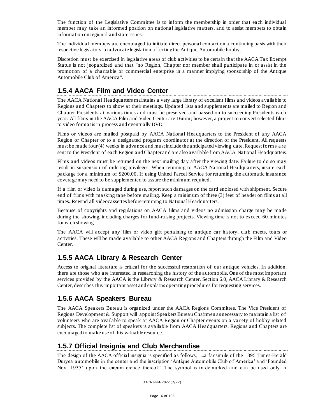The function of the Legislative Committee is to inform the membership in order that each individual member may take an informed position on national legislative matters, and to assist members to obtain information on regional and state issues.

The individual members are encouraged to initiate direct personal contact on a continuing basis with their respective legislators to advocate legislation affecting the Antique Automobile hobby.

Discretion must be exercised in legislative areas of club activities to be certain that the AACA Tax Exempt Status is not jeopardized and that "no Region, Chapter nor member shall participate in or assist in the promotion of a charitable or commercial enterprise in a manner implying sponsorship of the Antique Automobile Club of America".

#### **1.5.4 AACA Film and Video Center**

The AACA National Headquarters maintains a very large library of excellent films and videos available to Regions and Chapters to show at their meetings. Updated lists and supplements are mailed to Region and Chapter Presidents at various times and must be preserved and passed on to succeeding Presidents each year. All films in the AACA Film and Video Center are 16mm; however, a project to convert selected films to video format is in process and eventually DVD.

Films or videos are mailed postpaid by AACA National Headquarters to the President of any AACA Region or Chapter or to a designated program coordinator at the direction of the President. All requests must be made four (4) weeks in advance and must include the anticipated viewing date. Request form s a re sent to the President of each Region and Chapter and are also available from AACA National Headquarters.

Films and videos must be returned on the next mailing day after the viewing date. Failure to do so may result in suspension of ordering privileges. When returning to AACA National Headquarters, insure each package for a minimum of \$200.00. If using United Parcel Service for returning, the automatic insurance coverage may need to be supplemented to assure the minimum required.

If a film or video is damaged during use, report such damages on the card enclosed with shipment. Secure end of films with masking tape before mailing. Keep a minimum of three (3) feet of header on films at all times. Rewind all videocassettes before returning to National Headquarters.

Because of copyrights and regulations on AACA films and videos no admission charge may be made during the showing, including charges for fund-raising projects. Viewing time is not to exceed 60 minutes for each showing.

The AACA will accept any film or video gift pertaining to antique car history, club meets, tours or activities. These will be made available to other AACA Regions and Chapters through the Film and Video Center.

#### **1.5.5 AACA Library & Research Center**

Access to original literature is critical for the successful restoration of our antique vehicles. In addition, there are those who are interested in researching the history of the automobile. One of the most important services provided by the AACA is the Library & Research Center. Section 6.0, AACA Library & Research Center, describes this important asset and explains operating procedures for requesting services.

#### **1.5.6 AACA Speakers Bureau**

The AACA Speakers Bureau is organized under the AACA Regions Committee. The Vice President of Regions Development & Support will appoint Speakers Bureau Chairmen as necessary to maintain a list of volunteers who are available to speak at AACA Region or Chapter events on a variety of hobby related subjects. The complete list of speakers is available from AACA Headquarters. Regions and Chapters are encouraged to make use of this valuable resource.

#### **1.5.7 Official Insignia and Club Merchandise**

The design of the AACA official insignia is specified as follows, "...a facsimile of the 1895 Times-Herald Duryea automobile in the center and the inscription 'Antique Automobile Club o f America' and 'Founded Nov. 1935' upon the circumference thereof." The symbol is trademarked and can be used only in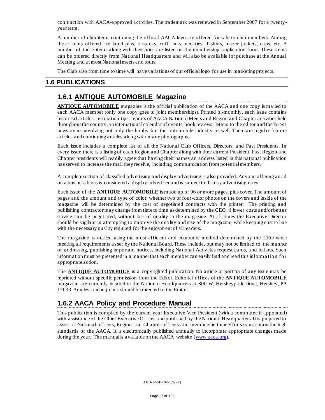conjunction with AACA-approved activities. The trademark was renewed in September 2007 for a twentyyear term.

A number of club items containing the official AACA logo are offered for sale to club members. Among those items offered are lapel pins, tie-tacks, cuff links, neckties, T-shirts, blazer jackets, caps, etc. A number of these items along with their price are listed on the membership application form. These items can be ordered directly from National Headquarters and will also be available for purchase at the Annual Meeting and at most National meets and tours.

The Club also from time to time will have variations of our official logo for use in marketing projects.

#### **1.6 PUBLICATIONS**

## **1.6.1 ANTIQUE AUTOMOBILE Magazine**

**ANTIQUE AUTOMOBILE** magazine is the official publication of the AACA and one copy is mailed to each AACA member (only one copy goes to joint memberships). Printed bi-monthly, each issue contains historical articles, restoration tips, reports of AACA National Meets and Region and Chapter activities held throughout the country, an international calendar of events, book reviews, letters to the editor and the latest news items involving not only the hobby but the automobile industry as well. There are regula r feature articles and continuing articles along with many photographs.

Each issue includes a complete list of all the National Club Officers, Directors, and Past Presidents. In every issue there is a listing of each Region and Chapter along with their current President. Past Region and Chapter presidents will readily agree that having their names an address listed in this national publication has served to increase the mail they receive, including communication from potential members.

A complete section of classified advertising and display advertising is also provided. Anyone offering an ad on a business basis is considered a display advertiser and is subject to display advertising rates.

Each issue of the **ANTIQUE AUTOMOBILE** is made up of 96 or more pages, plus cover. The amount of pages and the amount and type of color, whether two or four-color photos on the covers and inside of the magazine will be determined by the cost of negotiated contracts with the printer. The printing and publishing contractor may change from time to time as determined by the CEO, if lower costs and/or better service can be negotiated, without loss of quality in the magazine. At all times the Executive Director should be vigilant in attempting to improve the qua lity and size of the magazine, while keeping cost in line with the necessary quality required for the enjoyment of all readers.

The magazine is mailed using the most efficient and economic method determined by the CEO while meeting all requirements as set by the National Board. These include, but may not be limited to, the manner of addressing, publishing important notices, including National Activities request cards, and ballots. Such information must be presented in a manner that each member can easily find and read this information for appropriate action.

The **ANTIQUE AUTOMOBILE** is a copyrighted publication. No article or portion of any issue may be reprinted without specific permission from the Editor. Editorial offices of the **ANTIQUE AUTOMOBILE** magazine are currently located in the National Hea dquarters at 800 W. Hersheypark Drive, Hershey, PA 17033. Articles and inquiries should be directed to the Editor.

# **1.6.2 AACA Policy and Procedure Manual**

This publication is compiled by the current year Executive Vice President (with a committee if appointed) with assistance of the Chief Executive Officer and published by the National Headquarters. It is prepared to assist all National officers, Region and Chapter officers and members in their efforts to maintain the high standards of the AACA. It is electronically published annually to incorporate appropriate changes made during the year. The manual is available on the AACA website [\(www.aaca.org\)](http://www.aaca.org/).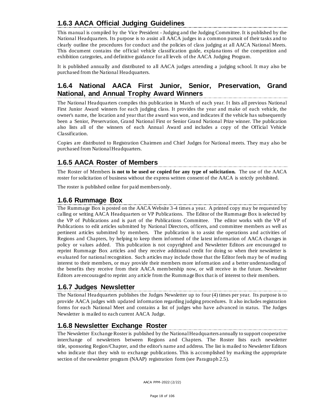# **1.6.3 AACA Official Judging Guidelines**

This manual is compiled by the Vice President - Judging and the Judging Committee. It is published by the National Headquarters. Its purpose is to assist all AACA judges in a common pursuit of their tasks and to clearly outline the procedures for conduct and the policies of class judging at all AACA National Meets. This document contains the official vehicle classification guide, explana tions of the competition and exhibition categories, and definitive guidance for all levels of the AACA Judging Program.

It is published annually and distributed to all AACA judges attending a judging school. It may also be purchased from the National Headquarters.

# **1.6.4 National AACA First Junior, Senior, Preservation, Grand National, and Annual Trophy Award Winners**

The National Headquarters compiles this publication in March of each year. It lists all previous National First Junior Award winners for each judging class. It provides the year and make of each vehicle, the owner's name, the location and year that the award was won, and indicates if the vehicle has subsequently been a Senior, Preservation, Grand National First or Senior Grand National Prize winner. The publication also lists all of the winners of each Annual Award and includes a copy of the Official Vehicle Classification.

Copies are distributed to Registration Chairmen and Chief Judges for National meets. They may also be purchased from National Headquarters.

# **1.6.5 AACA Roster of Members**

The Roster of Members **is not to be used or copied for any type of solicitation.** The use of the AACA roster for solicitation of business without the express written consent of the AACA is strictly prohibited.

The roster is published online for paid members only.

#### **1.6.6 Rummage Box**

The Rummage Box is posted on the AACA Website 3-4 times a year. A printed copy may be requested by calling or writing AACA Headquarters or VP Publications. The Editor of the Rummage Box is selected by the VP of Publications and is part of the Publications Committee. The editor works with the VP of Publications to edit articles submitted by National Directors, officers, and committee members as well as pertinent articles submitted by members. The publication is to assist the operations and activities of Regions and Chapters, by helping to keep them informed of the latest information of AACA changes in policy or values added. This publication is not copyrighted and Newsletter Editors are encouraged to reprint Rummage Box articles and they receive additional credit for doing so when their newsletter is evaluated for national recognition. Such articles may include those that the Editor feels may be of reading interest to their members, or may provide their members more information and a better understanding of the benefits they receive from their AACA membership now, or will receive in the future. Newsletter Editors are encouraged to reprint any article from the Rummage Box that is of interest to their members.

#### **1.6.7 Judges Newsletter**

The National Headquarters publishes the Judges Newsletter up to four (4) times per year. Its purpose is to provide AACA judges with updated information regarding judging procedures. It also includes registration forms for each National Meet and contains a list of judges who have advanced in status. The Judges Newsletter is mailed to each current AACA Judge.

#### **1.6.8 Newsletter Exchange Roster**

The Newsletter Exchange Roster is published by the National Headquarters annually to support cooperative interchange of newsletters between Regions and Chapters. The Roster lists each newsletter title, sponsoring Region/Chapter, and the editor's name and address. The list is mailed to Newsletter Editors who indicate that they wish to exchange publications. This is accomplished by marking the appropriate section of the newsletter program (NAAP) registration form (see Paragraph 2.5).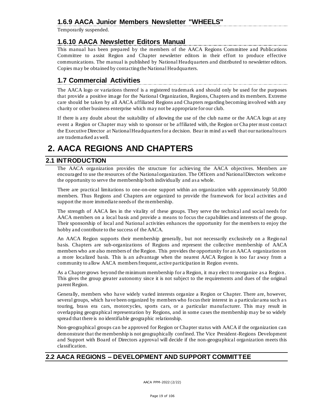# **1.6.9 AACA Junior Members Newsletter "WHEELS"**

Temporarily suspended.

#### **1.6.10 AACA Newsletter Editors Manual**

This manual has been prepared by the members of the AACA Regions Committee and Publications Committee to assist Region and Chapter newsletter editors in their effort to produce effective communications. The manual is published by National Headquarters and distributed to newsletter editors. Copies may be obtained by contacting the National Headquarters.

# **1.7 Commercial Activities**

The AACA logo or variations thereof is a registered trademark and should only be used for the purposes that provide a positive image for the National Organization, Regions, Chapters and its members. Extreme care should be taken by all AACA affiliated Regions and Chapters regarding becoming involved with any charity or other business enterprise which may not be appropriate for our club.

If there is any doubt about the suitability of allowing the use of the club name or the AACA logo at any event a Region or Chapter may wish to sponsor or be affiliated with, the Region or Cha pter must contact the Executive Director at National Headquarters for a decision. Bear in mind as well that our national tours are trademarked as well.

# **2. AACA REGIONS AND CHAPTERS**

#### **2.1 INTRODUCTION**

The AACA organization provides the structure for achieving the AACA objectives. Members are encouraged to use the resources of the National organization. The Officers and National Directors welcom e the opportunity to serve the membership both individually and as a whole.

There are practical limitations to one-on-one support within an organization with approximately 50,000 members. Thus Regions and Chapters are organized to provide the framework for local activities an d support the more immediate needs of the membership.

The strength of AACA lies in the vitality of these groups. They serve the technical and social needs for AACA members on a local basis and provide a means to focus the capabilities and interests of the group. Their sponsorship of local and National activities enhances the opportunity for the members to enjoy the hobby and contribute to the success of the AACA.

An AACA Region supports their membership generally, but not necessarily exclusively on a Regio nal basis. Chapters are sub-organizations of Regions and represent the collective membership of AACA members who are also members of the Region. This provides the opportunity for an AACA organization on a more localized basis. This is an advantage when the nearest AACA Region is too far away from a community to allow AACA members frequent, active participation in Region events.

As a Chapter grows beyond the minimum membership for a Region, it may elect to reorganize as a Region. This gives the group greater autonomy since it is not subject to the requirements and dues of the original parent Region.

Generally, members who have widely varied interests organize a Region or Chapter. There are, however, several groups, which have been organized by members who focus their interest in a particular area such a s touring, brass era cars, motorcycles, sports cars, or a particular manufacturer. This may result in overlapping geographical representation by Regions, and in some cases the membership may be so widely spread that there is no identifiable geographic relationship.

Non-geographical groups can be approved for Region or Chapter status with AACA if the organization can demonstrate that the membership is not geographically confined. The Vice President-Regions Development and Support with Board of Directors approval will decide if the non-geographical organization meets this classification.

# **2.2 AACA REGIONS – DEVELOPMENT AND SUPPORT COMMITTEE**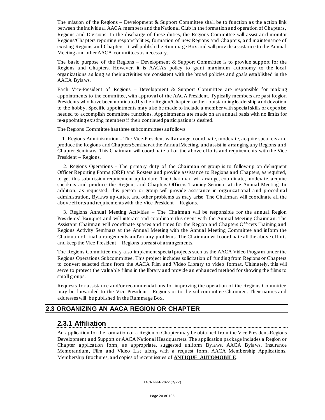The mission of the Regions – Development  $&$  Support Committee shall be to function as the action link between the individual AACA members and the National Club in the formation and operation of Chapters, Regions and Divisions. In the discharge of these duties, the Regions Committee will assist and monitor Regions/Chapters reporting responsibilities, formation of new Regions and Chapters, a nd maintenance of existing Regions and Chapters. It will publish the Rummage Box and will provide assistance to the Annual Meeting and other AACA committees as necessary.

The basic purpose of the Regions – Development & Support Committee is to provide support for the Regions and Chapters. However, it is AACA's policy to grant maximum autonomy to the local organizations as long as their activities are consistent with the broad policies and goals established in the AACA Bylaws.

Each Vice-President of Regions – Development & Support Committee are responsible for making appointments to the committee, with approval of the AACA President. Typically members are past Region Presidents who have been nominated by their Region/Chapter for their outstanding leadership a nd devotion to the hobby. Specific appointments may also be made to include a member with special skills or expertise needed to accomplish committee functions. Appointments are made on an annual basis with no limits for re-appointing existing members if their continued participation is desired.

The Regions Committee has three subcommittees as follows:

 1. Regions Administration - The Vice-President will arrange, coordinate, moderate, acquire speakers and produce the Regions and Chapters Seminar at the Annual Meeting, and assist in arranging any Regions and Chapter Seminars. This Chairman will coordinate all of the above efforts and requirements with the Vice President – Regions.

 2. Regions Operations - The primary duty of the Chairman or group is to follow-up on delinquent Officer Reporting Forms (ORF) and Rosters and provide assistance to Regions and Chapters, as required, to get this submission requirement up to date. The Chairman will arrange, coordinate, moderate, acquire speakers and produce the Regions and Chapters Officers Training Seminar at the Annual Meeting. In addition, as requested, this person or group will provide assistance in organizational a nd procedural administration, Bylaws up-dates, and other problems as may arise. The Chairman will coordinate all the above efforts and requirements with the Vice President – Regions.

 3. Regions Annual Meeting Activities – The Chairman will be responsible for the annual Region Presidents' Banquet and will interact and coordinate this event with the Annual Meeting Chairman. The Assistant Chairman will coordinate spaces and times for the Region and Chapters Officers Training and Regions Activity Seminars at the Annual Meeting with the Annual Meeting Committee and inform the Chairman of final arrangements and\or any problems. The Chairman will coordinate all the above efforts and keep the Vice President – Regions abreast of arrangements.

The Regions Committee may also implement special projects such as the AACA Video Program under the Regions Operations Subcommittee. This project includes solicitation of funding from Regions or Chapters to convert selected films from the AACA Film and Video Library to video format. Ultimately, this will serve to protect the valuable films in the library and provide an enhanced method for showing the films to small groups.

Requests for assistance and/or recommendations for improving the operation of the Regions Committee may be forwarded to the Vice President - Regions or to the subcommittee Chairmen. Their names and addresses will be published in the Rummage Box.

#### **2.3 ORGANIZING AN AACA REGION OR CHAPTER**

#### **2.3.1 Affiliation**

An application for the formation of a Region or Chapter may be obtained from the Vice President-Regions Development and Support or AACA National Headquarters. The application package includes a Region or Chapter application form, as appropriate, suggested uniform Bylaws, AACA Bylaws, Insurance Memorandum, Film and Video List along with a request form, AACA Membership Applications, Membership Brochures, and copies of recent issues of **ANTIQUE AUTOMOBILE**.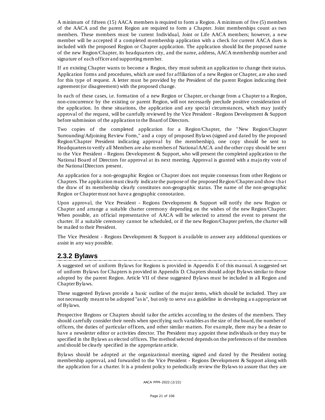A minimum of fifteen (15) AACA members is required to form a Region. A minimum of five (5) members of the AACA and the parent Region are required to form a Chapter. Joint memberships count as two members. These members must be current Individual, Joint or Life AACA members; however, a n ew member will be accepted if a completed membership application with a check for current AACA dues is included with the proposed Region or Chapter application. The application should list the proposed name of the new Region/Chapter, its headquarters city, and the name, address, AACA membership number and signature of each officer and supporting member.

If an existing Chapter wants to become a Region, they must submit an application to change their status. Application forms and procedures, which are used for affiliation of a new Region or Chapter, a re also used for this type of request. A letter must be provided by the President of the parent Region indicating their agreement (or disagreement) with the proposed change.

In each of these cases, i.e. formation of a new Region or Chapter, or change from a Chapter to a Region, non-concurrence by the existing or parent Region, will not necessarily preclude positive consideration of the application. In these situations, the application and any special circumstances, which may justify approval of the request, will be carefully reviewed by the Vice President - Regions Development & Support before submission of the application to the Board of Directors.

Two copies of the completed application for a Region/Chapter, the "New Region/Chapter Surrounding/Adjoining Review Form," and a copy of proposed Bylaws (signed and dated by the proposed Region/Chapter President indicating approval by the membership), one copy should be sent to Headquarters to verify all Members are also members of National AACA and the other copy should be sent to the Vice President - Regions Development & Support, who will present the completed application to the National Board of Directors for approval at its next meeting. Approval is granted with a majo rity vote of the National Directors present.

An application for a non-geographic Region or Chapter does not require consensus from other Regions or Chapters. The application must clearly indicate the purpose of the proposed Region/Chapter and show tha t the draw of its membership clearly constitutes non-geographic status. The name of the non-geographic Region or Chapter must not have a geographic connotation.

Upon approval, the Vice President - Regions Development & Support will notify the new Region or Chapter and arrange a suitable charter ceremony depending on the wishes of the new Region/Chapter. When possible, an official representative of AACA will be selected to attend the event to present the charter. If a suitable ceremony cannot be scheduled, or if the new Region/Chapter prefers, the charter will be mailed to their President.

The Vice President - Regions Development & Support is available to answer any additional questions or assist in any way possible.

#### **2.3.2 Bylaws**

A suggested set of uniform Bylaws for Regions is provided in Appendix E of this manual. A suggested set of uniform Bylaws for Chapters is provided in Appendix D. Chapters should adopt Bylaws similar to those adopted by the parent Region. Article VII of these suggested Bylaws must be included in all Region and Chapter Bylaws.

These suggested Bylaws provide a ba sic outline of the major items, which should be included. They are not necessarily meant to be adopted "as is", but only to serve as a guideline in developing a n appropriate set of Bylaws.

Prospective Regions or Chapters should tailor the articles according to the desires of the members. They should carefully consider their needs when specifying such variables as the size of the board, the number of officers, the duties of particular officers, and other similar matters. For example, there may be a desire to have a newsletter editor or activities director. The President may appoint these individuals or they may be specified in the Bylaws as elected officers. The method selected depends on the preferences of the members and should be clearly specified in the appropriate article.

Bylaws should be adopted at the organizational meeting, signed and dated by the President noting membership approval, and forwarded to the Vice President - Regions Development & Support along with the application for a charter. It is a prudent policy to periodically review the Bylaws to assure that they are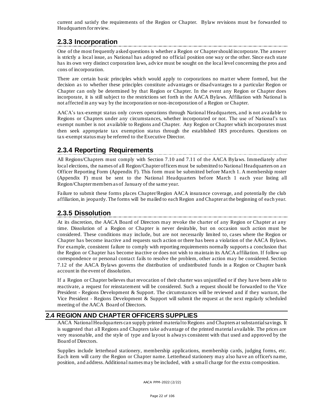current and satisfy the requirements of the Region or Chapter. Bylaw revisions must be forwarded to Headquarters for review.

# **2.3.3 Incorporation**

One of the most frequently asked questions is whether a Region or Chapter should incorporate. The answer is strictly a local issue, as National has adopted no official position one way or the other. Since each state has its own very distinct corporation laws, advice must be sought on the local level concerning the pros and cons of incorporation.

There are certain basic principles which would apply to corporations no matter where formed, but the decision as to whether these principles constitute advantages or disadvantages to a particular Region or Chapter can only be determined by that Region or Chapter. In the event any Region or Chapter does incorporate, it is still subject to the restrictions set forth in the AACA Bylaws. Affiliation with National is not affected in any way by the incorporation or non-incorporation of a Region or Chapter.

AACA's tax-exempt status only covers operations through National Headquarters, and is not available to Regions or Chapters under any circumstances, whether incorporated or not. The use of National's tax exempt number is not available to Regions and Chapter. Any Region or Chapter which incorporates must then seek appropriate tax exemption status through the established IRS procedures. Questions on tax-exempt status may be referred to the Executive Director.

# **2.3.4 Reporting Requirements**

All Regions/Chapters must comply with Section 7.10 and 7.11 of the AACA Bylaws. Immediately after local elections, the names of all Region/Chapter officers must be submitted to National Headquarters on a n Officer Reporting Form (Appendix F). This form must be submitted before March 1. A membership roster (Appendix F) must be sent to the National Headquarters before March 1 each year listing all Region/Chapter members as of January of the same year.

Failure to submit these forms places Chapter/Region AACA insurance coverage, and potentially the club affiliation, in jeopardy. The forms will be mailed to each Region and Chapter at the beginning of each year.

## **2.3.5 Dissolution**

At its discretion, the AACA Board of Directors may revoke the charter of any Region or Chapter at any time. Dissolution of a Region or Chapter is never desirable, but on occasion such action must be considered. These conditions may include, but are not necessarily limited to, cases where the Region or Chapter has become inactive and requests such action or there has been a violation of the AACA Bylaws. For example, consistent failure to comply with reporting requirements normally supports a conclusion that the Region or Chapter has become inactive or does not wish to maintain its AACA affiliation. If follow-up correspondence or personal contact fails to resolve the problem, other action may be considered. Section 7.12 of the AACA Bylaws governs the distribution of undistributed funds in a Region or Chapter bank account in the event of dissolution.

If a Region or Chapter believes that revocation of their charter was unjustified or if they have been able to reactivate, a request for reinstatement will be considered. Such a request should be forwarded to the Vice President - Regions Development & Support. The circumstances will be reviewed and if they warrant, the Vice President - Regions Development & Support will submit the request at the next regularly scheduled meeting of the AACA Board of Directors.

#### **2.4 REGION AND CHAPTER OFFICERS SUPPLIES**

AACA National Headquarters can supply printed material to Regions and Chapters at substantial savings. It is suggested that all Regions and Chapters take advantage of the printed material available. The prices are very reasonable, and the style of type and layout is always consistent with that used and approved by the Board of Directors.

Supplies include letterhead stationery, membership applications, membership cards, judging forms, etc. Each item will carry the Region or Chapter name. Letterhead stationery may also have an officer's name, position, and address. Additional names may be included, with a small charge for the extra composition.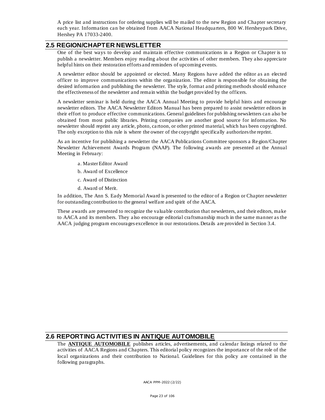A price list and instructions for ordering supplies will be mailed to the new Region and Chapter secretary each year. Informa tion can be obtained from AACA National Headquarters, 800 W. Hersheypark Drive, Hershey PA 17033-2400.

#### **2.5 REGION/CHAPTER NEWSLETTER**

One of the best ways to develop and maintain effective communications in a Region or Chapter is to publish a newsletter. Members enjoy reading about the activities of other members. They also appreciate helpful hints on their restoration efforts and reminders of upcoming events.

A newsletter editor should be appointed or elected. Many Regions have added the editor as an elected officer to improve communications within the organization. The editor is responsible for obtaining the desired information and publishing the newsletter. The style, format and printing methods should enhance the effectiveness of the newsletter and remain within the budget provided by the officers.

A newsletter seminar is held during the AACA Annual Meeting to provide helpful hints and encourage newsletter editors. The AACA Newsletter Editors Manual has been prepared to assist newsletter editors in their effort to produce effective communications. General guidelines for publishing newsletters can also be obtained from most public libraries. Printing companies are another good source for information. No newsletter should reprint any article, photo, ca rtoon, or other printed material, which has been copyrighted. The only exception to this rule is where the owner of the copyright specifically authorizes the reprint.

As an incentive for publishing a newsletter the AACA Publications Committee sponsors a Region/Chapter Newsletter Achievement Awards Program (NAAP). The following awards are presented at the Annual Meeting in February:

- a. Master Editor Award
- b. Award of Excellence
- c. Award of Distinction
- d. Award of Merit.

In addition, The Ann S. Eady Memorial Award is presented to the editor of a Region or Chapter newsletter for outstanding contribution to the general welfare and spirit of the AACA.

These awards are presented to recognize the valuable contribution that newsletters, and their editors, make to AACA and its members. They a lso encourage editorial craftsmanship much in the same manner as the AACA judging program encourages excellence in our restorations. Details are provided in Section 3.4.

#### **2.6 REPORTING ACTIVITIES IN ANTIQUE AUTOMOBILE**

The **ANTIQUE AUTOMOBILE** publishes articles, advertisements, and calendar listings related to the activities of AACA Regions and Chapters. This editorial policy recognizes the importance of the role of the local organizations and their contribution to National. Guidelines for this policy are contained in the following paragraphs.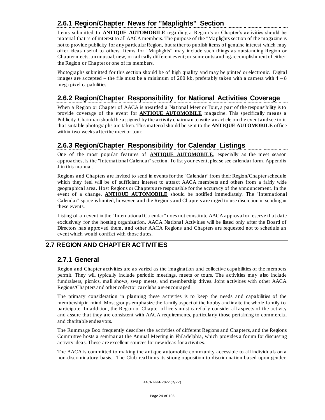# **2.6.1 Region/Chapter News for "Maplights" Section**

Items submitted to **ANTIQUE AUTOMOBILE** regarding a Region's or Chapter's activities should be material that is of interest to all AACA members. The purpose of the "Maplights section of the magazine is not to provide publicity for any particular Region, but rather to publish items o f genuine interest which may offer ideas useful to others. Items for "Maplights" may include such things as outstanding Region or Chapter meets; an unusual, new, or radically different event; or some outstanding accomplishment of either the Region or Chapter or one of its members.

Photographs submitted for this section should be of high quality and may be printed or electronic. Digital images are accepted – the file must be a minimum of 200 kb, preferably taken with a camera with  $4 - 8$ mega pixel capabilities.

# **2.6.2 Region/Chapter Responsibility for National Activities Coverage**

When a Region or Chapter of AACA is awarded a National Meet or Tour, a part of the responsibility is to provide coverage of the event for **ANTIQUE AUTOMOBILE** magazine. This specifically means a Publicity Chairman should be assigned by the activity chairman to write an article on the event and see to it that suitable photographs are taken. This material should be sent to the **ANTIQUE AUTOMOBILE** office within two weeks after the meet or tour.

# **2.6.3 Region/Chapter Responsibility for Calendar Listings**

One of the most popular features of **ANTIQUE AUTOMOBILE**, especially as the meet season approaches, is the "International Calendar" section. To list your event, please see calendar form, Appendix J in this manual.

Regions and Chapters are invited to send in events for the "Calendar" from their Region/Chapter schedule which they feel will be of sufficient interest to attract AACA members and others from a fairly wide geographical area. Host Regions or Chapters are responsible for the accuracy of the announcement. In the event of a change, **ANTIQUE AUTOMOBILE** should be notified immediately. The "International Calendar" space is limited, however, and the Regions and Chapters are urged to use discretion in sending in these events.

Listing of an event in the "International Calendar" does not constitute AACA approval or reserve that date exclusively for the hosting organization. AACA National Activities will be listed only after the Board of Directors has approved them, and other AACA Regions and Chapters are requested not to schedule an event which would conflict with those dates.

#### **2.7 REGION AND CHAPTER ACTIVITIES**

#### **2.7.1 General**

Region and Chapter activities are as varied as the imagination and collective capabilities of the members permit. They will typically include periodic meetings, meets or tours. The activities may also include fundraisers, picnics, mall shows, swap meets, and membership drives. Joint activities with other AACA Regions/Chapters and other collector car clubs are encouraged.

The primary consideration in planning these activities is to keep the needs and capabilities of the membership in mind. Most groups emphasize the family aspect of the hobby and invite the whole family to participate. In addition, the Region or Chapter officers must caref ully consider all aspects of the activity and assure that they are consistent with AACA requirements, particularly those pertaining to commercial and charitable endeavors.

The Rummage Box frequently describes the activities of different Regions and Chapte rs, and the Regions Committee hosts a seminar at the Annual Meeting in Philadelphia, which provides a forum for discussing activity ideas. These are excellent sources for new ideas for activities.

The AACA is committed to making the antique automobile community accessible to all individuals on a non-discriminatory basis. The Club reaffirms its strong opposition to discrimination based upon gender,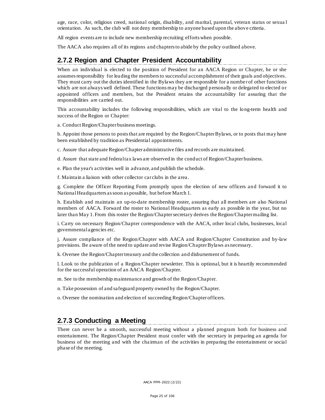age, race, color, religious creed, national origin, disability, and marital, parental, veteran status or sexua l orientation. As such, the club will not deny membership to anyone based upon the above criteria.

All region events are to include new membership recruiting efforts when possible.

The AACA also requires all of its regions and chapters to abide by the policy outlined above.

#### **2.7.2 Region and Chapter President Accountability**

When an individual is elected to the position of President for an AACA Region or Chapter, he or she assumes responsibility for leading the members to successful accomplishment of their goals and objectives. They must carry out the duties identified in the Bylaws they are responsible for a number of other functions which are not always well defined. These functions may be discharged personally or delegated to elected or appointed officers and members, but the President retains the accountability for assuring that the responsibilities are carried out.

This accountability includes the following responsibilities, which are vital to the lo ng-term health and success of the Region or Chapter:

a. Conduct Region/Chapter business meetings.

b. Appoint those persons to posts that are required by the Region/Chapter Bylaws, or to posts that may have been established by tradition as Presidential appointments.

c. Assure that adequate Region/Chapter administrative files and records are maintained.

d. Assure that state and federal tax laws are observed in the conduct of Region/Chapter business.

e. Plan the year's activities well in advance, and publish the schedule.

f. Maintain a liaison with other collector car clubs in the area.

g. Complete the Officer Reporting Form promptly upon the election of new officers and forward it to National Headquarters as soon as possible, but before March 1.

h. Establish and maintain an up-to-date membership roster, assuring that all members are also National members of AACA. Forward the roster to National Headquarters as early as possible in the year, but no later than May 1. From this roster the Region/Chapter secretary derives the Region/Chapter mailing list.

i. Carry on necessary Region/Chapter correspondence with the AACA, other local clubs, businesses, local governmental agencies etc.

j. Assure compliance of the Region/Chapter with AACA and Region/Chapter Constitution and by-law provisions. Be aware of the need to update and revise Region/Chapter Bylaws as necessary.

k. Oversee the Region/Chapter treasury and the collection and disbursement of funds.

l. Look to the publication of a Region/Chapter newsletter. This is optional, but it is heartily recommended for the successful operation of an AACA Region/Chapter.

m. See to the membership maintenance and growth of the Region/Chapter.

n. Take possession of and safeguard property owned by the Region/Chapter.

o. Oversee the nomination and election of succeeding Region/Chapter officers.

# **2.7.3 Conducting a Meeting**

There can never be a smooth, successful meeting without a planned program both for business and entertainment. The Region/Chapter President must confer with the secretary in preparing an agenda for business of the meeting and with the cha irman of the activities in preparing the entertainment or social phase of the meeting.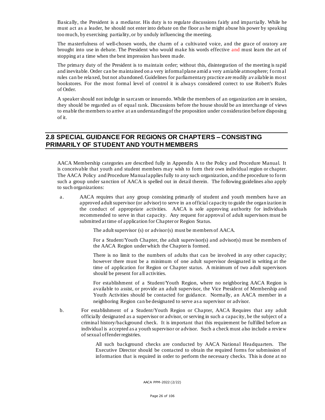Basically, the President is a mediator. His duty is to regulate discussions fairly and impartially. While he must act as a leader, he should not enter into debate on the floor as he might abuse his power by speaking too much, by exercising partiality, or by unduly influencing the meeting.

The masterfulness of well-chosen words, the charm of a cultivated voice, and the grace of oratory are brought into use in debate. The President who would make his words effective and must learn the art of stopping at a time when the best impression has been made.

The primary duty of the President is to maintain order; without this, disintegration of the meeting is rapid and inevitable. Order can be maintained on a very informal plane amid a very amiable atmosphere; f orm al rules can be relaxed, but not abandoned. Guidelines for parliamentary practice are readily av ailable in mo st bookstores. For the most formal level of control it is always considered correct to use Robert's Rules of Order.

A speaker should not indulge in sa rcasm or innuendo. While the members of an organization are in session, they should be rega rded as of equal rank. Discussions before the house should be an interchange of views to enable the members to arrive at an understanding of the proposition under co nsideration before disposing of it.

#### **2.8 SPECIAL GUIDANCE FOR REGIONS OR CHAPTERS – CONSISTING PRIMARILY OF STUDENT AND YOUTH MEMBERS**

AACA Membership categories are described fully in Appendix A to the Policy and Procedure Manual. It is conceivable that youth and student members may wish to form their own individual region or chapter. The AACA Policy and Procedure Manual applies fully to any such organization, and the procedure to form such a group under sanction of AACA is spelled out in detail therein. The following guidelines also apply to such organizations:

a. AACA requires that any group consisting primarily of student and youth members have an approved adult supervisor (or advisor) to serve in an official capacity to guide the organ ization in the conduct of appropriate activities. AACA is sole approving authority for individuals recommended to serve in that capacity. Any request for approval of adult supervisors must be submitted at time of application for Chapter or Region Status.

The adult supervisor (s) or advisor (s) must be members of AACA.

For a Student/Youth Chapter, the adult supervisor(s) and advisor(s) must be members of the AACA Region under which the Chapter is formed.

There is no limit to the numbers of adults that can be involved in any other capacity; however there must be a minimum of one adult supervisor designated in writing at the time of application for Region or Chapter status. A minimum of two adult supervisors should be present for a ll activities.

For establishment of a Student/Youth Region, where no neighboring AACA Region is available to assist, or provide an adult supervisor, the Vice President of Membership and Youth Activities should be contacted for guidance. Normally, an AACA member in a neighboring Region can be designated to serve as a supervisor or advisor.

b. For establishment of a Student/Youth Region or Chapter, AACA Requires that any adult officially designated as a supervisor or advisor, or serving in such a capacity, be the subject of a criminal history/background check. It is important that this requirement be fulfilled before an individual is accepted as a youth supervisor or advisor. Such a check must also include a review of sexual offender registries.

> All such background checks are conducted by AACA National Headquarters. The Executive Director should be contacted to obtain the required forms for submission of information that is required in order to perform the necessary checks. This is done at no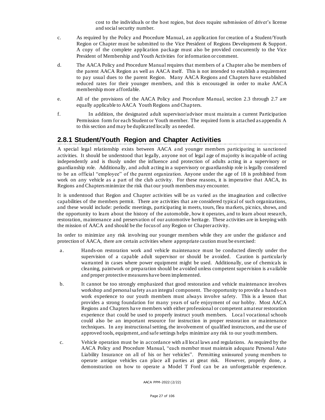cost to the individuals or the host region, but does require submission of driver's license and social security number.

- c. As required by the Policy and Procedure Manual, an application for creation of a Student/Youth Region or Chapter must be submitted to the Vice President of Regions Development & Support. A copy of the complete application package must also be provided concurrently to the Vice President of Membership and Youth Activities for information or comment.
- d. The AACA Policy and Procedure Manual requires that members of a Chapter also be members of the parent AACA Region as well as AACA itself. This is not intended to establish a requirement to pay usual dues to the parent Region. Many AACA Regions and Chapters have established reduced rates for their younger members, and this is encouraged in order to make AACA membership more affordable.
- e. All of the provisions of the AACA Policy and Procedure Manual, section 2.3 through 2.7 are equally applicable to AACA Youth Regions and Chapters.
- f. In addition, the designated adult supervisor/advisor must maintain a current Participation Permission form for each Student or Youth member. The required form is attached as appendix A to this section and may be duplicated locally as needed.

# **2.8.1 Student/Youth Region and Chapter Activities**

A special legal relationship exists between AACA a nd younger members participating in sanctioned activities. It should be understood that legally, anyone not of legal age of majority is incapable of acting independently and is thusly under the influence and protection of adults acting in a supervisory or guardianship role. Additionally, and adult acting in a supervisory or guardianship role is legally considered to be an official "employee" of the parent organization. Anyone under the age of 18 is prohibited from work on any vehicle as a part of the club activity. For these reasons, it is imperative that AACA, its Regions and Chapters minimize the risk that our youth members may encounter.

It is understood that Region and Chapter activities will be as varied as the imagination and collective capabilities of the members permit. There are activities that are considered typical of such organizations, and these would include: periodic meetings, participating in meets, tours, flea markets, picnics, shows, and the opportunity to learn about the history of the automobile, how it operates, and to learn about research, restoration, maintenance and preservation of our automotive heritage. These activities are in keeping with the mission of AACA and should be the focus of any Region or Chapter activity.

In order to minimize any risk involving our younger members while they are under the guidance and protection of AACA, there are certain activities where appropriate caution must be exercised:

- a. Hands-on restoration work and vehicle maintenance must be conducted directly under the supervision of a capable adult supervisor or should be avoided. Caution is particularly warranted in cases where power equipment might be used. Additionally, use of chemicals in cleaning, paintwork or preparation should be avoided unless competent supe rvision is available and proper protective measures have been implemented.
- b. It cannot be too strongly emphasized that good restoration and vehicle maintenance involves workshop and personal safety as an integral component. The opportunity to provide a hand s-on work experience to our youth members must always involve safety. This is a lesson that provides a strong foundation for many years of safe enjoyment of our hobby. Most AACA Regions and Chapters have members with either professional or competent amat eur restoration experience that could be used to properly instruct youth members. Loca l vocational schools could also be an important resource for instruction in proper restoration or maintenance techniques. In any instructional setting, the involvement of qualified instructors, and the use of approved tools, equipment, and safe settings helps minimize any risk to our youth members.
- c. Vehicle operation must be in accordance with a ll local laws and regulations. As required by the AACA Policy and Procedure Manual, "each member must maintain adequate Personal Auto Liability Insurance on all of his or her vehicles". Permitting uninsured young members to operate antique vehicles can place all parties at great risk. However, properly done, a demonstration on how to operate a Model T Ford can be an unforgettable experience.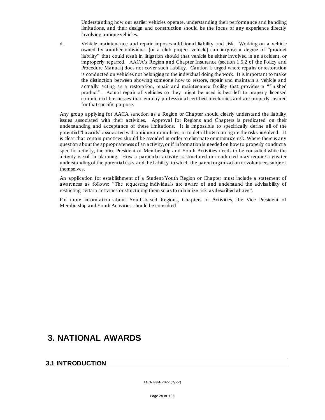Understanding how our earlier vehicles operate, understanding their performance and handling limitations, and their design and construction should be the focus of any experience directly involving antique vehicles.

d. Vehicle maintenance and repair imposes additional liability and risk. Working on a vehicle owned by another individual (or a club project vehicle) can impose a degree of "product liability" that could result in litigation should that vehicle be either involved in an accident, or improperly repaired. AACA's Region and Chapter Insurance (section 1.5.2 of the Policy and Procedure Manual) does not cover such liability. Caution is urged where repairs or restoration is conducted on vehicles not belonging to the individual doing the work. It is important to make the distinction between showing someone how to restore, repair and maintain a vehicle and actually acting as a restoration, repair and maintenance facility that provides a "finished product". Actual repair of vehicles so they might be used is best left to properly licensed commercial businesses that employ professional certified mechanics and are properly insured for that specific purpose.

Any group applying for AACA sanction as a Region or Chapter should clearly understand the liability issues associated with their activities. Approval for Regions and Chapters is predicated on their understanding and acceptance of these limitations. It is impossible to specifically define all of the potential "hazards" associated with antique automobiles, or to detail how to mitigate the risks involved. I t is clear that certain practices should be avoided in order to eliminate or minimize risk. Where there is any question about the appropriateness of an activity, or if information is needed on how to p roperly conduct a specific activity, the Vice President of Membership and Youth Activities needs to be consulted while the activity is still in planning. How a particular activity is structured or conducted may require a greater understanding of the potential risks and the liability to which the parent organization or volunteers subject themselves.

An application for establishment of a Student/Youth Region or Chapter must include a statement of awareness as follows: "The requesting individuals are aware of and understand the advisability of restricting certain activities or structuring them so as to minimize risk as described above".

For more information about Youth-based Regions, Chapters or Activities, the Vice President of Membership and Youth Activities should be consulted.

# **3. NATIONAL AWARDS**

#### **3.1 INTRODUCTION**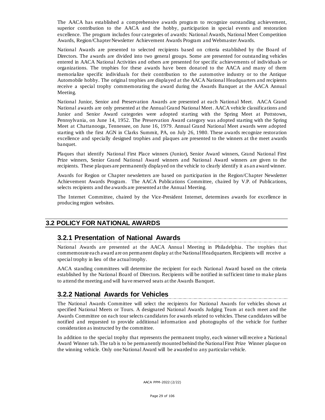The AACA has established a comprehensive awards progra m to recognize outstanding achievement, superior contribution to the AACA and the hobby, participation in special events and restoration excellence. The program includes four categories of awards: National Awards, National Meet Competition Awards, Region/Chapter Newsletter Achievement Awards Program and Webmaster Awards.

National Awards are presented to selected recipients based on criteria established by the Board of Directors. The awards are divided into two general groups. Some are presented for outstand ing vehicles entered in AACA National Activities and others are presented for specific achievements of individuals or organizations. The trophies for these awards have been donated to the AACA and many of them memorialize specific individuals for their contribution to the automotive industry or to the Antique Automobile hobby. The original trophies are displayed at the AACA National Headquarters and recipients receive a special trophy commemorating the award during the Awards Banquet at the AACA Annual Meeting.

National Junior, Senior and Preservation Awards are presented at each National Meet. AACA Grand National awards are only presented at the Annual Grand National Meet. AACA vehicle classifications and Junior and Senior Award categories were adopted starting with the Spring Meet at Pottstown, Pennsylvania, on June 14, 1952. The Preservation Award category was adopted starting with the Spring Meet at Chattanooga, Tennessee, on June 16, 1979. Annual Grand National Meet awards were adopted starting with the first AGN in Clarks Summit, PA, on July 26, 1980. These awards recognize restoration excellence and specially designed trophies and plaques are presented to the winners at the meet awards banquet.

Plaques that identify National First Place winners (Junior), Senior Award winners, Grand National First Prize winners, Senior Grand National Award winners and National Award winners are given to the recipients. These plaques are permanently displayed on the vehicle to clearly identify it as an award winner.

Awards for Region or Chapter newsletters are based on participation in the Region/Chapter Newsletter Achievement Awards Program. The AACA Publications Committee, chaired by V.P. of Publications, selects recipients and the awards are presented at the Annual Meeting.

The Internet Committee, chaired by the Vice-President Internet, determines awards for excellence in producing region websites.

#### **3.2 POLICY FOR NATIONAL AWARDS**

#### **3.2.1 Presentation of National Awards**

National Awards are presented at the AACA Annual Meeting in Philadelphia. The trophies that commemorate each award are on permanent display at the National Headquarters. Recipients will receive a special trophy in lieu of the actual trophy.

AACA standing committees will determine the recipient for each National Award based on the criteria established by the National Board of Directors. Recipients will be notified in sufficient time to make plans to attend the meeting and will have reserved seats at the Awards Banquet.

# **3.2.2 National Awards for Vehicles**

The National Awards Committee will select the recipients for National Awards for vehicles shown at specified National Meets or Tours. A designated National Awards Judging Team at each meet and the Awards Committee on each tour selects candidates for awards related to vehicles. These candidates will be notified and requested to provide additional information and photographs of the vehicle for further consideration as instructed by the committee.

In addition to the special trophy that represents the permanent trophy, each winner will receive a National Award Winner tab. The tab is to be permanently mounted behind the National First Prize Winner plaque on the winning vehicle. Only one National Award will be awarded to any particular vehicle.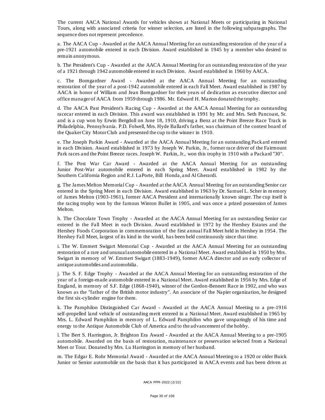The current AACA National Awards for vehicles shown at National Meets or participating in National Tours, along with associated criteria for winner selection, are listed in the following subparagraphs. The sequence does not represent precedence.

a. The AACA Cup - Awarded at the AACA Annual Meeting for an outstanding restoration of the year of a pre-1921 automobile entered in each Division. Award established in 1945 by a member who desired to remain anonymous.

b. The President's Cup - Awarded at the AACA Annua l Meeting for an outstanding restora tion of the year of a 1921 through 1942 automobile entered in each Division. Award established in 1960 by AACA.

c. The Bomgardner Award - Awarded at the AACA Annual Meeting for an outstanding restoration of the year of a post-1942 automobile entered in each Fall Meet. Award established in 1987 by AACA in honor of William and Jean Bomgardner for their years of dedication as executive director and office manager of AACA from 1959 through 1986. Mr. Edward H. Marion donated the trophy.

d. The AACA Past President's Racing Cup - Awarded at the AACA Annual Meeting for an outstanding racecar entered in each Division. This award was established in 1991 by Mr. and Mrs. Seth Pancoast, Sr. and is a cup won by Erwin Bergdoll on June 18, 1910, driving a Benz at the Point Breeze Race Track in Philadelphia, Pennsylvania. P.D. Folwell, Mrs. Hyde Ballard's father, was chairman of the contest board of the Quaker City Motor Club and presented the cup to the winner in 1910.

e. The Joseph Parkin Award - Awarded at the AACA Annual Meeting for an outstanding Packard entered in each Division. Award established in 1973 by Joseph W. Parkin, Jr., former race driver of the Fairmount Park races and the Point Breeze races. Joseph W. Parkin, Jr., won this trophy in 1910 with a Packard "30".

f. The Post War Car Award - Awarded at the AACA Annual Meeting for an outstanding Junior Post-War automobile entered in each Spring Meet. Award established in 1982 by the Southern California Region and R.J. LaPorte, Bill Honda, and Al Gherardi.

g. The James Melton Memorial Cup - Awarded at the AACA Annual Meeting for an outstanding Senior car entered in the Spring Meet in each Division. Award established in 1963 by Dr. Samuel L. Scher in memory of James Melton (1903-1961), former AACA President and internationally known singer. The cup itself is the racing trophy won by the famous Winton Bullet in 1905, and was once a prized possession of James Melton.

h. The Chocolate Town Trophy - Awarded at the AACA Annual Meeting for an outstanding Senior car entered in the Fall Meet in each Division. Award established in 1972 by the Hershey Estates and the Hershey Foods Corporation in commemoration of the first annual Fall Meet held in Hershey in 1954 . The Hershey Fall Meet, largest of its kind in the world, has been held continuously since that time.

i. The W. Emmert Swigart Memorial Cup - Awarded at the AACA Annual Meeting for an outstanding restoration of a rare and unusual automobile entered in a National Meet. Award established in 1950 by Mrs. Swigart in memory of W. Emmert Swigart (1883-1949), former AACA director and an early collector of antique automobiles and automobilia.

j. The S. F. Edge Trophy - Awarded at the AACA Annual Meeting for an outstanding restoration of the year of a foreign-made automobile entered in a National Meet. Award established in 1956 by Mrs. Edge of England, in memory of S.F. Edge (1868-1940), winner of the Gordon-Bennett Race in 1902, and who was known as the "father of the British motor industry". An associate of the Napier organization, he designed the first six-cylinder engine for them.

k. The Pamphilon Distinguished Car Award - Awarded at the AACA Annual Meeting to a pre-1916 self-propelled land vehicle of outstanding merit entered in a National Meet. Award established in 1965 by Mrs. L. Edward Pamphilon in memory of L. Edward Pamphilon who gave unsparingly of his time and energy to the Antique Automobile Club of America and to the advancement of the hobby.

l. The Bert S. Harrington, Jr. Brighton Era Award - Awarded at the AACA Annual Meeting to a pre-1905 automobile. Awarded on the basis of restoration, maintenance or preservation selected from a National Meet or Tour. Donated by Mrs. Lu Harrington in memory of her husband.

m. The Edgar E. Rohr Memorial Award - Awarded at the AACA Annual Meeting to a 1920 or older Buick Junior or Senior automobile on the basis that it has participated in AACA events and has been driven at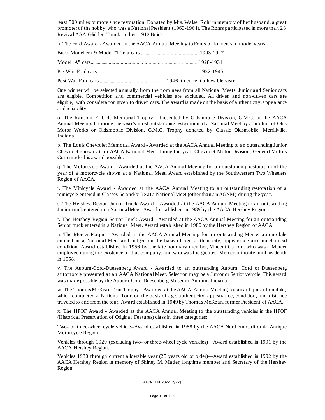least 500 miles or more since restoration. Donated by Mrs. Walser Rohr in memory of her husband, a great promoter of the hobby, who was a Na tional President (1963-1964). The Rohrs participated in more than 23 Revival AAA Glidden Tour® in their 1912 Buick.

n. The Ford Award - Awarded at the AACA Annual Meeting to Fords of four eras of model years:

One winner will be selected annually from the nominees from all National Meets. Junior and Senior cars are eligible. Competition and commercial vehicles are excluded. All driven and non-driven cars are eligible, with consideration given to driven cars. The award is made on the basis of authenticity, appearance and reliability.

o. The Ransom E. Olds Memorial Trophy - Presented by Oldsmobile Division, G.M.C. at the AACA Annual Meeting honoring the year's most outstanding restoration at a National Meet by a product of Olds Motor Works or Oldsmobile Division, G.M.C. Trophy donated by Classic Oldsmobile, Merrillville, Indiana.

p. The Louis Chevrolet Memorial Award - Awarded at the AACA Annual Meeting to an outstanding Junior Chevrolet shown at an AACA National Meet during the year. Chevrolet Motor Division, General Motors Corp made this award possible.

q. The Motorcycle Award - Awarded at the AACA Annual Meeting for an outstanding restoration of the year of a motorcycle shown at a National Meet. Award established by the Southwestern Two Wheelers Region of AACA.

r. The Minicycle Award - Awarded at the AACA Annual Meeting to an outstanding restora tion of a minicycle entered in Classes 5d and/or 5e at a National Meet (other than a n AGNM) during the year.

s. The Hershey Region Junior Truck Award - Awarded at the AACA Annual Meeting to an outstanding Junior truck entered in a National Meet. Award established in 1989 by the AACA Hershey Region.

t. The Hershey Region Senior Truck Award - Awarded at the AACA Annual Meeting for an outstanding Senior truck entered in a National Meet. Award established in 1980 by the Hershey Region of AACA.

u. The Mercer Plaque - Awarded at the AACA Annual Meeting for an outstanding Mercer automobile entered in a National Meet and judged on the basis of age, authenticity, appearance and mechanical condition. Award established in 1956 by the late honorary member, Vincent Galloni, wh o was a Mercer employee during the existence of that company, and who was the greatest Mercer authority until his death in 1958.

v. The Auburn-Cord-Duesenberg Award - Awarded to an outstanding Auburn, Cord or Duesenberg automobile presented at an AACA National Meet. Selection may be a Junior or Senior vehicle. This award was made possible by the Auburn-Cord-Duesenberg Museum, Auburn, Indiana.

w. The Thomas McKean Tour Trophy - Awarded at the AACA Annual Meeting for an antique automobile, which completed a National Tour, on the basis of age, authenticity, appearance, condition, and distance traveled to and from the tour. Award established in 1949 by Thomas McKean, former President of AACA.

x. The HPOF Award - Awarded at the AACA Annual Meeting to the outsta nding vehicles in the HPOF (Historical Preservation of Original Features) cla ss in three categories:

Two- or three-wheel cycle vehicle--Award established in 1988 by the AACA Northern California Antique Motorcycle Region.

Vehicles through 1929 (excluding two- or three-wheel cycle vehicles)—Award established in 1991 by the AACA Hershey Region.

Vehicles 1930 through current allowable year (25 years old or older)—Award established in 1992 by the AACA Hershey Region in memory of Shirley M. Mader, longtime member and Secretary of the Hershey Region.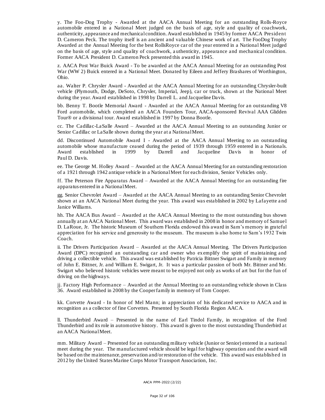y. The Foo-Dog Trophy - Awarded at the AACA Annual Meeting for an outstanding Rolls-Royce automobile entered in a National Meet judged on the basis of age, style and qua lity of coachwork, authenticity, appearance and mechanical condition. Award established in 1945 by former AACA President D. Cameron Peck. The trophy itself is an ancient and valuable Chinese work of art. The FooDog Trophy Awarded at the Annual Meeting for the best RollsRoyce car of the year entered in a National Meet judged on the basis of age, style and quality of coachwork, a uthenticity, appearance and mechanical condition. Former AACA President D. Cameron Peck presented this award in 1945.

z. AACA Post War Buick Award - To be awarded at the AACA Annual Meeting for an outstanding Post War (WW 2) Buick entered in a National Meet. Donated by Eileen and Jeffery Brashares of Worthington, Ohio.

aa. Walter P. Chrysler Award - Awarded at the AACA Annual Meeting for an outstanding Chrysler-built vehicle (Plymouth, Dodge, DeSoto, Chrysler, Imperial, Jeep), car or truck, shown a t the National Meet during the year. Award established in 1998 by Darrell L. and Jacqueline Davis.

bb. Benny T. Bootle Memorial Award - Awarded at the AACA Annual Meeting for an outstanding V8 Ford automobile, which completed an AACA Founders Tour, AACA-sponsored Revival AAA Glidden Tour® or a divisional tour. Award established in 1997 by Donna Bootle.

cc. The Cadillac-LaSalle Award – Awarded at the AACA Annual Meeting to an outstanding Junior or Senior Cadillac or LaSalle shown during the year at a National Meet.

dd. Discontinued Automobile Award I - Awarded at the AACA Annual Meeting to an outstanding automobile whose manufacture ceased during the period of 1939 through 1959 entered in a Nationals.<br>Award established in 1999 by Darrell and Jacqueline Davis in honor of in 1999 by Darrell and Jacqueline Davis in honor of Paul D. Davis.

ee. The George M. Holley Award – Awarded at the AACA Annual Meeting for an outstanding restoration of a 1921 through 1942 antique vehicle in a National Meet for each division, Senior Vehicles only.

ff. The Peterson Fire Apparatus Award – Awarded at the AACA Annual Meeting for an outstanding fire apparatus entered in a National Meet.

gg. Senior Chevrolet Award – Awarded at the AACA Annual Meeting to an outstanding Senior Chevrolet shown at an AACA Na tional Meet during the year. This award was established in 2002 by Lafayette a nd Janice Williams.

hh. The AACA Bus Award – Awarded at the AACA Annual Meeting to the most outstanding bus shown annually at an AACA National Meet. This award was established in 2008 in honor and memory of Samuel D. LaRoue, Jr. The historic Museum of Southern Florida endowed this award in Sam's memory in grateful appreciation for his service and generosity to the museum. The museum is also home to Sam's 1932 Twin Coach.

ii. The Drivers Participation Award – Awarded at the AACA Annual Meeting. The Drivers Participation Award (DPC) recognized an outstanding car and owner who exemplify the spirit of maintaining and driving a collectible vehicle. This award was established by Patricia Bittner Swigart and Family in memory of John E. Bittner, Jr. and William E. Swigart, Jr. It was a particular passion of both Mr. Bittner and Mr. Swigart who believed historic vehicles were meant to be enjoyed not only as works of art but for the fun of driving on the highways.

jj. Factory High Performance – Awarded at the Annual Meeting to an outstanding vehicle shown in Class 36. Award established in 2008 by the Cooper family in memory of Tom Cooper.

kk. Corvette Award - In honor of Mel Mann; in appreciation of his dedicated service to AACA and in recognition as a collector of fine Corvettes. Presented by South Florida Region AACA.

ll. Thunderbird Award – Presented in the name of Earl Tindol Family, in recognition of the Ford Thunderbird and its role in automotive history. This award is given to the most outstanding Thunderbird at an AACA National Meet.

mm. Military Award – Presented for an outstanding military vehicle (Junior or Senior) entered in a national meet during the year. The manufactured vehicle should be lega l for highway operation and the award will be based on the maintenance, preservation and/or restoration of the vehicle. This award was established in 2012 by the United States Marine Corps Motor Transport Association, Inc.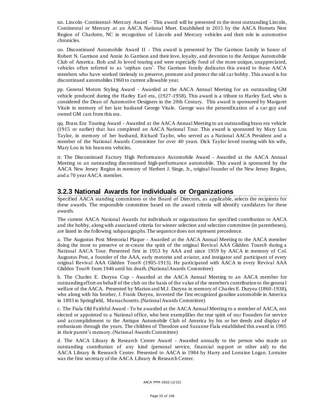nn. Lincoln–Continental–Mercury Award – This award will be presented to the most outstanding Lincoln, Continental or Mercury at an AACA National Meet. Established in 2015 by the AACA Hornets Nest Region of Charlotte, NC in recognition of Lincoln and Mercury vehicles and their role in automotive chronicles.

oo. Discontinued Automobile Award II - This award is presented by The Garrison family in honor of Robert N. Garrison and Annie Jo Garrison and their love, loyalty, and devotion to the Antique Automobile Club of America. Bob and Jo loved touring and were especially fond of the more unique, unappreciated, vehicles often referred to as 'orphan cars'. The Garrison family dedicates this award to those AACA members who have worked tirelessly to preserve, promote and protect the old car hobby. This award is for discontinued automobiles 1960 to current allowable year.

pp. General Motors Styling Award - Awarded at the AACA Annual Meeting for an outstanding GM vehicle produced during the Harley Earl era, (1927-1958). This award is a tribute to Harley Earl, who is considered the Dean of Automotive Designers in the 20th Century. This award is sponsored by Margaret Vitale in memory of her late husband George Vitale. George was the personification of a car guy and owned GM cars from this era.

qq. Brass Era Touring Award - Awarded at the AACA Annual Meeting to an outstanding brass era vehicle (1915 or earlier) that has completed an AACA National Tour. This award is sponsored by Mary Lou Taylor, in memory of her husband, Richard Taylor, who served as a National AACA President and a member of the National Awards Committee for over 40 years. Dick Taylor loved touring with his wife, Mary Lou in his brass era vehicles.

rr. The Discontinued Factory High Performance Automobile Award - Awarded at the AACA Annual Meeting to an outstanding discontinued high-performance automobile. This award is sponsored by the AACA New Jersey Region in memory of Herbert J. Singe, Jr., original founder of the New Jersey Region, and a 70 year AACA member.

#### **3.2.3 National Awards for Individuals or Organizations**

Specified AACA standing committees or the Board of Directors, as applicable, selects the recipients for these awards. The responsible committee based on the award criteria will identify candidates for these awards.

The current AACA National Awards for individuals or organizations for specified contribution to AACA and the hobby, along with associated criteria for winner selection and selection committee (in parentheses), are listed in the following subparagraphs. The sequence does not represent precedence.

a. The Augustus Post Memorial Plaque - Awarded at the AACA Annual Meeting to the AACA member doing the most to preserve or re-create the spirit of the original Revival AAA Glidden Tours® during a National AACA Tour. Presented first in 1953 by AAA and since 1959 by AACA in memory of Col. Augustus Post, a founder of the AAA, early motorist and aviator, and instigator and participant of every original Revival AAA Glidden Tour® (1905-1913). He participated with AACA in every Revival AAA Glidden Tour® from 1946 until his death.(National Awards Committee)

b. The Charles E. Duryea Cup - Awarded at the AACA Annual Meeting to an AACA member for outstanding effort on behalf of the club on the basis of the value of the member's contribution to the genera l welfare of the AACA. Presented by Marion and M.J. Duryea in memory of Charles E. Duryea (1860-1938), who along with his brother, J. Frank Duryea, invented the first recognized gasoline automobile in America in 1893 in Springfield, Massachusetts.(National Awards Committee)

c. The Fiala Old Faithful Award - To be awarded at the AACA Annual Meeting to a member of AACA, not elected or appointed to a National office, who best exemplifies the true spirit of ou r Founders for service and accomplishment to the Antique Automobile Club of America by his or her deeds and display of enthusiasm through the years. The children of Theodore and Suzanne Fiala established this award in 1995 in their parent's memory. (National Awards Committee)

d. The AACA Library & Research Center Award - Awarded annually to the person who made an outstanding contribution of any kind (personal service, financial sup port or other aid) to the AACA Library & Research Center. Presented to AACA in 1984 by Harry and Lorraine Logan. Lorraine was the first secretary of the AACA Library & Research Center.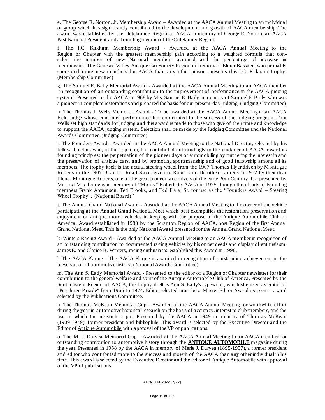e. The George R. Norton, Jr. Membership Award – Awarded at the AACA Annual Meeting to an individual or group which has significantly contributed to the development and growth of AACA membership. The award was established by the Ontelaunee Region of AACA in memory of George R. Norton, an AACA Past National President and a founding member of the Ontelaunee Region.

f. The I.C. Kirkham Membership Award - Awarded at the AACA Annual Meeting to the Region or Chapter with the greatest membership gain according to a weighted formula that considers the number of new National members acquired and the percentage of increase in membership. The Genesee Valley Antique Car Society Region in memory of Elmer Bassage, who probably sponsored more new members for AACA than any other person, presents this I.C. Kirkham trophy. (Membership Committee)

g. The Samuel E. Baily Memorial Award - Awarded at the AACA Annual Meeting to an AACA member "in recognition of an outstanding contribution to the improvement of performance in the AACA judging system". Presented to the AACA in 1968 by Mrs. Samuel E. Baily in memory of Samuel E. Baily, who was a pioneer in complete restorations and prepared the basis for our present-day judging. (Judging Committee)

h. The Thomas J. Wells Memorial Award - To be awarded at the AACA Annual Meeting to an AACA Field Judge whose continued performance has contributed to the success of the judging program. Tom Wells set high standards for judging and this award is made to those who give of their time and knowledge to support the AACA judging system. Selection shall be made by the Judging Committee and the National Awards Committee. (Judging Committee)

i. The Founders Award - Awarded at the AACA Annual Meeting to the National Director, selected by his fellow directors who, in their opinion, has contributed outstandingly to the guidance of AACA toward its founding principles: the perpetuation of the pioneer days of automobiling by furthering the interest in and the preservation of antique cars, and by promoting sportsmanship and of good fellowship among all its members. The trophy itself is the actual steering wheel from the 1907 Thomas Flyer driven by Montague Roberts in the 1907 Briarcliff Road Race, given to Robert and Dorothea Laurens in 1952 by their dear friend, Montague Roberts, one of the great pioneer race drivers of the early 20th Century. It a presented by Mr. and Mrs. Laurens in memory of "Monty" Roberts to AACA in 1975 through the efforts of Founding members Frank Abramson, Ted Brooks, and Ted Fiala, Sr. for use as the "Founders Award – Steering Wheel Trophy". (National Board)``

j. The Annual Grand National Award - Awarded at the AACA Annual Meeting to the owner of the vehicle participating at the Annual Grand National Meet which best exemplifies the restoration, preservation and enjoyment of antique motor vehicles in keeping with the purpose of the Antique Automobile Club of America. Award established in 1980 by the Scranton Region of AACA, host Region of the first Annual Grand National Meet. This is the only National Award presented for the Annual Grand National Mee t.

k. Winters Racing Award - Awarded at the AACA Annual Meeting to an AACA member in recognition of an outstanding contribution to documented racing vehicles by his or her deeds and display of enthusiasm. James E. and Clarice B. Winters, racing enthusiasts, established this Award in 1996.

l. The AACA Plaque - The AACA Plaque is awa rded in recognition of outstanding achievement in the preservation of automotive history. (National Awards Committee)

m. The Ann S. Eady Memorial Award - Presented to the editor of a Region or Chapter newsletter for their contribution to the general welfare and spirit of the Antique Automobile Club of America. Presented by the Southeastern Region of AACA, the trophy itself is Ann S. Eady's typewriter, which she used as editor of "Peachtree Parade" from 1965 to 1974. Editor selected must be a Master Editor Award recipient – award selected by the Publications Committee.

n. The Thomas McKean Memorial Cup - Awarded at the AACA Annual Meeting for worthwhile effort during the year in automotive historical research on the basis of accuracy, interest to club members, and the use to which the research is put. Presented by the AACA in 1949 in memory of Thomas McKean (1909-1949), former president and bibliophile. This award is selected by the Executive Director and the Editor of Antique Automobile with approval of the VP of publications.

o. The M. J. Duryea Memorial Cup - Awarded at the AACA Annual Meeting to an AACA member for outstanding contribution to automotive history through the **ANTIQUE AUTOMOBILE** magazine during the year. Presented in 1958 by the AACA in memory of Merle J. Duryea (1895-1957), a former president and editor who contributed more to the success and growth of the AACA than any other individual in his time. This award is selected by the Executive Director and the Editor of Antique Automobile with approval of the VP of publications.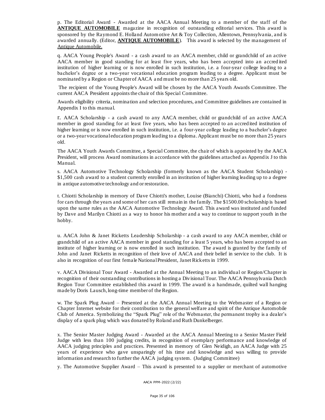p. The Editorial Award - Awarded at the AACA Annual Meeting to a member of the staff of the **ANTIQUE AUTOMOBILE** magazine in recognition of outstanding editorial services. This award is sponsored by the Raymond E. Holland Automotive Art & Toy Collection, Allentown, Pennsylvania, and is awarded annually. (Editor, **ANTIQUE AUTOMOBILE**). This award is selected by the management of Antique Automobile.

q. [AACA Young People's](http://www.aaca.org/images/regions/young_peoples_award.pdf) Award - a cash award to an AACA member, child or grandchild of an active AACA member in good standing for at least five years, who has been accepted into an accred ited institution of higher learning or is now enrolled in such institution, i.e. a four-year college leading to a bachelor's degree or a two-year vocational education program leading to a degree. Applicant must be nominated by a Region or Chapter of AACA a nd must be no more than 25 years old.

The recipient of the Young People's Award will be chosen by the AACA Youth Awards Committee. The current AACA President appoints the chair of this Special Committee.

Awards eligibility criteria, nomination and selection procedures, and Committee guidelines are contained in Appendix I to this manual.

r. [AACA Scholarship](http://www.aaca.org/images/regions/AACA_Scholarship.pdf) - a cash award to any AACA member, child or grandchild of an active AACA member in good standing for at least five years, who has been accepted to an accred ited institution of higher learning or is now enrolled in such institution, i.e. a four-year college leading to a bachelor's degree or a two-year vocational education program leading to a diploma. Applicant must be no more than 25 years old.

The AACA Youth Awards Committee, a Special Committee, the chair of which is appointed by the AACA President, will process Award nominations in accordance with the guidelines attached as Append ix J to this Manual.

s. [AACA Automotive Technology Scholarship](http://www.aaca.org/images/regions/automotive_tech_scholarship.pdf) (formerly known as the AACA Student Scholarship) - \$1,500 cash award to a student currently enrolled in an institution of higher learning leading up to a degree in antique automotive technology and or restoration.

t. Chiotti Scholarship in memory of Dave Chiotti's mother, Louise (Bianchi) Chiotti, who had a fondness for cars through the years and some of her cars still remain in the family. The \$1500.00 scholarship is based upon the same rules as the AACA Automotive Technology Award. This award was instituted and funded by Dave and Marilyn Chiotti as a way to honor his mother and a way to continue to support youth in the hobby.

u. [AACA John & Janet Ricketts Leadership Scholarship](http://www.aaca.org/images/regions/Ricketts_Leadership_Scholarship.pdf) - a cash award to any AACA member, child or grandchild of an active AACA member in good standing for a least 5 years, who has been accepted to an institute of higher learning or is now enrolled in such institution. The award is granted by the family of John and Janet Ricketts in recognition of their love of AACA and their belief in service to the club. It is also in recognition of our first female National President, Janet Ricketts in 1999.

v. AACA Divisional Tour Award - Awarded at the Annual Meeting to an individual or Region/Chapter in recognition of their outstanding contributions in hosting a Divisional Tour. The AACA Pennsylvania Dutch Region Tour Committee established this award in 1999. The award is a handmade, quilted wall hanging made by Doris Lausch, long-time member of the Region.

w. The Spark Plug Award – Presented at the AACA Annual Meeting to the Webmaster of a Region or Chapter Internet website for their contribution to the general welfare and spirit of the Antique Automobile Club of America. Symbolizing the "Spark Plug" role of the Webmaster, the permanent trophy is a dealer's display of a spark plug which was donated by Roland and Ruth Dunkelberger.

x. The Senior Master Judging Award - Awarded at the AACA Annual Meeting to a Senior Master Field Judge with less than 100 judging credits, in recognition of exemplary performance and knowledge of AACA judging principles and practices. Presented in memory of Glen Neidigh, an AACA Judge with 25 years of experience who gave unsparingly of his time and knowledge and was willing to provide information and research to further the AACA judging system. (Judging Committee)

y. The Automotive Supplier Award – This award is presented to a supplier or merchant of automotive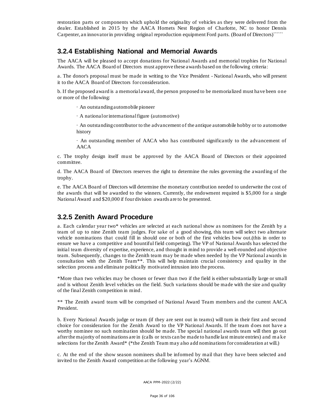restoration parts or components which uphold the originality of vehicles as they were delivered from the dealer. Established in 2015 by the AACA Hornets Nest Region of Charlotte, NC to honor Dennis Carpenter, an innovator in providing original reproduction equipment Ford parts. (Board of Directors)``````

#### **3.2.4 Establishing National and Memorial Awards**

The AACA will be pleased to accept donations for National Awards and memorial trophies for National Awards. The AACA Board of Directors must approve these awards based on the following criteria:

a. The donor's proposal must be made in writing to the Vice President - National Awards, who will present it to the AACA Board of Directors for consideration.

b. If the proposed award is a memorial award, the person proposed to be memorialized must have been one or more of the following:

· An outstanding automobile pioneer

· A national or international figure (automotive)

· An outstanding contributor to the advancement of the antique automobile hobby or to automotive history

· An outstanding member of AACA who has contributed significantly to the advancement of AACA

c. The trophy design itself must be approved by the AACA Board of Directors or their appointed committee.

d. The AACA Board of Directors reserves the right to determine the rules governing the awarding of the trophy.

e. The AACA Board of Directors will determine the monetary contribution needed to underwrite the cost of the awards that will be awarded to the winners. Currently, the endowment required is \$5,000 for a single National Award and \$20,000 if four division awards are to be presented.

#### **3.2.5 Zenith Award Procedure**

a. Each calendar year two\* vehicles are selected at each national show as nominees for the Zenith by a team of up to nine Zenith team judges. For sake of a good showing, this team will select two alternate vehicle nominations that could fill in should one or both of the first vehicles bow out.(this in order to ensure we have a competitive a nd bountiful field competing). The VP of National Awards has selected the initial team diversity of expertise, experience, and thought in mind to provide a well-rounded and objective team. Subsequently, changes to the Zenith team may be made when needed by the VP National awards in consultation with the Zenith Team\*\*. This will help maintain crucial consistency and quality in the selection process and eliminate politically motivated intrusion into the process.

\*More than two vehicles may be chosen or fewer than two if the field is either substantially large or small and is without Zenith level vehicles on the field. Such variations should be made with the size and quality of the final Zenith competition in mind.

\*\* The Zenith award team will be comprised of National Award Team members and the current AACA President.

b. Every National Awards judge or team (if they are sent out in teams) will turn in their first and second choice for consideration for the Zenith Award to the VP National Awards. If the team d oes not have a worthy nominee no such nomination should be made. The special national awards team will then go out after the majority of nominations are in (calls or texts can be made to handle last minute entries) and m a ke selections for the Zenith Award\* (\*the Zenith Team may also add nominations for consideration at will.)

c. At the end of the show season nominees shall be informed by mail that they have been selected and invited to the Zenith Award competition at the following year's AGNM.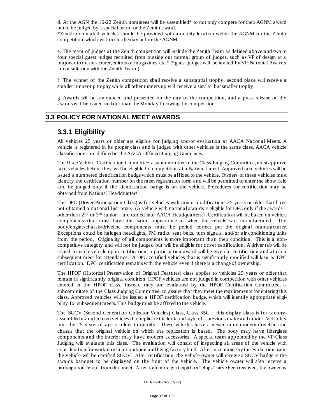d. At the AGN the 16-22 Zenith nominees will be assembled\* to not only compete for their AGNM award but to be judged by a special team for the Zenith award.

\*Zenith nominated vehicles should be provided with a quality location within the AGNM for the Zenith competition, which will occur the day before the AGNM.

e. The team of judges at the Zenith competition will include the Zenith Team as defined above and two to four special guest judges recruited from outside our normal group of judges, such as VP of design at a major auto manufacturer, editors of magazines, etc.\* (\*guest judges will be invited by VP National Awards in consultation with the Zenith Team.)

f. The winner of the Zenith competition shall receive a substantial trophy, second place will receive a smaller runner-up trophy while all other runners up will receive a similar but smaller trophy.

g. Awards will be announced and presented on the day of the competition, and a press release on the awards will be issued no later than the Monday following the competition.

# **3.3 POLICY FOR NATIONAL MEET AWARDS**

### **3.3.1 Eligibility**

All vehicles 25 years or older are eligible for judging and/or evaluation at AACA National Meets. A vehicle is registered in its proper class and is judged with other vehicles in the same class. AACA vehicle classifications are defined in the AACA Official Judging Guidelines.

The Race Vehicle Certification Committee, a subcommittee of the Class Judging Committee, must approve race vehicles before they will be eligible for competition at a National meet. Approved race vehicles will be issued a numbered identification badge which must be affixed to the vehicle. Owners of these vehicles must identify the certification number on the meet registration form and will be permitted to enter the show field and be judged only if the identification badge is on the vehicle. Procedures for certification may be obtained from National Headquarters.

The DPC (Driver Participation Class) is for vehicles with minor modifications 25 years or older that have not obtained a national first prize. (A vehicle with national a wards is eligible for DPC only if the awards – other than  $2<sup>nd</sup>$  or  $3<sup>rd</sup>$  Junior – are turned into AACA Headquarters.) Certification will be based on vehicle components that must have the same appearance as when the vehicle was manufactured. The body/engine/chassis/driveline components must be period correct per the original manufacturer. Exceptions could be halogen headlights, FM radio, seat belts, turn signals, and/or air conditioning units from the period. Originality of all components is more important than their condition. This is a noncompetitive category and will not be judged but will be eligible for driver certification. A driver tab will be issued to each vehicle upon certification; a participation award will be given at certification and at each subsequent meet for attendance. A DPC certified vehicles that is significantly modified will lose its' DPC certification. DPC certification remains with the vehicle even if there is a change of ownership.

The HPOF (Historical Preservation of Original Features) class applies to vehicles 25 years or older that remain in significantly original condition. HPOF vehicles are not judged in competition with other vehicles entered in the HPOF class. Instead they are evaluated by the HPOF Certification Committee, a subcommittee of the Class Judging Committee, to assure that they meet the req uirements for entering this class. Approved vehicles will be issued a HPOF certification badge, which will identify appropriate eligibility for subsequent meets. This badge must be affixed to the vehicle.

The SGCV (Second Generation Collector Vehicles) Class, Class 35C – this display class is for factoryassembled manufactured vehicles that replicate the look and style of a previous make and model. Vehicles must be 25 years of age or older to qualify. These vehicles have a newer, more modern driveline and chassis that the original vehicle on which the replication is based. The body may have fiberglass components and the interior may have modern accessories. A special team app ointed by the VP-Class Judging will evaluate this class. The evaluation will consist of inspecting all areas of the vehicle with consideration for workmanship, condition and being factory built. After acceptance by the evaluation team, the vehicle will be certified SGCV. After certification, the vehicle owner will receive a SGCV badge at the awards banquet to be displayed on the front of the vehicle. The vehicle owner will also receive a participation "chip" from that meet. After four more participation "chips" have been received, the owner is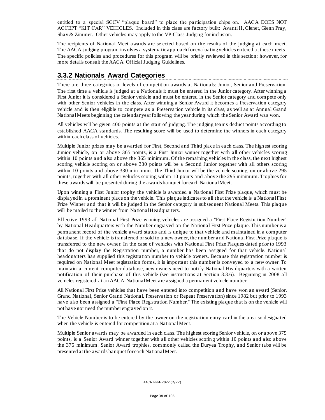entitled to a special SGCV "plaque board" to place the participation chips on. AACA DOES NOT ACCEPT "KIT CAR" VEHICLES. Included in this class are factory built: Avanti II, Clenet, Glenn Pray, Shay & Zimmer. Other vehicles may apply to the VP-Class Judging for inclusion.

The recipients of National Meet awards are selected based on the results of the judging at each meet. The AACA judging program involves a systematic approach for evaluating vehicles en tered at these meets. The specific policies and procedures for this program will be briefly reviewed in this section; however, for more details consult the AACA Official Judging Guidelines.

# **3.3.2 Nationals Award Categories**

There are three categories or levels of competition awards at Nationals: Junior, Senior and Preservation. The first time a vehicle is judged at a Nationals it must be entered in the Junior category. After winning a First Junior it is considered a Senior vehicle and must be entered in the Senior category and com pete only with other Senior vehicles in the class. After winning a Senior Award it becomes a Preservation category vehicle and is then eligible to compete as a Preserva tion vehicle in its class, as well as at Annual Grand National Meets beginning the calendar year following the year during which the Senior Award was won.

All vehicles will be given 400 points at the start of judging. The judging teams deduct points according to established AACA standards. The resulting score will be used to determine the winners in each category within each class of vehicles.

Multiple Junior prizes may be awarded for First, Second and Third place in each class. The highest scoring Junior vehicle, on or above 365 points, is a First Junior winner together with all other vehicles scoring within 10 points and also above the 365 minimum. Of the remaining vehicles in the class, the next highest scoring vehicle scoring on or above 330 points will be a Second Junior together with all others scoring within 10 points and above 330 minimum. The Third Junior will be the vehicle scoring, on or above 295 points, together with all other vehicles scoring within 10 points and above the 295 minimum. Trophies for these awards will be presented during the awards banquet for each Na tional Meet.

Upon winning a First Junior trophy the vehicle is awarded a Na tional First Prize plaque, which must be displayed in a prominent place on the vehicle. This plaque indicates to all that the vehicle is a National First Prize Winner and that it will be judged in the Senior category in subsequent National Meets. This plaque will be mailed to the winner from National Headquarters.

Effective 1993 all National First Prize winning vehicles are assigned a "First Place Registration Number" by National Headquarters with the Number engraved on the National First Prize plaque. This number is a permanent record of the vehicle award status and is unique to that vehicle and maintained in a computer database. If the vehicle is transferred or sold to a new owner, the number a nd National First Prize plaque is transferred to the new owner. In the case of vehicles with National First Prize Plaques dated prior to 1993 that do not display the Registration number, a number has been assigned for that vehicle. National headquarters has supplied this registration number to vehicle owners. Because this registration number is required on National Meet registration forms, it is important this number is conveyed to a new owner. To maintain a current computer database, new owners need to notify National Headquarters with a written notification of their purchase of this vehicle (see instructions at Section 3.3.6). Beginning in 2008 all vehicles registered at an AACA National Meet are assigned a permanent vehicle number.

All National First Prize vehicles that have been entered into competition and have won an award (Senior, Grand National, Senior Grand National, Preservation or Repeat Preservation) since 1982 but prior to 1993 have also been assigned a "First Place Registration Number." The existing plaque that is on the vehicle will not have nor need the number engraved on it.

The Vehicle Number is to be entered by the owner on the registration entry card in the area so designated when the vehicle is entered for competition at a National Meet.

Multiple Senior awards may be awarded in each class. The highest scoring Senior vehicle, on or above 375 points, is a Senior Award winner together with all other vehicles scoring within 10 points and also above the 375 minimum. Senior Award trophies, commonly called the Duryea Trophy, and Senior tabs will be presented at the awards banquet for each National Meet.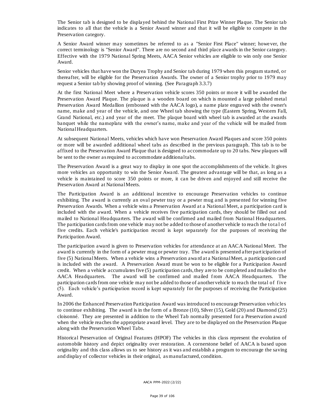The Senior tab is designed to be displayed behind the National First Prize Winner Plaque. The Senior tab indicates to all that the vehicle is a Senior Award winner and that it will be eligible to compete in the Preservation category.

A Senior Award winner may sometimes be referred to as a "Senior First Place" winner; however, the correct terminology is "Senior Award". There are no second and third place awards in the Senior category. Effective with the 1979 National Spring Meets, AACA Senior vehicles are eligible to win only one Senior Award.

Senior vehicles that have won the Duryea Trophy and Senior tab during 1979 when this program started, or thereafter, will be eligible for the Preservation Awards. The owner of a Senior trophy prior to 1979 may request a Senior tab by showing proof of winning. (See Paragraph 3.3.7)

At the first National Meet where a Preservation vehicle scores 350 points or mo re it will be awarded the Preservation Award Plaque. The pla que is a wooden board on which is mounted a large polished metal Preservation Award Medallion (embossed with the AACA logo), a name plate engraved with the owner's name, make and year of the vehicle, and one Wheel tab showing the type (Eastern Spring, Western Fall, Grand National, etc.) and year of the meet. The plaque board with wheel tab is awarded at the awards banquet while the nameplate with the owner's name, make and year of the vehicle will be mailed from National Headquarters.

At subsequent National Meets, vehicles which have won Preservation Award Plaques and score 350 points or more will be awarded additional wheel tabs as described in the previous paragraph. This tab is to be affixed to the Preservation Award Plaque that is designed to accommodate up to 20 tabs. New plaques will be sent to the owner as required to accommodate additional tabs.

The Preservation Award is a great way to display in one spot the accomplishments of the vehicle. It gives more vehicles an opportunity to win the Senior Awa rd. The greatest advantage will be that, as long as a vehicle is maintained to score 350 points or more, it can be driven and enjoyed and still receive the Preservation Award at National Meets.

The Participation Award is an additional incentive to encourage Preservation vehicles to continue exhibiting. The award is currently an oval pewter tray or a pewter mug and is presented for winning five Preservation Awards. When a vehicle wins a Preservation Award at a National Meet, a participation card is included with the award. When a vehicle receives five participation cards, they should be filled out and mailed to National Headquarters. The award will be confirmed and mailed from National Headquarters. The participation cards from one vehicle may not be added to those of another vehicle to reach the tota l of five credits. Each vehicle's participa tion record is kept separately for the purposes of receiving the Participation Award.

The participation award is given to Preservation vehicles for attendance at an AACA National Meet. The award is currently in the form of a pewter mug or pewter tray. The award is presented after participation of five (5) National Meets. When a vehicle wins a Preservation awa rd at a National Meet, a participation card is included with the award. A Preservation Award must be won to be eligible for a Participation Award credit. When a vehicle accumula tes five (5) participation cards, they are to be completed and mailed to the AACA Headquarters. The award will be confirmed and mailed from AACA Headquarters. The participation cards from one vehicle may not be added to those of another vehicle to reach the total of f ive (5). Each vehicle's participation record is kept separately for the purposes of receiving the Participation Award.

In 2006 the Enhanced Preservation Participation Award was introduced to encourage Preservation vehicles to continue exhibiting. The award is in the form of a Bronze (10), Silver (15), Gold (20) and Diamond (25) cloisonné. They are presented in addition to the Wheel Tab normally presented for a Preservation award when the vehicle reaches the appropriate award level. They are to be displayed on the Preservation Plaque along with the Preservation Wheel Tabs.

Historical Preservation of Original Features (HPOF) The vehicles in this class represent the evolution of automobile history and depict originality over restoration. A cornerstone belief of AACA is based upon originality and this class allows us to see history as it was and establish a program to encourage the saving and display of collector vehicles in their original, as manufactured, condition.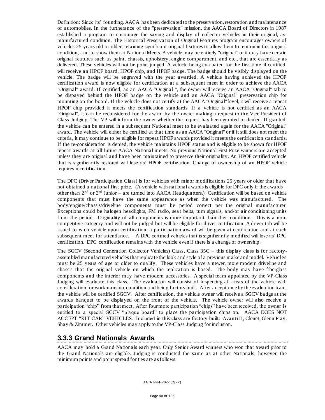Definition: Since its' founding, AACA has been dedicated to the preservation, restoration and maintenance of automobiles. In the furtherance of the "preservation" mission, the AACA Board of Directors in 1987 established a program to encourage the saving and display of collector vehicles in their original, asmanufactured condition. The Historical Preservation of Original Features program encourages owners of vehicles 25 years old or older, retaining significant original features to allow them to remain in this original condition, and to show them at National Meets. A vehicle may be entirely "original" or it may have certain original features such as paint, chassis, upholstery, engine compartment, and etc., that are essentially as delivered. These vehicles will not be point judged. A vehicle being evaluated for the first time, if certified, will receive an HPOF board, HPOF chip, and HPOF badge. The badge should be visibly displayed on the vehicle. The badge will be engraved with the year awarded. A vehicle having achieved the HPOF certification award is now eligible for certification at a subsequent meet in order to achieve the AACA "Original" award. If certified, as an AACA "Original ", the owner will receive an AACA "Original" tab to be dispayed behind the HPOF badge on the vehicle and an AACA "Original" preservation chip for mounting on the board. If the vehicle does not certify at the AACA "Original" level, it will receive a repeat HPOF chip provided it meets the certification standards. If a vehicle is not certified as an AACA "Original", it can be reconsidered for the award by the owner making a request to the Vice President of Class Judging. The VP will inform the owner whether the request has been granted or denied. If granted, the vehicle can be entered in a subsequent National meet to be evaluated again for the AACA "Original" award. The vehicle will either be certified at that time as an AACA "Original" or if it still does not meet the criteria, it may continue to be eligible for repeat HPOF awards provided it meets the certification standards. If the re-consideration is denied, the vehicle maintains HPOF status and is eligible to be shown for HPOF repeat awards at all future AACA National meets. No previous National First Prize winners are accepted unless they are original and have been maintained to preserve their originality. An HPOF certified vehicle that is significantly restored will lose its' HPOF certification. Change of ownership of an HPOF vehicle requires recertification.

The DPC (Driver Participation Class) is for vehicles with minor modifications 25 years or older that have not obtained a national first prize. (A vehicle with national awards is eligible for DPC only if the awards – other than 2nd or 3rd Junior – are turned into AACA Headquarters.) Certification will be based on vehicle components that must have the same appearance as when the v ehicle was manufactured. The body/engine/chassis/driveline components must be period correct per the original manufacturer. Exceptions could be halogen headlights,  $FM$  radio, seat belts, turn signals, and/or air conditioning units from the period. Originality of all components is more important than their condition. This is a noncompetitive category and will not be judged but will be eligible for driver certification. A driver tab will be issued to each vehicle upon certification; a participation award will be given at certification and at each subsequent meet for attendance. A DPC certified vehicles that is significantly modified will lose its' DPC certification. DPC certification remains with the vehicle even if there is a change of ownership.

The SGCV (Second Generation Collector Vehicles) Class, Class 35C – this display class is for factoryassembled manufactured vehicles that replicate the look and style of a previous ma ke and model. Vehicles must be 25 years of age or older to qualify. These vehicles have a newer, more modern driveline and chassis that the original vehicle on which the replication is based. The body may have fiberglass components and the interior may have modern accessories. A special team appointed by the VP-Class Judging will evaluate this class. The evaluation will consist of inspecting all areas of the vehicle with consideration for workmanship, condition and being factory built. After acceptanc e by the evaluation team, the vehicle will be certified SGCV. After certification, the vehicle owner will receive a SGCV badge at the awards banquet to be displayed on the front of the vehicle. The vehicle owner will also receive a participation "chip" from that meet. After four more participation "chips" have been received, the owner is entitled to a special SGCV "plaque board" to place the participation chips on. AACA DOES NOT ACCEPT "KIT CAR" VEHICLES. Included in this class are factory built: Avan ti II, Clenet, Glenn Pray, Shay & Zimmer. Other vehicles may apply to the VP-Class Judging for inclusion.

# **3.3.3 Grand Nationals Awards**

AACA may hold a Grand Nationals each year. Only Senior Award winners who won that award prior to the Grand Nationals are eligible. Judging is conducted the same as at other Nationals; however, the minimum points and point spread for ties are as follows: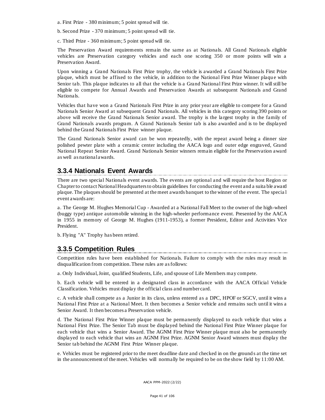- a. First Prize 380 minimum; 5 point spread will tie.
- b. Second Prize 370 minimum; 5 point spread will tie.

c. Third Prize - 360 minimum; 5 point spread will tie.

The Preservation Award requirements remain the same as at Nationals. All Grand Nationals eligible vehicles are Preservation category vehicles and each one scoring 350 or more points will win a Preservation Award.

Upon winning a Grand Nationals First Prize trophy, the vehicle is awarded a Grand Nationals First Prize plaque, which must be affixed to the vehicle, in addition to the National First Prize Winner plaque with Senior tab. This plaque indicates to all that the vehicle is a Grand National First Prize winner. It will still be eligible to compete for Annual Awards and Preservation Awards at subsequent Nationals and Grand Nationals.

Vehicles that have won a Grand Nationals First Prize in any prior year are eligible to compete for a Grand Nationals Senior Award at subsequent Grand Nationals. All vehicles in this category scoring 390 points or above will receive the Grand Nationals Senior award. The trophy is the la rgest trophy in the family of Grand Nationals awards program. A Grand Nationals Senior tab is also awarded and is to be displayed behind the Grand Nationals First Prize winner plaque.

The Grand Nationals Senior award can be won repeatedly, with the repeat award being a dinner size polished pewter plate with a ceramic center including the AACA logo and outer edge engraved, Grand National Repeat Senior Award. Grand Nationals Senior winners remain eligible for the Preservation award as well as national awards.

### **3.3.4 Nationals Event Awards**

There are two special Nationals event awards. The events are optional and will require the host Region or Chapterto contact National Headquarters to obtain guidelines for conducting the event and a suita ble award plaque. The plaques should be presented at the meet awards banquet to the winner of the event. The specia l event awards are:

a. The George M. Hughes Memorial Cup - Awarded at a National Fall Meet to the owner of the high-wheel (buggy type) antique automobile winning in the high-wheeler performance event. Presented by the AACA in 1955 in memory of George M. Hughes (1911-1953), a former President, Editor and Activities Vice President.

b. Flying "A" Trophy has been retired.

#### **3.3.5 Competition Rules**

Competition rules have been established for Nationals. Failure to comply with the rules may result in disqualification from competition. These rules are as follows:

a. Only Individual, Joint, qualified Students, Life, and spouse of Life Members may compete.

b. Each vehicle will be entered in a designated class in accordance with the AACA Official Vehicle Classification. Vehicles must display the official class and number card.

c. A vehicle shall compete as a Junior in its class, unless entered as a DPC, HPOF or SGCV, until it wins a National First Prize at a National Meet. It then becomes a Senior vehicle and remains such until it wins a Senior Award. It then becomes a Preservation vehicle.

d. The National First Prize Winner plaque must be permanently displayed to each vehicle that wins a National First Prize. The Senior Tab must be displayed behind the National First Prize Winner plaque for each vehicle that wins a Senior Award. The AGNM First Prize Winner plaque must also be permanently displayed to each vehicle that wins an AGNM First Prize. AGNM Senior Award winners must display the Senior tab behind the AGNM First Prize Winner plaque.

e. Vehicles must be registered prior to the meet deadline date and checked in on the ground s at the time set in the announcement of the meet. Vehicles will normally be required to be on the show field by 11:00 AM.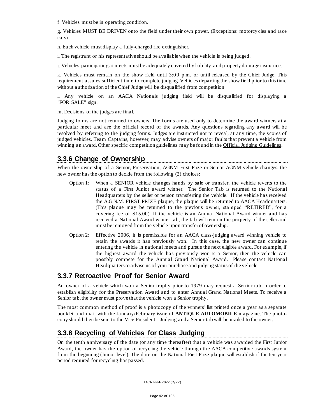f. Vehicles must be in operating condition.

g. Vehicles MUST BE DRIVEN onto the field under their own power. (Exceptions: motorcy cles and race cars)

h. Each vehicle must display a fully-charged fire extinguisher.

i. The registrant or his representative should be available when the vehicle is being judged.

j. Vehicles participating at meets must be adequately covered by liability and p roperty damage insurance.

k. Vehicles must remain on the show field until 3:00 p.m. or until released by the Chief Judge. This requirement assures sufficient time to complete judging. Vehicles departing the show field prior to this time without authorization of the Chief Judge will be disqualified from competition.

l. Any vehicle on an AACA Nationals judging field will be disqualified for displaying a "FOR SALE" sign.

m. Decisions of the judges are final.

Judging forms are not returned to owners. The forms are used only to determine the award winners at a particular meet and are the official record of the awards. Any questions regarding any award will be resolved by referring to the judging forms. Judges are instructed not to reveal, at any time, the scores of judged vehicles. Team Captains, however, may advise owners of major faults that prevent a vehicle from winning an award. Other specific competition guidelines may be found in the Official Judging Guidelines.

### **3.3.6 Change of Ownership**

When the ownership of a Senior, Preservation, AGNM First Prize or Senior AGNM vehicle changes, the new owner has the option to decide from the following (2) choices:

- Option 1: When a SENIOR vehicle changes hands by sale or transfer, the vehicle reverts to the status of a First Junior award winner. The Senior Tab is returned to the National Headquarters by the seller or person transferring the vehicle. If the vehicle has received the A.G.N.M. FIRST PRIZE plaque, the plaque will be returned to AACA Headquarters. (This plaque may be returned to the previous owner, stamped "RETIRED", for a covering fee of \$15.00). If the vehicle is an Annual National Award winner and has received a National Award winner tab, the tab will remain the property of the seller and must be removed from the vehicle upon transfer of ownership.
- Option 2: Effective 2006, it is permissible for an AACA class-judging award winning vehicle to retain the awards it has previously won. In this case, the new owner can continue entering the vehicle in national meets and pursue the next eligible award. For example, if the highest award the vehicle has previously won is a Senior, then the vehicle can possibly compete for the Annual Grand National Award. Please contact National Headquarters to advise us of your purchase and judging status of the vehicle.

# **3.3.7 Retroactive Proof for Senior Award**

An owner of a vehicle which won a Senior trophy prior to 1979 may request a Sen ior tab in order to establish eligibility for the Preservation Award and to enter Annual Grand National Meets. To receive a Senior tab, the owner must prove that the vehicle won a Senior trophy.

The most common method of proof is a photocopy of the winners' list printed once a year as a separate booklet and mail with the January/February issue of **ANTIQUE AUTOMOBILE** magazine. The photocopy should then be sent to the Vice President - Judging and a Senior tab will be mailed to the owner.

# **3.3.8 Recycling of Vehicles for Class Judging**

On the tenth anniversary of the date (or any time thereafter) that a vehicle was awarded the First Junior Award, the owner has the option of recycling the vehicle through the AACA competitive awards system from the beginning (Junior level). The date on the National First Prize plaque will establish if the ten-year period required for recycling has passed.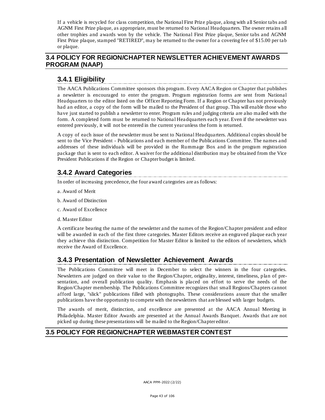If a vehicle is recycled for class competition, the National First Prize plaque, along with all Senior tabs and AGNM First Prize plaque, as appropriate, must be returned to National Headquarters. The owner retains all other trophies and awards won by the vehicle. The National First Prize plaque, Senior tabs and AGNM First Prize plaque, stamped "RETIRED", may be returned to the owner for a covering fee of \$15.00 per tab or plaque.

# **3.4 POLICY FOR REGION/CHAPTER NEWSLETTER ACHIEVEMENT AWARDS PROGRAM (NAAP)**

# **3.4.1 Eligibility**

The AACA Publications Committee sponsors this program. Every AACA Region or Chapter that publishes a newsletter is encouraged to enter the program. Program registration forms are sent from National Headquarters to the editor listed on the Officer Reporting Form. If a Region or Chapter has not previously had an editor, a copy of the form will be mailed to the President of that group. This will enable those who have just started to publish a newsletter to enter. Program rules and judging criteria are also mailed with the form. A completed form must be returned to National Hea dquarters each year. Even if the newsletter was entered previously, it will not be entered in the current year unless the form is returned.

A copy of each issue of the newsletter must be sent to National Headquarters. Additional copies should be sent to the Vice President - Publications and each member of the Publications Committee. The names and addresses of these individuals will be provided in the Rummage Box and in the program registration package that is sent to each editor. A waiver for the additiona l distribution may be obtained from the Vice President Publications if the Region or Chapter budget is limited.

# **3.4.2 Award Categories**

In order of increasing precedence, the four award categories are as follows:

- a. Award of Merit
- b. Award of Distinction
- c. Award of Excellence
- d. Master Editor

A certificate bearing the name of the newsletter and the names of the Region/Chapter president and editor will be awarded in each of the first three categories. Master Editors receive an engraved plaque each year they achieve this distinction. Competition for Master Editor is limited to the editors of newsletters, which receive the Award of Excellence.

# **3.4.3 Presentation of Newsletter Achievement Awards**

The Publications Committee will meet in December to select the winners in the four categories. Newsletters are judged on their value to the Region/Chapter, originality, interest, timeliness, plan of presentation, and overall publication quality. Emphasis is placed on effort to serve the needs of the Region/Chapter membership. The Publications Committee recognizes that small Regions/Chapters cannot afford large, "slick" publications filled with photographs. These considerations assure that the smaller publications have the opportunity to compete with the newsletters that are blessed with larger budgets.

The awards of merit, distinction, and excellence are presented at the AACA Annual Meeting in Philadelphia. Master Editor Awards are presented at the Annual Awards Banquet. Awards that are not picked up during these presentations will be mailed to the Region/Chapter editor.

# **3.5 POLICY FOR REGION/CHAPTER WEBMASTER CONTEST**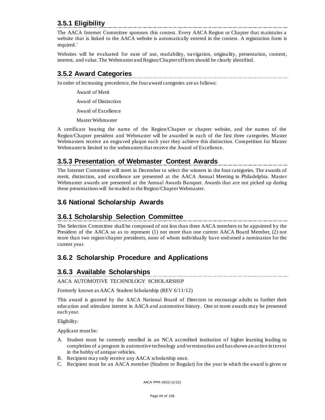# **3.5.1 Eligibility**

The AACA Internet Committee sponsors this contest. Every AACA Region or Chapter that maintains a website that is linked to the AACA website is automatically entered in the contest. A registration form is required.`

Websites will be evaluated for ease of use, readability, navigation, origina lity, presentation, content, interest, and value. The Webmaster and Region/Chapter officers should be clearly identified.

# **3.5.2 Award Categories**

In order of increasing precedence, the four award categories are as follows:

Award of Merit

Award of Distinction

Award of Excellence

Master Webmaster

A certificate bearing the name of the Region/Chapter or chapter website, and the names of the Region/Chapter president and Webmaster will be awarded in each of the first three categories. Master Webmasters receive an engraved plaque each year they achieve this distinction. Competition for Master Webmaster is limited to the webmasters that receive the Award of Excellence.

### **3.5.3 Presentation of Webmaster Contest Awards**

The Internet Committee will meet in December to select the winners in the four categories. The awards of merit, distinction, and excellence are presented at the AACA Annual Meeting in Philadelphia. Maste r Webmaster awards are presented at the Annual Awards Banquet. Awards that are not picked up during these presentations will be mailed to the Region/Chapter Webmaster.

# **3.6 National Scholarship Awards**

# **3.6.1 Scholarship Selection Committee**

The Selection Committee shall be composed of not less than three AACA members to be appointed by the President of the AACA so as to represent (1) not more than one current AACA Board Member, (2) not more than two region/chapter presidents, none of whom individually have end orsed a nomination for the current year.

# **3.6.2 Scholarship Procedure and Applications**

# **3.6.3 Available Scholarships**

#### AACA AUTOMOTIVE TECHNOLOGY SCHOLARSHIP

Formerly known as AACA Student Scholarship (REV 6/11/12)

This award is granted by the AACA National Board of Directors to encourage adults to further their education and stimulate interest in AACA and automotive history. One or more awards may be presented each year.

Eligibility:

Applicant must be:

- A. Student must be currently enrolled in an NCA accredited institution of higher learning leading to completion of a program in automotive technology and/or restoration and has shown an active in terest in the hobby of antique vehicles.
- B. Recipient may only receive any AACA scholarship once.
- C. Recipient must be an AACA member (Student or Regular) for the year in which the award is given or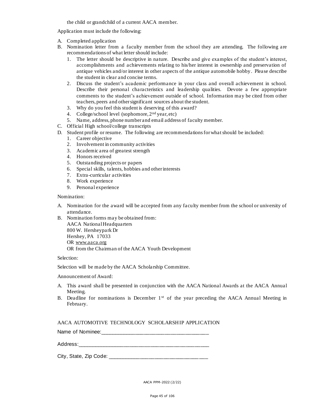the child or grandchild of a current AACA member.

Application must include the following:

- A. Completed application
- B. Nomination letter from a faculty member from the school they are attending. The following are recommendations of what letter should include:
	- 1. The letter should be descriptive in nature. Describe and give examples of the student's interest, accomplishments and achievements relating to his/her interest in ownership and preservation of antique vehicles and/or interest in other aspects of the antique automobile hobby . Please describe the student in clear and concise terms.
	- 2. Discuss the student's academic performance in your class and overall achievement in school. Describe their personal characteristics and leadership qualities. Devote a few appropriate comments to the student's achievement outside of school. Information may be cited from other teachers, peers and other significant sources about the student.
	- 3. Why do you feel this student is deserving of this award?
	- 4. College/school level (sophomore, 2nd year, etc)
	- 5. Name, address, phone number and email address of faculty member.
- C. Official High school/college transcripts
- D. Student profile or resume. The following are recommendations for what should be included:
	- 1. Career objective
	- 2. Involvement in community activities
	- 3. Academic area of greatest strength
	- 4. Honors received
	- 5. Outstanding projects or papers
	- 6. Special skills, talents, hobbies and other interests
	- 7. Extra-curricular activities
	- 8. Work experience
	- 9. Personal experience

#### Nomination:

- A. Nomination for the award will be accepted from any faculty member from the school or university of attendance.
- B. Nomination forms may be obtained from: AACA National Headquarters 800 W. Hersheypark Dr Hershey, PA 17033 OR [www.aaca.org](http://www.aaca.org/) OR from the Chairman of the AACA Youth Development

#### Selection:

Selection will be made by the AACA Scholarship Committee.

Announcement of Award:

- A. This award shall be presented in conjunction with the AACA National Awards at the AACA Annual Meeting.
- B. Deadline for nominations is December  $1<sup>st</sup>$  of the year preceding the AACA Annual Meeting in February.

#### AACA AUTOMOTIVE TECHNOLOGY SCHOLARSHIP APPLICATION

| Name of Nominee: |
|------------------|
|------------------|

Address:\_\_\_\_\_\_\_\_\_\_\_\_\_\_\_\_\_\_\_\_\_\_\_\_\_\_\_\_\_\_\_\_\_\_\_\_\_\_\_\_\_\_\_\_\_

City, State, Zip Code: \_\_\_\_\_\_\_\_\_\_\_\_\_\_\_\_\_\_\_\_\_\_\_\_\_\_\_\_\_\_\_\_\_\_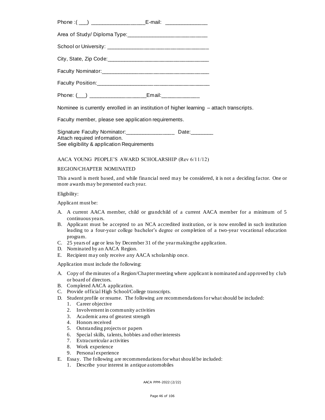| Phone: $(\_)$ ________________ | _Email:______________ |
|--------------------------------|-----------------------|

Nominee is currently enrolled in an institution of higher learning – attach transcripts.

Faculty member, please see application requirements.

Signature Faculty Nominator: Date: Attach required information. See eligibility & application Requirements

AACA YOUNG PEOPLE'S AWARD SCHOLARSHIP (Rev 6/11/12)

#### REGION/CHAPTER NOMINATED

This award is merit based, and while financial need may be considered, it is not a deciding factor. One or more awards may be presented each year.

Eligibility:

Applicant must be:

- A. A current AACA member, child or grandchild of a current AACA member for a minimum of 5 continuous years.
- B. Applicant must be accepted to an NCA accredited institution, or is now enrolled in such institution leading to a four-year college bachelor's degree or completion of a two-year vocational education program.
- C. 25 years of age or less by December 31 of the year making the application.
- D. Nominated by an AACA Region.
- E. Recipient may only receive any AACA scholarship once.

Application must include the following:

- A. Copy of the minutes of a Region/Chapter meeting where applicant is nominated and app roved by club or board of directors.
- B. Completed AACA application.
- C. Provide official High School/College transcripts.
- D. Student profile or resume. The following are recommendations for what should be included:
	- 1. Career objective
	- 2. Involvement in community activities
	- 3. Academic area of greatest strength
	- 4. Honors received
	- 5. Outstanding projects or papers
	- 6. Special skills, talents, hobbies and other interests
	- 7. Extracurricular activities
	- 8. Work experience
	- 9. Personal experience
- E. Essay. The following are recommendations for what should be included:
	- 1. Describe your interest in antique automobiles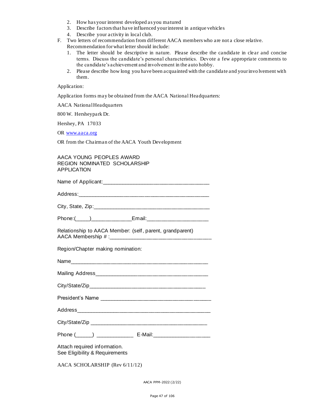- 2. How has your interest developed as you matured
- 3. Describe factors that have influenced your interest in antique vehicles
- 4. Describe your activity in local club.
- F. Two letters of recommendation from different AACA members who are not a close relative. Recommendation for what letter should include:
	- 1. The letter should be descriptive in nature. Please describe the candidate in clear and concise terms. Discuss the candidate's personal characteristics. Devote a few appropria te comments to the candidate's achievement and involvement in the auto hobby.
	- 2. Please describe how long you have been acquainted with the candidate and your invo lvement with them.

Application:

Application forms may be obtained from the AACA National Headquarters:

AACA National Headquarters

800 W. Hersheypark Dr.

Hershey, PA 17033

OR [www.aaca.org](http://www.aaca.org/)

OR from the Chairman of the AACA Youth Development

AACA YOUNG PEOPLES AWARD REGION NOMINATED SCHOLARSHIP APPLICATION

| Relationship to AACA Member: (self, parent, grandparent)                         |  |  |
|----------------------------------------------------------------------------------|--|--|
| Region/Chapter making nomination:                                                |  |  |
|                                                                                  |  |  |
|                                                                                  |  |  |
|                                                                                  |  |  |
|                                                                                  |  |  |
|                                                                                  |  |  |
|                                                                                  |  |  |
| Phone (______) _______________________ E-Mail:__________________________________ |  |  |
| Attach required information.<br>See Eligibility & Requirements                   |  |  |
| AACA SCHOLARSHIP (Rev 6/11/12)                                                   |  |  |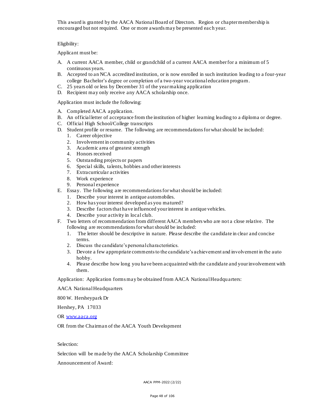This award is granted by the AACA National Board of Directors. Region or chapter membership is encouraged but not required. One or more awards may be presented each year.

#### Eligibility:

Applicant must be:

- A. A current AACA member, child or grandchild of a current AACA member for a minimum of 5 continuous years.
- B. Accepted to an NCA accredited institution, or is now enrolled in such institution leading to a four-year college Bachelor's degree or completion of a two-year vocational education program.
- C. 25 years old or less by December 31 of the year making application
- D. Recipient may only receive any AACA scholarship once.

Application must include the following:

- A. Completed AACA application.
- B. An official letter of acceptance from the institution of higher learning leading to a diploma or degree.
- C. Official High School/College transcripts
- D. Student profile or resume. The following are recommendations for what should be included:
	- 1. Career objective
	- 2. Involvement in community activities
	- 3. Academic area of greatest strength
	- 4. Honors received
	- 5. Outstanding projects or papers
	- 6. Special skills, talents, hobbies and other interests
	- 7. Extracurricular activities
	- 8. Work experience
	- 9. Personal experience
- E. Essay. The following are recommendations for what should be included:
	- 1. Describe your interest in antique automobiles.
	- 2. How has your interest developed as you matured?
	- 3. Describe factors that have influenced your interest in antique vehicles.
	- 4. Describe your activity in local club.
- F. Two letters of recommendation from different AACA members who are not a close relative. The following are recommendations for what should be included:
	- 1. The letter should be descriptive in nature. Please describe the candidate in clear and concise terms.
	- 2. Discuss the candidate's personal characteristics.
	- 3. Devote a few appropriate comments to the candidate's achievement and involvement in the auto hobby.
	- 4. Please describe how long you have been acquainted with the candidate and your involvement with them.

Application: Application forms may be obtained from AACA National Headquarters:

AACA National Headquarters

800 W. Hersheypark Dr

Hershey, PA 17033

OR [www.aaca.org](http://www.aaca.org/)

OR from the Chairman of the AACA Youth Development

#### Selection:

Selection will be made by the AACA Scholarship Committee

Announcement of Award: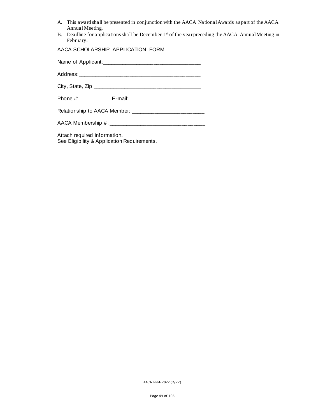- A. This award shall be presented in conjunction with the AACA National Awards as part of the AACA Annual Meeting.
- B. Deadline for applications shall be December 1<sup>st</sup> of the year preceding the AACA Annual Meeting in February.

AACA SCHOLARSHIP APPLICATION FORM

Name of Applicant:\_\_\_\_\_\_\_\_\_\_\_\_\_\_\_\_\_\_\_\_\_\_\_\_\_\_\_\_\_\_\_\_\_\_ Address:\_\_\_\_\_\_\_\_\_\_\_\_\_\_\_\_\_\_\_\_\_\_\_\_\_\_\_\_\_\_\_\_\_\_\_\_\_\_\_\_\_\_ City, State, Zip:\_\_\_\_\_\_\_\_\_\_\_\_\_\_\_\_\_\_\_\_\_\_\_\_\_\_\_\_\_\_\_\_\_\_\_\_\_ Phone #:\_\_\_\_\_\_\_\_\_\_\_\_E-mail: \_\_\_\_\_\_\_\_\_\_\_\_\_\_\_\_\_\_\_\_\_\_\_\_ Relationship to AACA Member: \_\_\_\_\_\_\_\_\_\_\_\_\_\_\_\_\_\_\_\_\_\_\_\_\_ AACA Membership # :\_\_\_\_\_\_\_\_\_\_\_\_\_\_\_\_\_\_\_\_\_\_\_\_\_\_\_\_\_\_\_\_\_

Attach required information. See Eligibility & Application Requirements.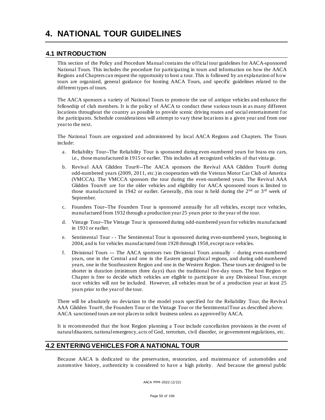#### **4.1 INTRODUCTION**

This section of the Policy and Procedure Manual contains the official tour guidelines for AACA-sponsored National Tours. This includes the procedure for participating in tours and information on how the AACA Regions and Chapters can request the opportunity to host a tour. This is followed by an explanation of how tours are organized, general guidance for hosting AACA Tours, and specific guidelines related to the different types of tours.

The AACA sponsors a variety of National Tours to promote the use of antique vehicles and enhance the fellowship of club members. It is the policy of AACA to conduct these various tours in as many different locations throughout the country as possible to provide scenic driving routes and social entertainment for the participants. Schedule considerations will attempt to vary these locations in a given year and from one year to the next.

The National Tours are organized and administered by local AACA Regions and Chapters. The Tours include:

- a. Reliability Tour--The Reliability Tour is sponsored during even-numbered years for brass era cars, i.e., those manufactured in 1915 or earlier. This includes all recognized vehicles of that vinta ge.
- b. Revival AAA Glidden Tour®--The AACA sponsors the Revival AAA Glidden Tour® during odd-numbered years (2009, 2011, etc.) in cooperation with the Veteran Motor Car Club of America (VMCCA). The VMCCA sponsors the tour during the even-numbered years. The Revival AAA Glidden Tours® are for the older vehicles and eligibility for AACA sponsored tours is limited to those manufactured in 1942 or earlier. Generally, this tour is held during the 2<sup>nd</sup> or 3<sup>rd</sup> week of September.
- c. Founders Tour--The Founders Tour is sponsored annually for all vehicles, except race vehicles, manufactured from 1932 through a production year 25 years prior to the year of the tour.
- d. Vintage Tour--The Vintage Tour is sponsored during odd-numbered years for vehicles manufactured in 1931 or earlier.
- e. Sentimental Tour - The Sentimental Tour is sponsored during even-numbered years, beginning in 2004, and is for vehicles manufactured from 1928 through 1958, except race vehicles.
- f. Divisional Tours --- The AACA sponsors two Divisional Tours annually during even-numbered years, one in the Central and one in the Eastern geographical regions, and during odd-numbered years, one in the Southeastern Region and one in the Western Region. These tours are designed to be shorter in duration (minimum three days) than the traditional five-day tours. The host Region or Chapter is free to decide which vehicles are eligible to participate in any Divisional Tour, except race vehicles will not be included. However, all vehicles must be of a production year at least 25 years prior to the year of the tour.

There will be absolutely no deviation to the model years specified for the Reliability Tour, the Revival AAA Glidden Tour®, the Founders Tour or the Vintage Tour or the Sentimental Tour as described above. AACA sanctioned tours are not places to solicit business unless as approved by AACA.

It is recommended that the host Region planning a Tour include cancellation provisions in the event of natural disasters, national emergency, acts of God, terrorism, civil disorder, or government regulations, etc.

#### **4.2 ENTERING VEHICLES FOR A NATIONAL TOUR**

Because AACA is dedicated to the preservation, restoration, and maintenance of automobiles and automotive history, authenticity is considered to have a high priority. And because the general public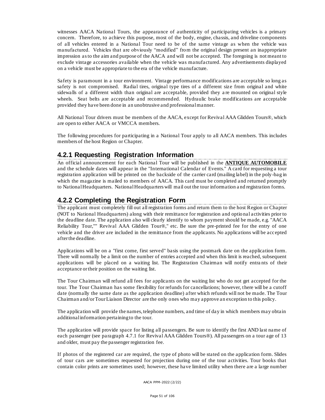witnesses AACA National Tours, the appearance of authenticity of participating vehicles is a primary concern. Therefore, to achieve this purpose, most of the body, engine, chassis, and driveline components of all vehicles entered in a National Tour need to be of the same vintage as when the vehicle was manufactured. Vehicles that are obviously "modified" from the original design present an inappropriate impression as to the aim and purpose of the AACA and will not be accepted. The foregoing is not meant to exclude vintage accessories available when the vehicle was manufactured. Any advertisements displayed on a vehicle must be appropriate to the era of the vehicle manufacture.

Safety is paramount in a tour environment. Vintage performance modifications are acceptable so long as safety is not compromised. Radial tires, original type tires of a different size from original and white sidewalls of a different width than original are acceptable, provided they a re mounted on original style wheels. Seat belts are acceptable and recommended. Hydraulic brake modifications are acceptable provided they have been done in an unobtrusive and professional manner.

All National Tour drivers must be members of the AACA, except for Revival AAA Glidden Tours®, which are open to either AACA or VMCCA members.

The following procedures for participating in a National Tour apply to all AACA members. This includes members of the host Region or Chapter.

# **4.2.1 Requesting Registration Information**

An official announcement for each National Tour will be published in the **ANTIQUE AUTOMOBILE** and the schedule dates will appear in the "International Calendar of Events." A card for requesting a tour registration application will be printed on the backside of the carrier card (mailing label) in the poly-bag in which the magazine is mailed to members of AACA. This card must be completed and returned promptly to National Headquarters. National Headquarters will mail out the tour information a nd registration forms.

# **4.2.2 Completing the Registration Form**

The applicant must completely fill out all registration forms and return them to the host Region or Chapter (NOT to National Headquarters) along with their remittance for registration and optio nal activities prior to the deadline date. The application also will clearly identify to whom payment should be made, e.g. "AACA Reliability Tour,"" Revival AAA Glidden Tour®," etc. Be sure the pre-printed fee for the entry of one vehicle and the driver are included in the remittance from the applicants. No applications will be accepted after the deadline.

Applications will be on a "first come, first served" basis using the postmark date on the application form. There will normally be a limit on the number of entries accepted and when this limit is reached, subsequent applications will be placed on a waiting list. The Registration Chairman will notify entra nts of their acceptance or their position on the waiting list.

The Tour Chairman will refund all fees for applicants on the waiting list who do not get accepted for the tour. The Tour Chairman has some flexibility for refunds for cancellations; however, there will be a cutoff date (normally the same date as the application deadline) after which refunds will not be made. The Tour Chairman and/or Tour Liaison Director are the only ones who may approve an exception to this policy.

The application will provide the names, telephone numbers, and time of day in which members may obtain additional information pertaining to the tour.

The application will provide space for listing all passengers. Be sure to identify the first AND last name of each passenger (see pa ragraph 4.7.1 for Revival AAA Glidden Tours®). All passengers on a tour age of 13 and older, must pay the passenger registration fee.

If photos of the registered car are required, the type of photo will be stated on the application form. Slides of tour cars are sometimes requested for projection during one of the tour activities. Tour books that contain color prints are sometimes used; however, these have limited utility when there are a large number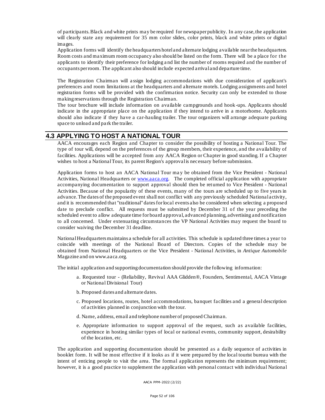of participants. Black and white prints may be required for newspaper publicity. In any case, the application will clearly state any requirement for 35 mm color slides, color prints, black and white prints or digital images.

Application forms will identify the headquarters hotel and alternate lodging available near the headquarters. Room costs and maximum room occupancy also should be listed on the form. There will be a place for the applicants to identify their preference for lodging a nd list the number of rooms required and the number of occupants per room. The applicant also should include expected arrival and departure time.

The Registration Chairman will a ssign lodging accommodations with due consideration of applicant's preferences and room limitations at the headquarters and alternate motels. Lodging assignments and hotel registration forms will be provided with the confirmation notice. Security can only be extended to those making reservations through the Registration Chairman.

The tour brochure will include information on available campgrounds and hook -ups. Applicants should indicate in the appropriate place on the application if they intend to arrive in a motorhome. Applicants should also indicate if they have a car-hauling trailer. The tour organizers will arrange adequate parking space to unload and pa rk the trailer.

#### **4.3 APPLYING TO HOST A NATIONAL TOUR**

AACA encourages each Region and Chapter to consider the possibility of hosting a National Tour. The type of tour will, depend on the preferences of the group members, their experience, and the availability of facilities. Applications will be accepted from any AACA Region or Chapter in good standing. If a Chapter wishes to host a National Tour, its parent Region's approval is necessary before submission.

Application forms to host an AACA National Tour ma y be obtained from the Vice President - National Activities, National Headquarters or [www.aaca.org.](http://www.aaca.org/) The completed official application with appropriate accompanying documentation to support approval should then be ret urned to Vice President - National Activities. Because of the popularity of these events, many of the tours are scheduled up to five years in advance. The dates of the proposed event shall not conflict with any previously scheduled National activity, and it is recommended that "traditional" dates for local events also be considered when selecting a proposed date to preclude conflict. All requests must be submitted by December 31 of the year preceding the scheduled event to allow adequate time for board approval, advanced planning, advertising and notification to all concerned. Under extenuating circumstances the VP National Activities may request the board to consider waiving the December 31 deadline.

National Headquarters maintains a schedule for all activities. This schedule is updated three times a year to coincide with meetings of the National Board of Directors. Copies of the schedule may be obtained from National Headquarters or the Vice President - National Activities, in *Antique Automobile* Magazine and on www.aaca.org.

The initial application and supporting documentation should provide the following information:

- a. Requested tour (Reliability, Revival AAA Glidden®, Founders, Sentimental, AACA Vintage or National Divisional Tour)
- b. Proposed da tes and alternate dates.
- c. Proposed locations, routes, hotel accommodations, banquet facilities and a general description of activities planned in conjunction with the tour.
- d. Name, address, email and telephone number of proposed Chairman.
- e. Appropriate information to support approval of the request, such as available facilities, experience in hosting similar types of local or national events, community support, desirability of the location, etc.

The application and supporting documentation should be presented as a daily sequence of activities in booklet form. It will be most effective if it looks as if it were prepared by the local tourist bureau with the intent of enticing people to visit the area. The formal application represents the minimum requirement; however, it is a good practice to supplement the application with personal contact with individual National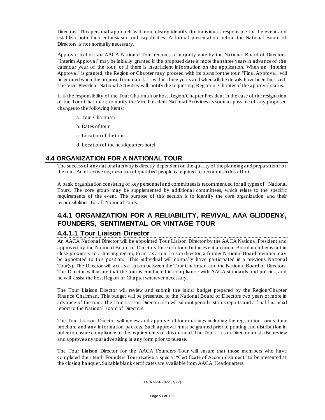Directors. This personal approach will more clearly identify the individuals responsible for the event and establish both their enthusiasm a nd capabilities. A formal presentation before the National Board of Directors is not normally necessary.

Approval to host an AACA National Tour requires a majority vote by the Na tional Board of Directors. "Interim Approval" may be initially granted if the proposed date is more than three years in advance of the calendar year of the tour, or if there is insufficient information on the application. When an "Interim Approval" is granted, the Region or Chapter may proceed with its plans for the tour. "Final Approval" will be granted when the proposed tour date falls within three years and when all the details have been finalized. The Vice President National Activities will notify the requesting Region or Chapter of the approval status.

It is the responsibility of the Tour Chairman or host Region/Chapter President in the case of the resignation of the Tour Chairman; to notify the Vice President National Activities as soon as possible of any proposed changes to the following items:

a. Tour Chairman

b. Dates of tour

. c. Location of the tour

d. Location of the headquarters hotel

#### **4.4 ORGANIZATION FOR A NATIONAL TOUR**

The success of any national activity is directly dependent on the quality of the planning and preparation for the tour. An effective organization of qualified people is required to accomplish this effort.

A basic organization consisting of key personnel and committees is recommended for all types of National Tours. The core group may be supplemented by additional committees, which relate to the specific requirements of the event. The purpose of this section is to identify the core organization and their responsibilities for all National Tours.

# **4.4.1 ORGANIZATION FOR A RELIABILITY, REVIVAL AAA GLIDDEN®, FOUNDERS, SENTIMENTAL OR VINTAGE TOUR**

#### **4.4.1.1 Tour Liaison Director**

An AACA National Director will be appointed Tour Liaison Director by the AACA National President and approved by the National Board of Directors for each tour. In the event a current Board member is not in close proximity to a hosting region, to act as a tour liaison director, a former National Board member may be appointed to this position. This individual will normally have participated in a previous National Tour(s). The Director will act as a liaison between the Tour Chairman and the National Board of Directors. The Director will insure that the tour is conducted in compliance with AACA standards and policies, and he will assist the host Region or Cha pter wherever necessary.

The Tour Liaison Director will review and submit the initial budget prepared by the Region/Chapter Finance Chairman. This budget will be presented to the National Board of Directors two years or more in advance of the tour. The Tour Liaison Director also will submit periodic status reports and a final fina ncial report to the National Board of Directors.

The Tour Liaison Director will review and approve all tour mailings including the registration forms, tour brochure and any information packets. Such approval must be granted prior to printing and distribution in order to ensure compliance of the requirements of this manual. The Tour Liaison Director must a lso review and approve any tour advertising in any form prior to release.

The Tour Liaison Director for the AACA Founders Tour will ensure that those mem bers who have completed their tenth Founders Tour receive a special "Certificate of Accomplishment" to be presented at the closing banquet. Suitable blank certificates are available from AACA Headquarters.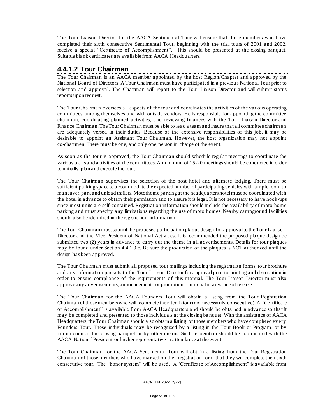The Tour Liaison Director for the AACA Sentimental Tour will ensure that those members who have completed their sixth consecutive Sentimental Tour, beginning with the trial tours of 2001 and 2002, receive a special "Certificate of Accomplishment". This should be presented at the closing banquet. Suitable blank certificates are available from AACA Headquarters.

#### **4.4.1.2 Tour Chairman**

The Tour Chairman is an AACA member appointed by the host Region/Chapter and approved by the National Board of Directors. A Tour Chairman must have participated in a previou s National Tour prior to selection and approval. The Chairman will report to the Tour Liaison Director and will submit status reports upon request.

The Tour Chairman oversees all aspects of the tour and coordinates the activities of the various operating committees among themselves and with outside vendors. He is responsible for appointing the committee chairman, coordinating planned activities, and reviewing finances with the Tour Liaison Director and Finance Chairman. The Tour Chairman must be able to lead a team and insure that all committee chairm en are adequately versed in their duties. Because of the extensive responsibilities of this job, it may be desirable to appoint an Assistant Tour Chairman. However, the host organization may not appoint co-chairmen. There must be one, and only one, person in charge of the event.

As soon as the tour is approved, the Tour Chairman should schedule regular meetings to coordinate the various plans and activities of the committees. A minimum of 15-20 meetings should be conducted in order to initially plan and execute the tour.

The Tour Chairman supervises the selection of the host hotel and alternate lodging. There must be sufficient parking space to accommodate the expected number of participating vehicles with ample room to maneuver, park and unload trailers. Motorhome parking at the headquarters hotel must be coordinated with the hotel in advance to obtain their permission and to assure it is legal. It is not necessary to have hook-ups since most units are self-contained. Registration information should include the availability of motorhome parking and must specify any limitations regarding the use of motorhomes. Nearby campground facilities should also be identified in the registration information.

The Tour Chairman must submit the proposed participation plaque design for approval to the Tour Lia ison Director and the Vice President of National Activities. It is recommended the proposed pla que design be submitted two (2) years in advance to carry out the theme in all advertisements. Details for tour plaques may be found under Section 4.4.1.9.c. Be sure the production of the plaques is NOT authorized until the design has been approved.

The Tour Chairman must submit all proposed tour mailings including the registration forms, tour brochure and any information packets to the Tour Liaison Director for approval prior to printing and distribution in order to ensure compliance of the requirements of this manual. The Tour Liaison Director must also approve any advertisements, announcements, or promotional material in advance of release.

The Tour Chairman for the AACA Founders Tour will obtain a listing from the Tour Registration Chairman of those members who will complete their tenth tour (not necessarily consecutive). A "Certificate of Accomplishment" is available from AACA Headquarters and should be obtained in advance so that it may be completed and presented to those individuals at the closing ba nquet. With the assistance of AACA Headquarters, the Tour Chairman should also obtain a listing of those members who have completed every Founders Tour. These individuals may be recognized by a listing in the Tour Book or Program, or by introduction at the closing banquet or by other means. Such recognition should be coordinated with the AACA National President or his/her representative in attendance at the event.

The Tour Cha irman for the AACA Sentimental Tour will obtain a listing from the Tour Registration Chairman of those members who have marked on their registration form that they will complete their sixth consecutive tour. The "honor system" will be used. A "Certificate of Accomplishment" is available from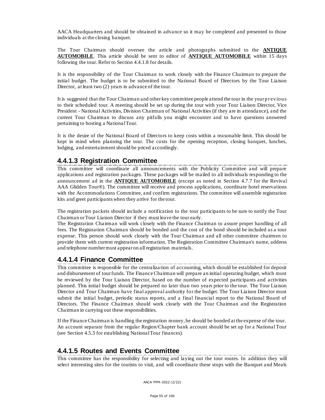AACA Headquarters and should be obtained in advance so it may be completed and presented to those individuals at the closing banquet.

The Tour Chairman should oversee the article and photographs submitted to the **ANTIQUE AUTOMOBILE**. This article should be sent to editor of **ANTIQUE AUTOMOBILE** within 15 days following the tour. Refer to Section 4.4.1.8 for details.

It is the responsibility of the Tour Chairman to work closely with the Finance Chairman to prepare the initial budget. The budget is to be submitted to the National Board of Directors by the Tour Liaison Director, at least two (2) years in advance of the tour.

It is suggested that the Tour Chairman and other key committee people attend the tour in the year pr evious to their scheduled tour. A meeting should be set up during the tour with your Tour Liaison Director, Vice President - National Activities, Division Chairman of National Activities (if they are in attendance), and the current Tour Chairman to discuss any pitfalls you might encounter and to have questions answered pertaining to hosting a National Tour.

It is the desire of the National Board of Directors to keep costs within a reasonable limit. This should be kept in mind when planning the tour. The costs for the opening reception, closing banquet, lunches, lodging, and enterta inment should be priced accordingly.

# **4.4.1.3 Registration Committee**

This committee will coordinate all announcements with the Publicity Committee and will prepare applications and registration packages. These packages will be mailed to all individuals responding to the announcement ad in the **ANTIQUE AUTOMOBILE** (except as noted in Section 4.7.7 for the Revival AAA Glidden Tour®). The committee will receive and process applications, coordinate hotel reservations with the Accommodations Committee, and confirm registrations. The committee will assemble registration kits and greet participants when they arrive for the tour.

The registration packets should include a notification to the tour participants to be sure to notify the Tour Chairman or Tour Liaison Director if they must leave the tour early.

The Registration Chairman will work closely with the Finance Chairman to assure proper handling of all fees. The Registration Chairman should be bonded and the cost of the bond should be included as a tour expense. This person should work closely with the Tour Chairman and all other committee chairmen to provide them with current registration information. The Registration Committee Chairman's name, address and telephone number must appear on all registration materials.

# **4.4.1.4 Finance Committee**

This committee is responsible for the centraliza tion of accounting, which should be established for deposit and disbursement of tour funds. The Finance Chairman will prepare an initial operating budget, which must be reviewed by the Tour Liaison Director, based on the number of expected participants and activities planned. This initial budget should be prepared no later than two years prior to the tour. The Tour Liaison Director and Tour Chairman have final approval authority for the budget. The Tour Liaison Director must submit the initial budget, periodic status reports, and a final financial report to the National Board of Directors. The Finance Chairman should work closely with the Tour Chairman and the Registration Chairman in carrying out these responsibilities.

If the Finance Chairman is handling the registration money, he should be bonded at the expense of the tour. An account separate from the regular Region/Chapter bank account should be set up for a National Tour (see Section 4.5.3 for establishing National Tour finances).

#### **4.4.1.5 Routes and Events Committee**

This committee has the responsibility for selecting and laying out the tour routes. In addition they will select interesting sites for the tourists to visit, and will coordinate these stops with the Banquet and Meals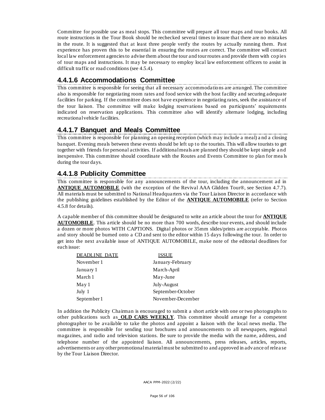Committee for possible use as meal stops. This committee will prepare all tour maps and tour books. All route instructions in the Tour Book should be rechecked several times to insure that there are no mistakes in the route. It is suggested that at least three people verify the routes by actually running them. Past experience has proven this to be essential in ensuring the routes are correct. The committee will contact local law enforcement agencies to advise them about the tour and tour routes and provide them with copies of tour maps and instructions. It may be necessary to employ local law enforcement officers to assist in difficult traffic or road conditions (see 4.5.4).

# **4.4.1.6 Accommodations Committee**

This committee is responsible for seeing that all necessary accommodations are arranged. The committee also is responsible for negotiating room rates and food service with the host facility and securing adequate facilities for parking. If the committee does not have experience in negotiating rates, seek the assistance of the tour liaison. The committee will make lodging reservations based on participants' requirements indicated on reservation applications. This committee also will identify alternate lodging, including recreational vehicle facilities.

# **4.4.1.7 Banquet and Meals Committee**

This committee is responsible for planning an opening reception (which may include a meal) a nd a closing banquet. Evening meals between these events should be left up to the tourists. This will allow tourists to get together with friends for personal activities. If additional meals are planned they should be kept simple a nd inexpensive. This committee should coordinate with the Routes and Events Committee to plan for mea ls during the tour days.

# **4.4.1.8 Publicity Committee**

This committee is responsible for any announcements of the tour, including the announcement ad in **ANTIQUE AUTOMOBILE** (with the exception of the Revival AAA Glidden Tour®, see Section 4.7.7). All materials must be submitted to National Headquarters via the Tour Liaison Director in accordance with the publishing guidelines established by the Editor of the **ANTIQUE AUTOMOBILE** (refer to Section 4.5.8 for details).

A capable member of this committee should be designated to write an article about the tour for **ANTIQUE AUTOMOBILE**. This article should be no more than 700 words, describe tour events, and should include a dozen or more photos WITH CAPTIONS. Digital photos or 35mm slides/prints are acceptable. Photos and story should be burned onto a CD and sent to the editor within 15 days following the tour. In order to get into the next available issue of ANTIQUE AUTOMOBILE, make note of the editorial deadlines for each issue:

| <b>DEADLINE DATE</b> | ISSUE             |
|----------------------|-------------------|
| November 1           | January-February  |
| January 1            | March-April       |
| March 1              | May-June          |
| May 1                | July-August       |
| July 1               | September-October |
| September 1          | November-December |

In addition the Publicity Chairman is encouraged to submit a short article with one or two photographs to other publications such as **OLD CARS WEEKLY**. This committee should arrange for a competent photographer to be available to take the photos and appoint a liaison with the local news media. The committee is responsible for sending tour brochures a nd announcements to all newspapers, regional magazines, and radio and television stations. Be sure to provide the media with the name, address, and telephone number of the appointed liaison. All announcements, press releases, articles, reports, advertisements or any other promotional material must be submitted to and approved in adv ance of relea se by the Tour Liaison Director.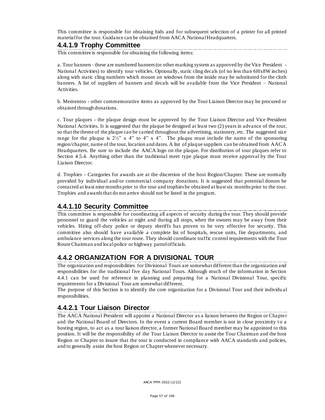This committee is responsible for obtaining bids and for subsequent selection of a printer for all printed material for the tour. Guidance can be obtained from AACA National Headquarters.

# **4.4.1.9 Trophy Committee**

This committee is responsible for obtaining the following items:

a. Tour banners - these are numbered banners (or other marking system as approved by the Vice President - National Activities) to identify tour vehicles. Optionally, static cling decals (of no less than 6Hx8W inches) along with static cling numbers which mount on windows from the inside may be substituted for the cloth banners. A list of suppliers of banners and decals will be available from the Vice President – National Activities.

b. Mementos - other commemorative items as approved by the Tour Liaison Director may be procured or obtained through donations.

c. Tour plaques - the plaque design must be approved by the Tour Liaison Director and Vice President National Activities. It is suggested that the plaque be designed at least two (2) years in advance of the tour, so that the theme of the plaque can be carried throughout the advertising, stationery, etc. The suggested size range for the plaque is  $2\frac{1}{2}$ " x 4" to 4" x 4". The plaque must include the name of the sponsoring region/chapter, name of the tour, location and dates. A list of plaque suppliers can be obtained from AACA Headquarters. Be sure to include the AACA logo on the plaque. For distribution of tour plaques refer to Section 4.5.4. Anything other than the traditional meet type plaque must receive approval by the Tour Liaison Director.

d. Trophies - Categories for awards are at the discretion of the host Region/Chapter. These are normally provided by individual and/or commercial company donations. It is suggested that potential donors be contacted at least nine months prior to the tour and trophies be obtained at least six months prior to the tour. Trophies and awards that do not arrive should not be listed in the program.

# **4.4.1.10 Security Committee**

This committee is responsible for coordinating all aspects of security during th e tour. They should provide personnel to guard the vehicles at night and during all stops, when the owners may be away from their vehicles. Hiring off-duty police or deputy sheriffs has proven to be very effective for security. This committee also should have available a complete list of hospitals, rescue units, fire departments, and ambulance services along the tour route. They should coordinate traffic control requirements with the Tour Route Chairman and local police or highway patrol officials.

# **4.4.2 ORGANIZATION FOR A DIVISIONAL TOUR**

The organization and responsibilities for Divisional Tours are somewhat different than the organization and responsibilities for the traditional five day National Tours. Although much of the information in Section 4.4.1 can be used for reference in planning and preparing for a National Divisional Tour, specific requirements for a Divisional Tour are somewhat different.

The purpose of this Section is to identify the core organization for a Divisional Tour and their individu al responsibilities.

# **4.4.2.1 Tour Liaison Director**

The AACA National President will appoint a National Director as a liaison between the Region or Chapter and the National Board of Directors. In the event a current Board member is not in close proximity to a hosting region, to act as a tour liaison director, a former National Board member may be appointed to this position. It will be the responsibility of the Tour Liaison Director to assist the Tour Chairman and the host Region or Chapter to insure that the tour is conducted in compliance with AACA standards and policies, and to generally assist the host Region or Chapter whenever necessary.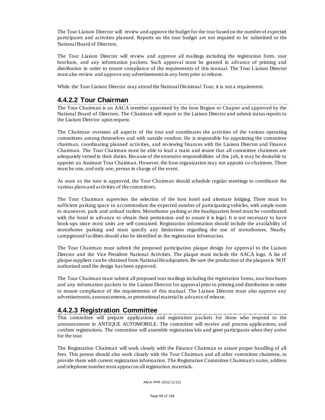The Tour Liaison Director will review and approve the budget for the tour based on the number of expected participants and activities planned. Reports on the tour budget are not required to be submitted to the National Board of Directors.

The Tour Liaison Director will review and approve all mailings including the registration form, tour brochure, and any information packets. Such approval must be granted in advance of printing and distribution in order to ensure compliance of the requirements of this manual. The Tour Liaison Director must also review and approve any advertisements in any form prior to release.

While the Tour Liaison Director may attend the National Divisional Tour, it is not a requirement.

### **4.4.2.2 Tour Chairman**

The Tour Chairman is an AACA member appointed by the host Region or Chapter and approved by the National Board of Directors. The Chairman will report to the Liaison Director and submit status reports to the Liaison Director upon request.

The Chairman oversees all aspects of the tour and coordinates the activities of the various operating committees among themselves and with outside vendors. He is responsible for appointing the committee chairman, coordinating planned activities, and reviewing finances with the Liaison Director and Finance Chairman. The Tour Chairman must be able to lead a team and insure that all committee chairmen are adequately versed in their duties. Because of the extensive responsibilities of this job, it may be desirable to appoint an Assistant Tour Chairman. However, the host organization may not appoint co-chairmen. There must be one, and only one, person in charge of the event.

As soon as the tour is approved, the Tour Chairman should schedule regular meetings to coordinate the various plans and activities of the committees.

The Tour Chairman supervises the selection of the host hotel and alternate lodging. There must b e sufficient parking space to accommodate the expected number of participatin g vehicles, with ample room to maneuver, park and unload trailers. Motorhome parking at the headquarters hotel must be coordinated with the hotel in advance to obtain their permission and to assure it is legal. It is not necessary to have hook-ups since most units are self-contained. Registration information should include the availability of motorhome parking and must specify any limitations regarding the use of motorhomes. Nearby campground facilities should also be identified in the registration information.

The Tour Chairman must submit the proposed participation plaque design for approval to the Liaison Director and the Vice President National Activities. The plaque must include the AACA logo. A list of plaque suppliers can be obtained from National Headquarters. Be sure the production of the plaques is NOT authorized until the design has been approved.

The Tour Chairman must submit all proposed tour mailings including the registration forms, tour brochures and any information packets to the Liaison Director for approval prior to printing and distribution in order to ensure compliance of the requirements of this manual. The Liaison Director must also approve any advertisements, announcements, or promotional material in advance of release.

# **4.4.2.3 Registration Committee**

This committee will prepare applications and registration packets for those who respond to the announcement in ANTIQUE AUTOMOBILE. The committee will receive and process applications, and confirm registrations. The committee will assemble registration kits and greet participants when they arrive for the tour.

The Registration Chairman will work closely with the Finance Chairman to assure proper handling of all fees. This person should also work closely with the Tour Chairman and all other committee chairmen, to provide them with current registration information. The Registration Committee Chairman's name, address and telephone number must appear on all registration materials.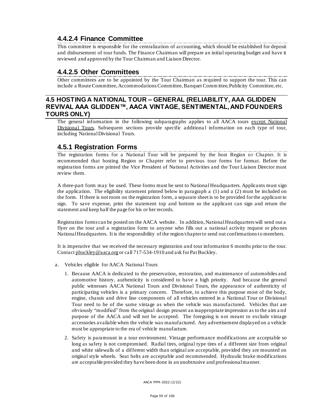# **4.4.2.4 Finance Committee**

This committee is responsible for the centralization of accounting, which should be established for deposit and disbursement of tour funds. The Finance Chairman will prepare an initial operating budget and have it reviewed and approved by the Tour Chairman and Liaison Director.

# **4.4.2.5 Other Committees**

Other committees are to be appointed by the Tour Chairman as required to support the tour. This can include a Route Committee, Accommodations Committee, Banquet Comm ittee, Publicity Committee, etc.

# **4.5 HOSTING A NATIONAL TOUR – GENERAL (RELIABILITY, AAA GLIDDEN REVIVAL AAA GLIDDEN™, AACA VINTAGE, SENTIMENTAL, AND FOUNDERS TOURS ONLY)**

The general information in the following subparagraphs applies to all AACA tours except National Divisional Tours. Subsequent sections provide specific additional information on each type of tour, including National Divisional Tours.

# **4.5.1 Registration Forms**

The registration forms for a National Tour will be prepared by the host Region or Chapter. It is recommended that hosting Region or Chapter refer to previous tour forms for format. Before the registration forms are printed the Vice President of National Activities and the Tour Liaison Director must review them.

A three-part form may be used. These forms must be sent to National Headquarters. Applicants must sign the application. The eligibility statement printed below in paragraph a (1) and a (2) must be included on the form. If there is not room on the registration form, a separate sheet is to be provided for the applicant to sign. To save expense, print the statement top and bottom so the applicant can sign and return the statement and keep half the page for his or her records.

Registration forms can be posted on the AACA website. In addition, National Headquarters will send out a flyer on the tour and a registration form to anyone who fills out a national activity request or pho nes National Headquarters. It is the responsibility of the region/chapter to send out confirmations to members.

It is imperative that we received the necessary registration and tour information 6 months prior to the tour. Contac[t pbuckley@aaca.org](mailto:pbuckley@aaca.org) or call 717-534-1910 and ask for Pat Buckley.

- a. Vehicles eligible for AACA National Tours
	- 1. Because AACA is dedicated to the preservation, restoration, and maintenance of automobiles and automotive history, authenticity is considered to have a high priority. And because the general public witnesses AACA National Tours and Divisional Tours, the appearance of authenticity of participating vehicles is a primary concern. Therefore, to achieve this purpose most of the body, engine, chassis and drive line components of all vehicles entered in a National Tour or Divisional Tour need to be of the same vintage as when the vehicle was manufactured. Vehicles that are obviously "modified" from the original design present an inappropriate impression as to the aim a nd purpose of the AACA and will not be accepted. The foregoing is not meant to exclude vintage accessories available when the vehicle was manufactured. Any advertisement displayed on a vehicle must be appropriate to the era of vehicle manufacture.
	- 2. Safety is paramount in a tour environment. Vintage performance modifications are acceptable so long as safety is not compromised. Radial tires, original type tires of a different size from original and white sidewalls of a different width than original are acceptable, provided they are mounted on original style wheels. Seat belts are acceptable and recommended. Hydraulic brake modifications are acceptable provided they have been done in an unobtrusive and professional manner.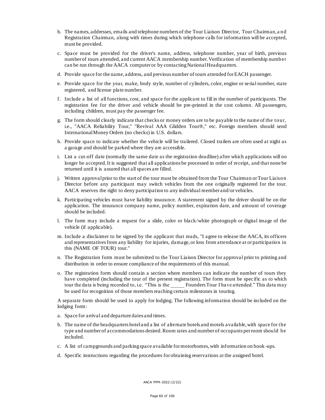- b. The names, addresses, emails and telephone numbers of the Tour Liaison Director, Tour Chairman, a nd Registration Chairman, along with times during which telephone calls for information will be accepted, must be provided.
- c. Space must be provided for the driver's name, address, telephone number, year of birth, previous number of tours attended, and current AACA membership number. Verification of membership number can be run through the AACA computer or by contacting National Headquarters.
- d. Provide space for the name, address, and previous number of tours attended for EACH passenger.
- e. Provide space for the year, make, body style, number of cylinders, color, engine or serial number, state registered, and license plate number.
- f. Include a list of all functions, cost, and space for the applicant to fill in the number of participants. The registration fee for the driver and vehicle should be pre-printed in the cost column. All passengers, including children, must pay the passenger fee.
- g. The form should clearly indicate that checks or money orders are to be payable to the name of the tour, i.e., "AACA Reliability Tour," "Revival AAA Glidden Tour®," etc. Foreign members should send International Money Orders (no checks) in U.S. dollars.
- h. Provide space to indicate whether the vehicle will be trailered. Closed trailers are often used at night as a garage and should be parked where they are accessible.
- i. List a cut-off date (normally the same date as the registration deadline) after which applications will no longer be accepted. It is suggested that all applications be processed in order of receipt, and that none be returned until it is assured that all spaces are filled.
- j. Written approval prior to the start of the tour must be obtained from the Tour Chairman or Tour Liaison Director before any participant may switch vehicles from the one originally registered for the tour. AACA reserves the right to deny participation to any individual member and/or vehicles.
- k. Participating vehicles must have liability insurance. A statement signed by the driver should be on the application. The insurance company name, policy number, expiration date, and amount of coverage should be included.
- l. The form may include a request for a slide, color or black/white photograph or digital image of the vehicle (if applicable).
- m. Include a disclaimer to be signed by the applicant that reads, "I agree to release the AACA, its officers and representatives from any liability for injuries, damage, or loss from attendance at or participation in this (NAME OF TOUR) tour."
- n. The Registration form must be submitted to the Tour Liaison Director for approval prior to printing and distribution in order to ensure compliance of the requirements of this manual.
- o. The registration form should contain a section where members can indicate the number of tours they have completed (including the tour of the present registration). The form must be specific as to which tour the data is being recorded to, i.e. "This is the Founders Tour I have attended." This data may be used for recognition of those members reaching certain milestones in touring.

A separate form should be used to apply for lodging. The following information should be included on the lodging form:

- a. Space for arrival and departure dates and times.
- b. The name of the headquarters hotel and a list of alternate hotels and motels available, with space for the type and number of accommodations desired. Room rates and number of occupants per room should be included.
- c. A list of campgrounds and parking space available for motorhomes, with information on hook -ups.
- d. Specific instructions regarding the procedures for obtaining reservations at the assigned hotel.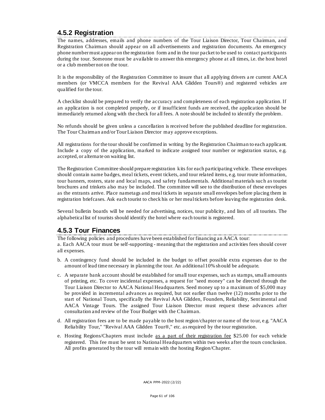# **4.5.2 Registration**

The names, addresses, emails and phone numbers of the Tour Liaison Director, Tour Chairman, and Registration Chairman should appear on all advertisements and registration documents. An emergency phone numbermust appear on the registration form and in the tour packet to be used to contact participants during the tour. Someone must be available to answer this emergency phone at all times, i.e. the host hotel or a club member not on the tour.

It is the responsibility of the Registration Committee to insure that all applying drivers a re current AACA members (or VMCCA members for the Revival AAA Glidden Tours®) and registered vehicles are qualified for the tour.

A checklist should be prepared to verify the accuracy and completeness of each registration application. If an application is not completed properly, or if insufficient funds are received, the application should be immediately returned along with the check for all fees. A note should be included to identify the problem.

No refunds should be given unless a cancellation is received before the published deadline for registration. The Tour Chairman and/or Tour Liaison Director may approve exceptions.

All registrations for the tour should be confirmed in writing by the Registration Chairman to each applicant. Include a copy of the application, marked to indicate assigned tour number or registration status, e.g. accepted, or alterna te on waiting list.

The Registration Committee should prepare registration kits for each participating vehicle. These envelopes should contain name badges, meal tickets, event tickets, and tour related items, e.g. tour route information, tour banners, rosters, state and local maps, and safety fundamentals. Additional materials such as tourist brochures and trinkets also may be included. The committee will see to the distribution of these envelopes as the entrants arrive. Place nametags and meal tickets in separate small envelopes before placing them in registration briefcases. Ask each tourist to check his or her meal tickets before leaving the registration desk.

Several bulletin boards will be needed for advertising, notices, tour publicity, and lists of all tourists. The alphabetical list of tourists should identify the hotel where each tourist is registered.

#### **4.5.3 Tour Finances**

The following policies and procedures have been established for financing an AACA tour: a. Each AACA tour must be self-supporting - meaning that the registration and activities fees should cover all expenses.

- b. A contingency fund should be included in the budget to offset possible extra expenses due to the amount of lead time necessary in planning the tour. An additional 10% should be adequate.
- c. A separate bank account should be established for small tour expenses, such as stamps, small amounts of printing, etc. To cover incidental expenses, a request for "seed money" can be directed through the Tour Liaison Director to AACA National Headquarters. Seed money up to a maximum of \$5,000 may be provided in incremental advances as required, but not earlier than twelve (12) months prior to the start of National Tours, specifically the Revival AAA Glidden, Founders, Reliability, Sentimental and AACA Vintage Tours. The assigned Tour Liaison Director must request these advances after consultation and review of the Tour Budget with the Chairman.
- d. All registration fees are to be made payable to the host region/chapter or name of the to ur, e.g. "AACA Reliability Tour," "Revival AAA Glidden Tour®," etc. as required by the tour registration.
- e. Hosting Regions/Chapters must include as a part of their registration fee \$25.00 for each vehicle registered. This fee must be sent to National Headquarters within two weeks after the tours conclusion. All profits generated by the tour will remain with the hosting Region/Chapter.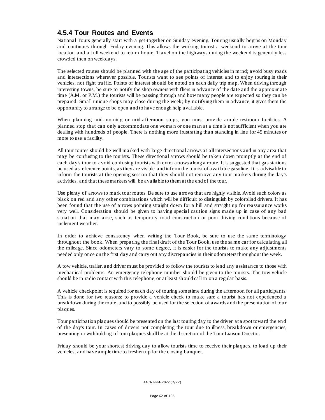# **4.5.4 Tour Routes and Events**

National Tours generally start with a get-together on Sunday evening. Touring usually begins on Monday and continues through Friday evening. This allows the working tourist a weekend to arrive at the tour location and a full weekend to return home. Travel on the highways during the weekend is generally less crowded then on weekdays.

The selected routes should be planned with the age of the participating vehicles in mind; avoid busy roads and intersections wherever possible. Tourists want to see points of interest and to enjoy touring in their vehicles, not fight traffic. Points of interest should be noted on each daily trip map. When driving through interesting towns, be sure to notify the shop owners with fliers in advance of the date and the approximate time (A.M. or P.M.) the tourists will be passing through and how many people are expected so they can be prepared. Small unique shops may close during the week; by notifying them in advance, it gives them the opportunity to arrange to be open and to have enough help available.

When planning mid-morning or mid-afternoon stops, you must provide ample restroom facilities. A planned stop that can only accommodate one woma n or one man at a time is not sufficient when you are dealing with hundreds of people. There is nothing more frustrating than standing in line for 45 minutes or more to use a facility.

All tour routes should be well marked with large directional arrows at all intersections and in any area that may be confusing to the tourists. These directional arrows should be taken down promptly at the end of each day's tour to avoid confusing tourists with extra arrows along a route. It is suggested that gas stations be used as reference points, as they are visible and inform the tourist of available gasoline. It is advisable to inform the tourists at the opening session that they should not remove any tour markers during the day's activities, and that these markers will be available to them at the end of the tour.

Use plenty of arrows to mark tour routes. Be sure to use arrows that are highly visible. Avoid such colors as black on red and any other combinations which will be difficult to distinguish by colorblind drivers. It has been found that the use of arrows pointing straight down for a hill and straight up for reassurance works very well. Consideration should be given to having special caution signs made up in case of any bad situation that may arise, such as temporary road construction or poor driving conditions because of inclement weather.

In order to achieve consistency when writing the Tour Book, be sure to use the same terminology throughout the book. When preparing the final draft of the Tour Book, use the sa me car for calculating all the mileage. Since odometers vary to some degree, it is easier for the tourists to make any adjustments needed only once on the first day and carry out any discrepancies in their odometers throughout the week.

A tow vehicle, tra iler, and driver must be provided to follow the tourists to lend any assistance to those with mechanical problems. An emergency telephone number should be given to the tourists. The tow vehicle should be in radio contact with this telephone, or at least should call in on a regular basis.

A vehicle checkpoint is required for each day of touring sometime during the afternoon for all participants. This is done for two reasons: to provide a vehicle check to make sure a tourist has not experienced a breakdown during the route, and to possibly be used for the selection of awards and the presentation of tour plaques.

Tour participation plaques should be presented on the last touring day to the driver at a spot toward the end of the day's tour. In cases of drivers not completing the tour due to illness, breakdown or emergencies, presenting or withholding of tour plaques shall be at the discretion of the Tour Liaison Director.

Friday should be your shortest driving day to allow tourists time to receive their plaques, to load up their vehicles, and have ample time to freshen up for the closing banquet.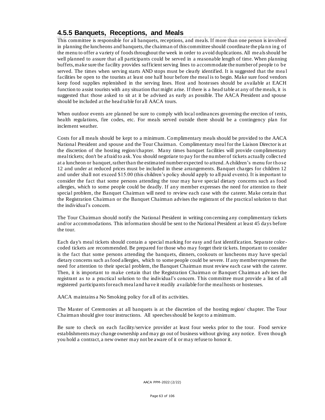# **4.5.5 Banquets, Receptions, and Meals**

This committee is responsible for all banquets, receptions, and meals. If more than one person is involved in planning the luncheons and banquets, the chairman of this committee should coordinate the pla nn ing of the menu to offer a variety of foods throughout the week in order to avoid duplications. All me als should be well planned to assure that all participants could be served in a reasonable length of time. When planning buffets, make sure the facility provides sufficient serving lines to accommodate the number of people to be served. The times when serving starts AND stops must be clearly identified. It is suggested that the mea l facilities be open to the tourists at least one half hour before the meal is to begin. Make sure food vendors keep food supplies replenished in the serving lines. Host and hostesses should be available at EACH function to assist tourists with any situation that might arise. If there is a head table at any of the meals, it is suggested that those asked to sit at it be advised as early as possible. The AACA President and spouse should be included at the head table for all AACA tours.

When outdoor events are planned be sure to comply with local ordinances governing the erection of tents, health regulations, fire codes, etc. For meals served outside there should be a contingency plan for inclement weather.

Costs for all meals should be kept to a minimum. Complimentary meals should be provided to the AACA National President and spouse and the Tour Chairman. Complimentary meal for the Liaison Director is at the discretion of the hosting region/chapter. Many times banquet facilities will provide complimentary meal tickets; don't be afraid to ask. You should negotiate to pay for the number of tickets actually collected at a luncheon or banquet, rather than the estimated number expected to attend. A children's menu for those 12 and under at reduced prices must be included in these arrangements. Banquet charges for children 12 and under shall not exceed \$15.00 (this children's policy should apply to all paid events). It is important to consider the fact that some persons attending the tour may have special dietary concerns such as food allergies, which to some people could be deadly. If any member expresses the need for attention to their special problem, the Banquet Chairman will need to review each case with the caterer. Make certain that the Registration Chairman or the Banquet Chairman advises the registrant of the practical solution to that the individual's concern.

The Tour Chairman should notify the National President in writing con cerning any complimentary tickets and/or accommodations. This information should be sent to the National President at least 45 days before the tour.

Each day's meal tickets should contain a special marking for easy and fast identification. Separate colorcoded tickets are recommended. Be prepared for those who may forget their tickets. Important to consider is the fact that some persons attending the banquets, dinners, cookouts or luncheons may have special dietary concerns such as food allergies, which to some people could be severe. If any member expresses the need for attention to their special problem, the Banquet Chairman must review each case with the caterer. Then, it is important to make certain that the Registration Chairman or Banquet Chairman adv ises the registrant as to a practical solution to the individual's concern. This committee must provide a list of all registered participants for each mea l and have it readily available for the meal hosts or hostesses.

AACA maintains a No Smoking policy for all of its activities.

The Master of Ceremonies at all banquets is at the discretion of the hosting region/ chapter. The Tour Chairman should give tour instructions. All speeches should be kept to a minimum.

Be sure to check on each facility/service provider at least four weeks prior to the tour. Food service establishments may change ownership and may go out of business without giving any notice. Even though you hold a contract, a new owner may not be aware of it or may refuse to honor it.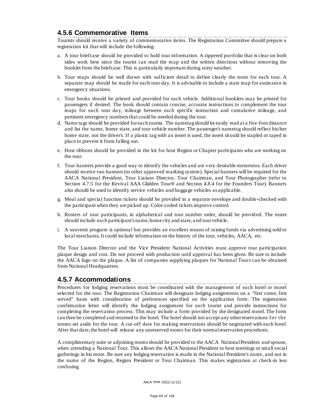# **4.5.6 Commemorative Items**

Tourists should receive a variety of commemorative items. The Registration Committee should prepare a registration kit that will include the following:

- a. A tour briefcase should be provided to hold tour information. A zippered portfolio that is clear on both sides work best since the tourist can read the map and the written directions without removing the booklet from the briefcase. This is particularly important during rainy weather.
- b. Tour maps should be well drawn with sufficient detail to define clearly the route for each tour. A separate map should be made for each tour day. It is advisable to include a state map for assistance in emergency situations.
- c. Tour books should be printed and provided for each vehicle. Additio nal booklets may be printed for passengers if desired. The book should contain concise, accurate instructions to complement the tour maps for each tour day, mileage between each specific instruction and cumulative mileage, and pertinent emergency numbers that could be needed during the tour.
- d. Name tags should be provided for each tourist. The nametag should be easily read at a five-foot distance and list the name, home state, and tour vehicle number. The passenger's nametag should reflect his/her home state, not the driver's. If a plastic tag with an insert is used, the insert should be stapled or taped in place to prevent it from falling out.
- e. Host ribbons should be provided in the kit for host Region or Chapter participants who are working on the tour.
- f. Tour banners provide a good way to identify the vehicles and are very desirable mementos. Each driver should receive two banners (or other approved marking system). Special banners will be required for the AACA National President, Tour Liaison Director, Tour Chairman, and Tour Photographer (refer to Section 4.7.5 for the Revival AAA Glidden Tour® and Section 4.8.4 for the Founders Tour). Banners also should be used to identify service vehicles and baggage vehicles as applicable.
- g. Meal and special function tickets should be provided in a separate envelope and double -checked with the participant when they are picked up. Color-coded tickets improve control.
- h. Rosters of tour participants, in alphabetical and tour number order, should be provided. The roster should include each participant's name, home city and state, a nd tour vehicle.
- i. A souvenir program is optional but provides an excellent means of raising funds via advertising sold to local merchants. It could include information on the history of the tour, vehicles, AACA, etc.

The Tour Liaison Director and the Vice President National Activities must approve tour participation plaque design and cost. Do not proceed with production until approval has been given. Be sure to include the AACA logo on the plaque. A list of companies supplying plaques for National Tours can be obtained from National Headquarters.

#### **4.5.7 Accommodations**

Procedures for lodging reservations must be coordinated with the management of each hotel or motel selected for the tour. The Registration Chairman will designate lodging assignments on a "first come, first served" basis with consideration of preferences specified on the application form. The registration confirmation letter will identify the lodging assignment for each tourist and provide instructions for completing the reservation process. This may include a form provided by the designated motel. The form can then be completed and returned to the hotel. The hotel should not accept any other reservations for the rooms set aside for the tour. A cut-off date for making reservations should be negotiated with each hotel. After that date, the hotel will release any unreserved rooms for their normal reservation procedures.

A complimentary suite or adjoining rooms should be provided to the AACA National President and spouse, when attending a National Tour. This allows the AACA National President to host meetings or small social gatherings in his room. Be sure any lodging reservation is made in the National President's name, and not in the name of the Region, Region President or Tour Chairman. This makes registration at check-in less confusing.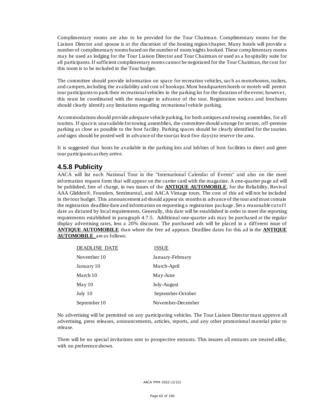Complimentary rooms are also to be provided for the Tour Chairman. Complimentary rooms for the Liaison Director and spouse is at the discretion of the hosting region/chapter. Many hotels will provide a number of complimentary rooms based on the number of room/nights booked. These comp limentary rooms may be used as lodging for the Tour Liaison Director and Tour Chairman or used as a ho spitality suite for all participants. If sufficient complimentary rooms cannot be negotiated for the Tour Chairman, the cost for this room is to be included in the Tour budget.

The committee should provide information on space for recreation vehicles, such as motorhomes, trailers, and campers, including the availability and cost of hookups. Most headquarters hotels or motels will permit tour participants to park their recreational vehicles in the parking lot for the duration of the event; however, this must be coordinated with the manager in advance of the tour. Registration notice s and brochures should clearly identify any limitations regarding recreationa l vehicle parking.

Accommodations should provide adequate vehicle parking, for both antiques and towing assemblies, for all tourists. If space is unavailable for towing assemblies, the committee should arrange for secure, off-premise parking as close as possible to the host facility. Parking spaces should be clearly identified for the tourists and signs should be posted well in advance of the tour (at least five days) to reserve the area.

It is suggested that hosts be available in the parking lots and lobbies of host facilities to direct and greet tour participants as they arrive.

# **4.5.8 Publicity**

AACA will list each National Tour in the "International Calendar of Events" and also on the meet information request form that will appear on the carrier card with the magazine. A one-quarter page ad will be published, free of charge, in two issues of the **ANTIQUE AUTOMOBILE**, for the Reliability, Revival AAA Glidden®, Founders, Sentimental, and AACA Vintage tours. The cost of this ad will not be included in the tour budget. This announcement ad should appear six months in advance of the tour and must contain the registration deadline date and information on requesting a registration package. Set a reasonable cutof f date as dictated by local requirements. Generally, this date will be established in order to meet the reporting requirements established in paragraph 4.7.5. Additional one-quarter ads may be purchased at the regular display advertising rates, less a 20% discount. The purchased ads will be placed in a diff erent issue of **ANTIQUE AUTOMOBILE** than where the free ad appears. Deadline dates for this ad in the **ANTIQUE AUTOMOBILE** are as follows:

| <b>DEADLINE DATE</b> | <b>ISSUE</b>      |
|----------------------|-------------------|
| November 10          | January-February  |
| January 10           | March-April       |
| March 10             | May-June          |
| May 10               | July-August       |
| July 10              | September-October |
| September 10         | November-December |

No advertising will be permitted on any participating vehicles. The Tour Liaison Director mu st approve all advertising, press releases, announcements, articles, reports, and any other promotional material prior to release.

There will be no special invitations sent to prospective entrants. This insures all entrants are treated alike, with no preference shown.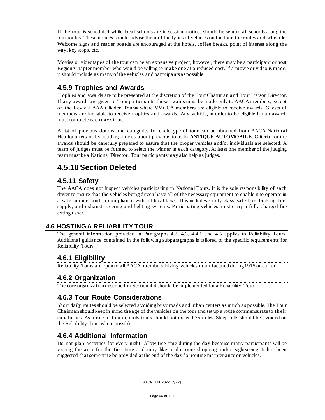If the tour is scheduled while local schools are in session, notices should be sent to all schools along the tour routes. These notices should advise them of the types of vehicles on the tour, the routes and schedule. Welcome signs and reader boards are encouraged at the hotels, coffee breaks, point of interest along the way, key stops, etc.

Movies or videotapes of the tour can be an expensive project; however, there may be a participant or host Region/Chapter member who would be willing to make one at a reduced cost. If a movie or video is made, it should include as many of the vehicles and participants as possible.

# **4.5.9 Trophies and Awards**

Trophies and awards are to be presented at the discretion of the Tour Chairman and Tour Liaison Director. If any awards are given to Tour participants, those awards must be made only to AACA members, except on the Revival AAA Glidden Tour® where VMCCA members are eligible to receive awards. Guests of members are ineligible to receive trophies and awards. Any vehicle, in order to be eligible for an award, must complete each day's tour.

A list of previous donors and categories for each type of tour can be obtained from AACA Nation al Headquarters or by reading articles about previous tours in **ANTIQUE AUTOMOBILE**. Criteria for the awards should be carefully prepared to assure that the proper vehicles and/or individuals are selected. A team of judges must be formed to select the winner in each category. At least one member of the judging team must be a NationalDirector. Tour participants may also help as judges.

# **4.5.10 Section Deleted**

# **4.5.11 Safety**

The AACA does not inspect vehicles participating in National Tours. It is the sole responsibility of each driver to insure that the vehicles being driven have all of the necessary equipment to enable it to operate in a safe manner and in compliance with all local laws. This includes safety glass, safe tires, braking, fuel supply, and exhaust, steering and lighting systems. Participating vehicles must carry a fully charged fire extinguisher.

# **4.6 HOSTING A RELIABILITY TOUR**

The general information provided in Paragraphs 4.2, 4.3, 4.4.1 and 4.5 applies to Reliability Tours. Additional guidance contained in the following subparagraphs is tailored to the specific requirem ents for Reliability Tours.

# **4.6.1 Eligibility**

Reliability Tours are open to all AACA members driving vehicles manufactured during 1915 or earlier.

# **4.6.2 Organization**

The core organization described in Section 4.4 should be implemented for a Reliability Tour.

# **4.6.3 Tour Route Considerations**

Short daily routes should be selected a voiding busy roads and urban centers as much as possible. The Tour Chairman should keep in mind the age of the vehicles on the tour and set up a route commensurate to their capabilities. As a rule of thumb, daily tours should not exceed 75 miles. Steep hills should be avoided on the Reliability Tour where possible.

# **4.6.4 Additional Information**

Do not plan activities for every night. Allow free time during the day because many participants will be visiting the area for the first time and may like to do some shopping and/or sightseeing. It has been suggested that some time be provided at the end of the day for routine maintenance on vehicles.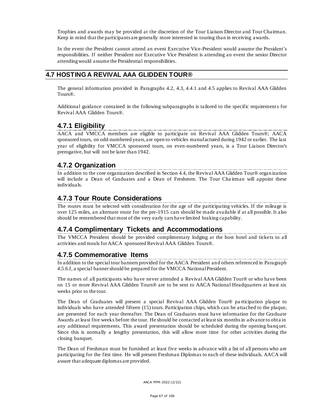Trophies and awards may be provided at the discretion of the Tour Liaison Director and Tour Chairman. Keep in mind that the participants are generally more interested in touring than in receiving awards.

In the event the President cannot attend an event Executive Vice-President would assume the President's responsibilities. If neither President nor Executive Vice President is attending an event the senior Director attending would assume the Presidential responsibilities.

#### **4.7 HOSTING A REVIVAL AAA GLIDDEN TOUR®**

The general information provided in Paragraphs 4.2, 4.3, 4.4.1 and 4.5 applies to Revival AAA Glidden Tours®.

Additional guidance contained in the following subparagraphs is tailored to the specific requirements for Revival AAA Glidden Tours®.

# **4.7.1 Eligibility**

AACA and VMCCA members are eligible to participate on Revival AAA Glidden Tours®; AACA sponsored tours, on odd-numbered years, are open to vehicles manufactured during 1942 or earlier. The last year of eligibility for VMCCA sponsored tours, on even-numbered years, is a Tour Liaison Director's prerogative, but will not be later than 1942.

# **4.7.2 Organization**

In addition to the core organization described in Section 4.4, the Revival AAA Glidden Tour® organization will include a Dean of Graduates and a Dean of Freshmen. The Tour Chairman will appoint these individuals.

# **4.7.3 Tour Route Considerations**

The routes must be selected with consideration for the age of the participating vehicles. If the mileage is over 125 miles, an alternate route for the pre-1915 cars should be made available if at all possible. It also should be remembered that most of the very early cars have limited braking capability.

#### **4.7.4 Complimentary Tickets and Accommodations**

The VMCCA President should be provided complimentary lodging at the host hotel and ticke ts to all activities and meals for AACA sponsored Revival AAA Glidden Tours®.

# **4.7.5 Commemorative Items**

In addition to the special tour banners provided for the AACA President and others referenced in Paragraph 4.5.6.f, a special banner should be prepared for the VMCCA National President.

The names of all participants who have never attended a Revival AAA Glidden Tour® or who have been on 15 or more Revival AAA Glidden Tours® are to be sent to AACA National Headquarters at least six weeks prior to the tour.

The Dean of Graduates will present a special Revival AAA Glidden Tour® pa rticipation plaque to individuals who have attended fifteen (15) tours. Participation chips, which can be attached to the plaque, are presented for each year thereafter. The Dean of Graduates must have information for the Graduate Awards at least five weeks before the tour. He should be contacted at least six months in advance to obta in any additional requirements. This award presentation should be scheduled during the opening banq uet. Since this is normally a lengthy presentation, this will allow more time for other activities during the closing banquet.

The Dean of Freshman must be furnished at least five weeks in advance with a list of all persons who are participating for the first time. He will present Freshman Diplomas to each of these individuals. AACA will assure that adequate diplomas are provided.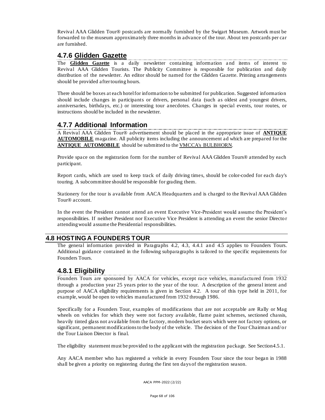Revival AAA Glidden Tour® postcards are normally furnished by the Swigart Museum. Artwork must be forwarded to the museum approximately three months in advance of the tour. About ten postcards per car are furnished.

### **4.7.6 Glidden Gazette**

The **Glidden Gazette** is a daily newsletter containing information and items of interest to Revival AAA Glidden Tourists. The Publicity Committee is responsible for publication and daily distribution of the newsletter. An editor should be named for the Glidden Gazette. Printing arrangements should be provided after touring hours.

There should be boxes at each hotel for information to be submitted for publication. Suggested information should include changes in participants or drivers, personal data (such as oldest and youngest drivers, anniversaries, birthdays, etc.) or interesting tour anecdotes. Changes in special events, tour routes, or instructions should be included in the newsletter.

# **4.7.7 Additional Information**

A Revival AAA Glidden Tour® advertisement should be placed in the appropriate issue of **ANTIQUE AUTOMOBILE** magazine. All publicity items including the announcement ad which are prepared for the **ANTIQUE AUTOMOBILE** should be submitted to the VMCCA's BULBHORN.

Provide space on the registration form for the number of Revival AAA Glidden Tours® attended by each participant.

Report cards, which are used to keep track of daily driving times, should be color-coded for each day's touring. A subcommittee should be responsible for grading them.

Stationery for the tour is available from AACA Headquarters and is charged to the Revival AAA Glidden Tour® account.

In the event the President cannot attend an event Executive Vice-President would assume the President's responsibilities. If neither President nor Executive Vice President is attending an event the senior Directo r attending would assume the Presidential responsibilities.

#### **4.8 HOSTING A FOUNDERS TOUR**

The general information provided in Paragraphs 4.2, 4.3, 4.4.1 and 4.5 applies to Founders Tours. Additional guidance contained in the following subparagraphs is tailored to the specific requirements for Founders Tours.

# **4.8.1 Eligibility**

Founders Tours are sponsored by AACA for vehicles, except race vehicles, manufactu red from 1932 through a production year 25 years prior to the year of the tour. A description of the general intent and purpose of AACA eligibility requirements is given in Section 4.2. A tour of this type held in 2011, for example, would be open to vehicles manufactured from 1932 through 1986.

Specifically for a Founders Tour, examples of modifications that are not acceptable are Rally or Mag wheels on vehicles for which they were not factory available, flame paint schemes, sectioned chassis, heavily tinted glass not available from the factory, modern bucket seats which were not factory options, or significant, permanent modifications to the body of the vehicle. The decision of the Tour Chairman and/or the Tour Liaison Director is final.

The eligibility statement must be provided to the applicant with the registration package. See Section 4.5.1.

Any AACA member who has registered a vehicle in every Founders Tour since the tour began in 1988 shall be given a priority on registering during the first ten days of the registration season.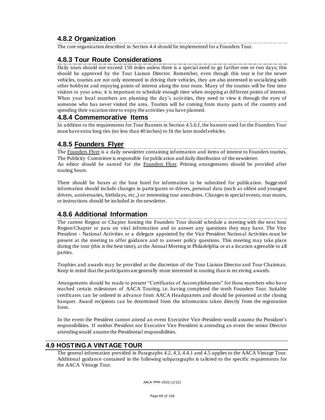# **4.8.2 Organization**

The core organization described in Section 4.4 should be implemented for a Founders Tour.

# **4.8.3 Tour Route Considerations**

Daily tours should not exceed 150 miles unless there is a special need to go farther one or two days; this should be approved by the Tour Liaison Director. Remember, even though this tour is for the newer vehicles, tourists are not only interested in driving their vehicles, they are also interested in socializing with other hobbyist and enjoying points of interest along the tour route. Many of the tourists will be first time visitors to your area; it is important to schedule enough time when stopping at different points of interest. When your local members are planning the day's activities, they need to view it through the eyes of someone who has never visited the area. Tourists will be coming from many parts of the country and spending their vacation time to enjoy the activities you have planned.

### **4.8.4 Commemorative Items**

In addition to the requirements for Tour Banners in Section 4.5.6.f, the banners used for the Founders Tour must have extra long ties (no less than 40 inches) to fit the later model vehicles.

# **4.8.5 Founders Flyer**

The Founders Flyer is a daily newsletter containing information and items of interest to Founders tourists. The Publicity Committee is responsible for publication and daily distribution of the newsletter. An editor should be named for the Founders Flyer. Printing arrangements should be provided after touring hours.

There should be boxes at the host hotel for information to be submitted for publication. Sugge sted information should include changes in participants or drivers, personal data (such as oldest and youngest drivers, anniversaries, birthdays, etc.,) or interesting tour anecdotes. Changes in special events, tour routes, or instructions should be included in the newsletter.

# **4.8.6 Additional Information**

The current Region or Cha pter hosting the Founders Tour should schedule a meeting with the next host Region/Chapter to pass on vital information and to answer any questions they may have. The Vice President - National Activities or a delegate appointed by the Vice President National Activities must be present at the meeting to offer guidance and to answer policy questions. This meeting may take place during the tour (this is the best time), at the Annual Meeting in Philadelphia or at a location agreeable to all parties.

Trophies and awards may be provided at the discretion of the Tour Liaison Director and Tour Chairman. Keep in mind that the participants are generally more interested in touring than in rec eiving awards.

Arrangements should be made to present "Certificates of Accomplishments" for those members who have reached certain milestones of AACA Touring, i.e. having completed the tenth Founders Tour. Suitable certificates can be ordered in advance from AACA Headquarters and should be presented at the closing banquet. Award recipients can be determined from the information taken directly from the registration form.

In the event the President cannot attend an event Executive Vice-President would assume the President's responsibilities. If neither President nor Executive Vice President is attending an event the senior Director attending would assume the Presidential responsibilities.

#### **4.9 HOSTING A VINTAGE TOUR**

The general information provided in Paragraphs 4.2, 4.3, 4.4.1 and 4.5 applies to the AACA Vintage Tour. Additional guidance contained in the following subparagraphs is tailored to the specific requirements for the AACA Vintage Tour.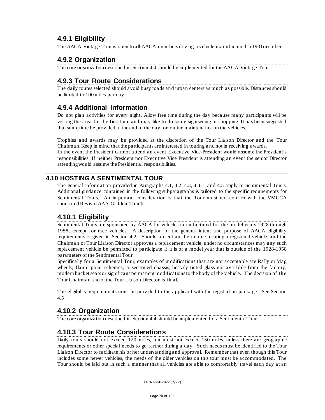# **4.9.1 Eligibility**

The AACA Vintage Tour is open to all AACA members driving a vehicle manufactured in 1931or earlier.

# **4.9.2 Organization**

The core organization described in Section 4.4 should be implemented for the AACA Vintage Tour.

# **4.9.3 Tour Route Considerations**

The daily routes selected should avoid busy roads and urban centers as much as possible. Distances should be limited to 100 miles per day.

# **4.9.4 Additional Information**

Do not plan activities for every night. Allow free time during the day because many participants will be visiting the area for the first time and may like to do some sightseeing or shopping. It has been suggested that some time be provided at the end of the day for routine maintenance on the vehicles.

Trophies and awards may be provided at the discretion of the Tour Liaison Director and the Tour Chairman. Keep in mind that the participants are interested in touring a nd not in receiving awards. In the event the President cannot attend an event Executive Vice-President would assume the President's responsibilities. If neither President nor Executive Vice President is attending an event the senior Director attending would assume the Presidential responsibilities.

#### **4.10 HOSTING A SENTIMENTAL TOUR**

The general information provided in Paragraphs 4.1, 4.2, 4.3, 4.4.1, and 4.5 apply to Sentimental Tours. Additional guidance contained in the following subparagraphs is tailored to the specific requirements for Sentimental Tours. An important consideration is that the Tour must not conflict with the VMCCA sponsored Revival AAA Glidden Tour®.

# **4.10.1 Eligibility**

Sentimental Tours are sponsored by AACA for vehicles manufactured for the model years 1928 through 1958, except for race vehicles. A description of the general intent and purpose of AACA eligibility requirements is given in Section 4.2. Should an entrant be unable to bring a registered vehicle, and the Chairman or Tour Liaison Director approves a replacement vehicle, under no circumstances may any such replacement vehicle be permitted to participate if it is of a model year that is outside of the 1928-1958 parameters of the Sentimental Tour.

Specifically for a Sentimental Tour, examples of modifications that are not acceptable are Rally or Mag wheels; flame paint schemes; a sectioned chassis, heavily tinted glass not available from the factory, modern bucket seats or significant permanent modifications to the body of the v ehicle. The decision of the Tour Chairman and or the Tour Liaison Director is final.

The eligibility requirements must be provided to the applicant with the registration package . See Section 4.5

# **4.10.2 Organization**

The core organization described in Section 4.4 should be implemented for a Sentimental Tour.

# **4.10.3 Tour Route Considerations**

Daily tours should not exceed 120 miles, but must not exceed 150 miles, unless there are geographic requirements or other special needs to go farther during a day. Such needs must be identified to the Tour Liaison Director to facilitate his or her understanding and approval. Remember that even though this Tour includes some newer vehicles, the needs of the older vehicles on this tour must be accommodated. The Tour should be laid out in such a manner that all vehicles are able to comfortably travel each day at an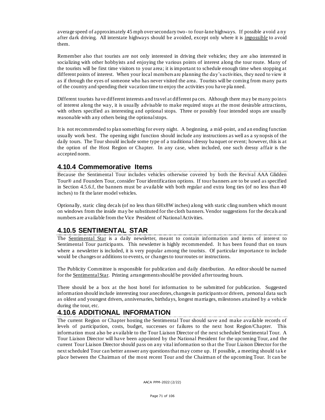average speed of approximately 45 mph over secondary two- to four-lane highways. If possible avoid a ny after dark driving. All interstate highways should be avoided, except only where it is *impossible* to avoid them.

Remember also that tourists are not only interested in driving their vehicles; they are also interested in socializing with other hobbyists and enjoying the various points of interest along the tour route. Many of the tourists will be first time visitors to your area; it is important to schedule enough time when stopping at different points of interest. When your local members are planning the day's activities, they need to view it as if through the eyes of someone who has never visited the area. Tourists will be coming from many parts of the country and spending their vacation time to enjoy the activities you have pla nned.

Different tourists have different interests and travel at different pa ces. Although there may be many points of interest along the way, it is usua lly advisable to make required stops at the most desirable attractions, with others specified as interesting and optional stops. Three or possibly four intended stops are usually reasonable with any others being the optional stops.

It is not recommended to plan something for every night. A beginning, a mid-point, and an ending function usually work best. The opening night function should include any instructions as well as a synopsis of the daily tours. The Tour should include some type of a traditiona l dressy banquet or event; however, this is at the option of the Host Region or Chapter. In any case, when included, one such dressy affair is the accepted norm.

### **4.10.4 Commemorative Items**

Because the Sentimental Tour includes vehicles otherwise covered by both the Revival AAA Glidden Tour® and Founders Tour, consider Tour identification options. If tour banners are to be used as specified in Section 4.5.6.f, the banners must be available with both regular and extra long ties (of no less than 40 inches) to fit the later model vehicles.

Optionally, static cling decals (of no less than 6Hx8W inches) along with static cling numbers which mount on windows from the inside may be substituted for the cloth banners. Vendor suggestions for the decals and numbers are available from the Vice President of National Activities.

# **4.10.5 SENTIMENTAL STAR**

The Sentimental Star is a daily newsletter, meant to contain information and items of interest to Sentimental Tour participants. This newsletter is highly recommended. It has been found that on tours where a newsletter is included, it is very popular among the tourists. Of particular importance to include would be changes or additions to events, or changes to tour routes or instructions.

The Publicity Committee is responsible for publication and daily distribution. An editor should be named for the Sentimental Star. Printing arrangements should be provided after touring hours.

There should be a box at the host hotel for information to be submitted for publication. Suggested information should include interesting tour anecdotes, changes in participants or drivers, personal data such as oldest and youngest drivers, anniversaries, birthdays, longest marriages, milestones attained by a vehicle during the tour, etc.

# **4.10.6 ADDITIONAL INFORMATION**

The current Region or Chapter hosting the Sentimental Tour should save and make available records of levels of participation, costs, budget, successes or failures to the next host Region/Chapter. This information must also be available to the Tour Liaison Director of the next scheduled Sentimental Tour. A Tour Liaison Director will have been appointed by the National President for the upcoming Tour, and the current Tour Liaison Director should pass on any vital information so that the Tour Liaison Director for the next scheduled Tour can better answer any questions that may come up. If possible, a meeting should ta ke place between the Chairman of the most recent Tour and the Chairman of the upcoming Tour. It can be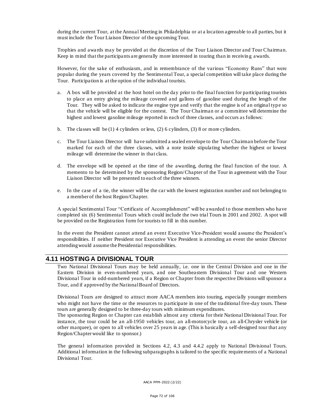during the current Tour, at the Annual Meeting in Philadelphia or at a location agreeable to all parties, but it must include the Tour Liaison Director of the upcoming Tour.

Trophies and awards may be provided at the discretion of the Tour Liaison Director and Tour Chairman. Keep in mind that the participants are generally more interested in touring than in receivin g awards.

However, for the sake of enthusiasm, and in remembrance of the various "Economy Runs" that were popular during the years covered by the Sentimental Tour, a special competition will take place during the Tour. Participation is at the option of the individual tourists.

- a. A box will be provided at the host hotel on the day prior to the final function for participating tourists to place an entry giving the mileage covered and gallons of gasoline used during the length of the Tour. They will be asked to indicate the engine type and verify that the engine is of an original type so that the vehicle will be eligible for the contest. The Tour Chairman or a committee will determine the highest and lowest gasoline mileage reported in each of three classes, and occurs as follows:
- b. The classes will be  $(1)$  4 cylinders or less,  $(2)$  6 cylinders,  $(3)$  8 or more cylinders.
- c. The Tour Liaison Director will have submitted a sealed envelope to the Tour Chairman before the Tour marked for each of the three classes, with a note inside stipulating whether the highest or lowest mileage will determine the winner in that class.
- d. The envelope will be opened at the time of the awarding, during the final function of the tour. A memento to be determined by the sponsoring Region/Chapter of the Tour in agreement with the Tour Liaison Director will be presented to each of the three winners.
- e. In the case of a tie, the winner will be the car with the lowest registration number and not belonging to a member of the host Region/Chapter.

A special Sentimental Tour "Certificate of Accomplishment" will be awarded to those members who have completed six (6) Sentimental Tours which could include the two trial Tours in 2001 and 2002. A spot will be provided on the Registration form for tourists to fill in this number.

In the event the President cannot attend an event Executive Vice-President would assume the President's responsibilities. If neither President nor Executive Vice President is attending an event the senior Director attending would assume the Presidential responsibilities.

#### **4.11 HOSTING A DIVISIONAL TOUR**

Two National Divisional Tours may be held annually, i.e. one in the Central Division and one in the Eastern Division in even-numbered years, and one Southeastern Divisional Tour a nd one Western Divisional Tour in odd-numbered years, if a Region or Chapter from the respective Divisions will sponsor a Tour, and if approved by the National Board of Directors.

Divisional Tours are designed to attract more AACA members into touring, especially younger members who might not have the time or the resources to participate in one of the traditional five-day tours. These tours are generally designed to be three-day tours with minimum expenditures.

The sponsoring Region or Chapter can establish almost any criteria for their National Divisional Tour. For instance, the tour could be an all-1950 vehicles tour, an all-motorcycle tour, an all-Chrysler vehicle (or other marquee), or open to all vehicles over 25 years in age. (This is basically a self-designed tour that any Region/Chapter would like to sponsor.)

The general information provided in Sections 4.2, 4.3 and 4.4.2 apply to National Divisional Tours. Additional information in the following subparagraphs is tailored to the specific requirements of a National Divisional Tour.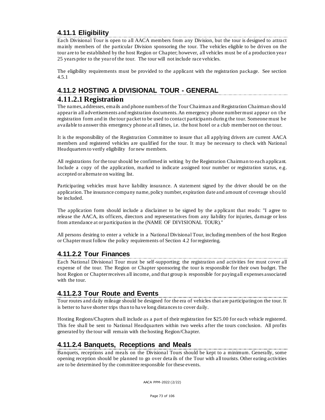## **4.11.1 Eligibility**

Each Divisional Tour is open to all AACA members from any Division, but the tour is designed to attract mainly members of the particular Division sponsoring the tour. The vehicles eligible to be driven on the tour are to be established by the host Region or Chapter; however, all vehicles must be of a production yea r 25 years prior to the year of the tour. The tour will not include race vehicles.

The eligibility requirements must be provided to the applicant with the registration package. See section 4.5.1

### **4.11.2 HOSTING A DIVISIONAL TOUR - GENERAL**

### **4.11.2.1 Registration**

The names, addresses, emails and phone numbers of the Tour Chairman and Registration Chairman should appear in all advertisements and registration documents. An emergency phone number must appear on the registration form and in the tour packet to be used to contact participants durin g the tour. Someone must be available to answer this emergency phone at all times, i.e. the host hotel or a club member not on the tour.

It is the responsibility of the Registration Committee to insure that all applying drivers are current AACA members and registered vehicles are qualified for the tour. It may be necessary to check with National Headquarters to verify eligibility for new members.

All registrations for the tour should be confirmed in writing by the Registration Chairman to each applicant. Include a copy of the application, marked to indicate assigned tour number or registration status, e.g. accepted or alternate on waiting list.

Participating vehicles must have liability insurance. A statement signed by the driver should be on the application. The insurance company name, policy number, expiration date and amount of coverage should be included.

The application form should include a disclaimer to be signed by the a pplicant that reads: "I agree to release the AACA, its officers, directors and representatives from any liability for injuries, damage or loss from attendance at or participation in the (NAME OF DIVISIONAL TOUR)."

All persons desiring to enter a vehicle in a National Divisional Tour, including members of the host Region or Chaptermust follow the policy requirements of Section 4.2 for registering.

#### **4.11.2.2 Tour Finances**

Each National Divisional Tour must be self-supporting; the registration and activities fee must cover all expense of the tour. The Region or Chapter sponsoring the tour is responsible for their own budget. The host Region or Chapter receives all income, and that group is responsible for paying all expenses associated with the tour.

### **4.11.2.3 Tour Route and Events**

Tour routes and daily mileage should be designed for the era of vehicles that are participating on the tour. It is better to have shorter trips than to ha ve long distances to cover daily.

Hosting Regions/Chapters shall include as a part of their registration fee \$25.00 for each vehicle registered. This fee shall be sent to National Headquarters within two weeks after the tours conclusion. All profits generated by the tour will remain with the hosting Region/Chapter.

#### **4.11.2.4 Banquets, Receptions and Meals**

Banquets, receptions and meals on the Divisional Tours should be kept to a minimum. Generally, some opening reception should be planned to go over deta ils of the Tour with all tourists. Other eating activities are to be determined by the committee responsible for these events.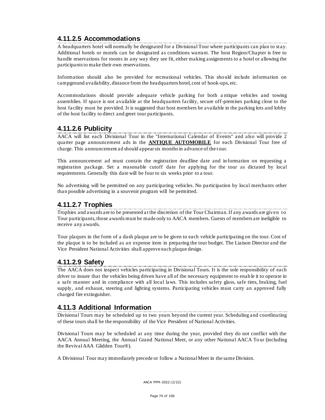### **4.11.2.5 Accommodations**

A headquarters hotel will normally be designated for a Divisional Tour where participants can plan to stay. Additional hotels or motels can be designated as conditions warrant. The host Region/Chapter is free to handle reservations for rooms in any way they see fit, either making assignments to a hotel or allowing the participants to make their own reservations.

Information should also be provided for recreational vehicles. This sho uld include information on campground availability, distance from the headquarters hotel, cost of hook-ups, etc.

Accommodations should provide adequate vehicle parking for both a ntique vehicles and towing assemblies. If space is not available at the headquarters facility, secure off-premises parking close to the host facility must be provided. It is suggested that host members be available in the parking lots and lobby of the host facility to direct and greet tour participants.

### **4.11.2.6 Publicity**

AACA will list each Divisional Tour in the "International Calendar of Events" and also will provide 2 quarter page announcement ads in the **ANTIQUE AUTOMOBILE** for each Divisional Tour free of charge. This announcement ad should appear six months in advance of the tour.

This announcement ad must contain the registration deadline date and in formation on requesting a registration package. Set a reasonable cutoff date for applying for the tour as dictated by local requirements. Generally this date will be four to six weeks prior to a tour.

No advertising will be permitted on any participating vehicles. No participation by local merchants other than possible advertising in a souvenir program will be permitted.

### **4.11.2.7 Trophies**

Trophies and awards are to be presented a t the discretion of the Tour Chairman. If any awards are given to Tour participants, those awards must be made only to AACA members. Guests of members are ineligible to receive any awards.

Tour plaques in the form of a dash plaque are to be given to each vehicle participating on the tour. Cost of the plaque is to be included as an expense item in preparing the tour budget. The Liaison Director and the Vice President National Activities shall approve each plaque design.

#### **4.11.2.9 Safety**

The AACA does not inspect vehicles participating in Divisional Tours. It is the sole responsibility of each driver to insure that the vehicles being driven have all of the necessary equipment to enab le it to operate in a safe manner and in compliance with all local laws. This includes safety glass, safe tires, braking, fuel supply, and exhaust, steering and lighting systems. Participating vehicles must carry an approved fully charged fire extinguisher.

### **4.11.3 Additional Information**

Divisional Tours may be scheduled up to two years beyond the current year. Scheduling and coordinating of these tours sha ll be the responsibility of the Vice President of National Activities.

Divisional Tours may be scheduled at any time during the year, provided they do not conflict with the AACA Annual Meeting, the Annual Grand National Meet, or any other National AACA Tour (including the Revival AAA Glidden Tour®).

A Divisional Tour may immediately precede or follow a National Meet in the same Division.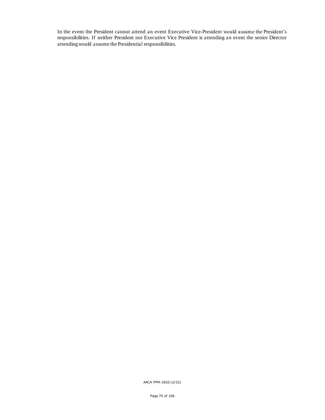In the event the President cannot attend an event Executive Vice-President would assume the President's responsibilities. If neither President nor Executive Vice President is attending an event the senior Director attending would assume the Presidential responsibilities.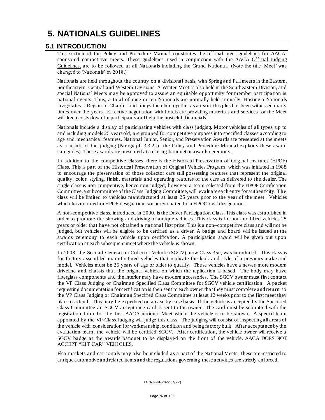# **5. NATIONALS GUIDELINES**

### **5.1 INTRODUCTION**

This section of the Policy and Procedure Manual constitutes the official meet guidelines for AACAsponsored competitive meets. These guidelines, used in conjunction with the AACA Official Judging Guidelines, are to be followed at all Nationals including the Grand National. (Note the title 'Meet' was changed to 'Nationals' in 2018.)

Nationals are held throughout the country on a divisional basis, with Spring and Fall meets in the Eastern, Southeastern, Central and Western Divisions. A Winter Meet is also held in the Southeastern Division, and special National Meets may be approved to assure an equitable opportunity for member participation in national events. Thus, a total of nine or ten Nationals are normally held annually. Hosting a Nationals invigorates a Region or Chapter and brings the club together as a team-this plus has been witnessed many times over the years. Effective negotiation with hotels etc providing materials and services for the Meet will keep costs down for participants and help the host club financials.

Nationals include a display of participating vehicles with class judging. Motor vehicles of all types, up to and including models 25 years old, are grouped for competitive purposes into specified classes according to age and mechanical features. National Junior, Senior, and Preservation Awards are presented at the meets as a result of the judging (Paragraph 3.3.2 of the Policy and Procedure Manual explain s these award categories). These awards are presented at a closing banquet or awards ceremony.

In addition to the competitive classes, there is the Historical Preservation of Original Features (HPOF) Class. This is part of the Historical Preservation of Original Vehicles Program, which was initiated in 1988 to encourage the preservation of those collector cars still possessing features that represent the original quality, color, styling, finish, materials and operating features of the cars as delivered to the dealer. The single class is non-competitive, hence non-judged; however, a team selected from the HPOF Certification Committee, a subcommittee of the Class Judging Committee, will evaluate each entry for authenticity. The class will be limited to vehicles manufactured at least 25 years prior to the year of the meet. Vehicles which have earned an HPOF designation can be evaluated for a HPOC oval designation.

A non-competitive class, introduced in 2000, is the Driver Participation Class. This class was established in order to promote the showing and driving of antique vehicles. This class is for non-modified vehicles 25 years or older that have not obtained a national first prize. This is a non–competitive class and will not be judged, but vehicles will be eligible to be certified as a driver. A badge and board will be issued at the awards ceremony to each vehicle upon certification. A participation award will be given out upon certification at each subsequent meet where the vehicle is shown.

In 2008, the Second Generation Collector Vehicle (SGCV), now Class 35c, was introduced. This class is for factory-assembled manufactured vehicles that replicate the look and style of a previous make and model. Vehicles must be 25 years of age or older to qualify. These vehicles have a newer, more modern driveline and chassis that the original vehicle on which the replication is based. The body may have fiberglass components and the interior may have modern accessories. The SGCV owner must first contact the VP Class Judging or Chairman Specified Class Committee for SGCV vehicle certification. A packet requesting documentation for certification is then sent to each owner that they must comple te and return to the VP Class Judging or Chairman Specified Class Committee at least 12 weeks prior to the first meet they plan to attend. This may be expedited on a case by case basis. If the vehicle is accepted by the Specified Class Committee an SGCV acceptance card is sent to the owner. The card must be submitted with the registration form for the first AACA national Meet where the vehicle is to be shown. A special team appointed by the VP-Class Judging will judge this class. The judging will consist of inspecting all areas of the vehicle with consideration for workmanship, condition and being factory built. After acceptance by the evaluation team, the vehicle will be certified SGCV. After certification, the vehicle owner will receive a SGCV badge at the awards banquet to be displayed on the front of the vehicle. AACA DOES NOT ACCEPT "KIT CAR" VEHICLES.

Flea markets and car corrals may also be included as a part of the National Meets. These are restricted to antique automotive and related items a nd the regulations governing these activities are strictly enforced.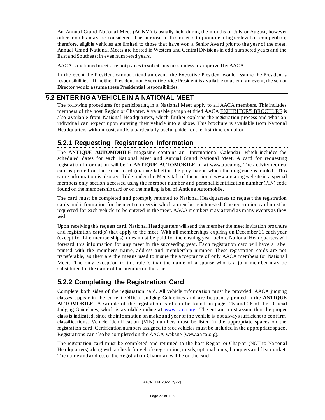An Annual Grand National Meet (AGNM) is usually held during the months of July or August, however other months may be considered. The purpose of this meet is to promote a higher level of competition; therefore, eligible vehicles are limited to those that have won a Senior Award prior to the year of the meet. Annual Grand National Meets are hosted in Western and Central Divisions in odd numbered years and the East and Southeast in even numbered years.

AACA sanctioned meets are not places to solicit business unless a s approved by AACA.

In the event the President cannot attend an event, the Executive President would assume the President's responsibilities. If neither President nor Executive Vice President is available to attend an event, the senior Director would assume these Presidential responsibilities.

#### **5.2 ENTERING A VEHICLE IN A NATIONAL MEET**

The following procedures for participating in a National Meet apply to all AACA members. This includes members of the host Region or Chapter. A valuable pamphlet titled AACA EXHIBITOR'S BROCHURE is also available from National Headquarters, which further explains the registration process and what an individual can expect upon entering their vehicle into a show. This brochure is available from National Headquarters, without cost, and is a particularly useful guide for the first-time exhibitor.

## **5.2.1 Requesting Registration Information**

The **ANTIQUE AUTOMOBILE** magazine contains an "International Calendar" which includes the scheduled dates for each National Meet and Annual Grand National Meet. A card for requesting registration information will be in **ANTIQUE AUTOMOBILE** or at www.aaca.org. The activity request card is printed on the carrier card (mailing label) in the poly-bag in which the magazine is mailed. This same information is also available under the Meets tab of the nation[al www.aaca.org](http://www.aaca.org/) website in a special members only section accessed using the member number and personal identificatio n number (PIN) code found on the membership card or on the mailing label of Antique Automobile.

The card must be completed and promptly returned to National Headquarters to request the registration cards and information for the meet or meets in which a member is interested. One registration card must be requested for each vehicle to be entered in the meet. AACA members may attend as many events as they wish.

Upon receiving this request card, National Headquarters will send the member the meet invitation brochure and registration card(s) that apply to the meet. With all memberships expiring on December 31 each year (except for Life memberships), dues must be paid for the ensuing yea r before National Headquarters will forward this information for any meet in the succeeding year. Each registration card will have a label printed with the member's name, address and membership number. These registration cards are not transferable, as they are the means used to insure the acceptance of only AACA members for Nationa l Meets. The only exception to this rule is that the name of a spouse who is a joint member may be substituted for the name of the member on the label.

## **5.2.2 Completing the Registration Card**

Complete both sides of the registration card. All vehicle informa tion must be provided. AACA judging classes appear in the current Official Judging Guidelines and are frequently printed in the **ANTIQUE AUTOMOBILE**. A sample of the registration card can be found on pages 25 and 26 of the Official Judging Guidelines, which is available online at [www.aaca.org.](http://www.aaca.org/) The entrant must assure that the proper class is indicated, since the information on make and year of the vehicle is not always sufficient to conf irm classifications. Vehicle identification (VIN) numbers must be listed in the appropriate spaces on the registration card. Certification numbers assigned to race vehicles must be included in the appropriate space. Registrations can also be completed on the AACA website (www.aaca.org).

The registration card must be completed and returned to the host Region or Chap ter (NOT to National Headquarters) along with a check for vehicle registration, meals, optional tours, banquets and flea market. The name and address of the Registration Chairman will be on the card.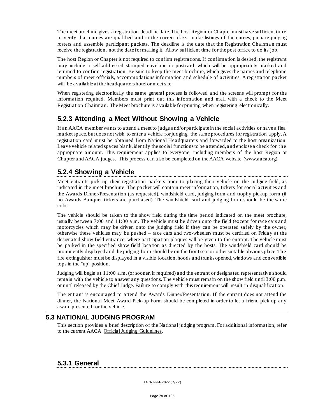The meet brochure gives a registration deadline date. The host Region or Chapter must have sufficient tim e to verify that entries are qualified and in the correct class, make listings of the entries, prepare judging rosters and assemble participant packets. The deadline is the date that the Registration Chairma n must receive the registration, not the date for mailing it. Allow sufficient time for the post office to do its job.

The host Region or Chapter is not required to confirm registrations. If confirmation is desired, the registrant may include a self-addressed stamped envelope or postcard, which will be appropriately marked and returned to confirm registration. Be sure to keep the meet brochure, which gives the names and telephone numbers of meet officials, accommodations information and schedule of activities. A registration packet will be available at the headquarters hotel or meet site.

When registering electronically the same general process is followed and the screens will prompt for the information required. Members must print out this information and mail with a check to the Meet Registration Chairman. The Meet brochure is available for printing when registering electronically.

## **5.2.3 Attending a Meet Without Showing a Vehicle**

If an AACA member wants to attend a meet to judge and/or participate in the social activities or have a flea market space, but does not wish to enter a vehicle for judging, the same procedures for registration apply. A registration card must be obtained from National Headquarters and forwarded to the host organization. Leave vehicle related spaces blank, identify the social functions to be attended, and enclose a check for the appropriate amount. This requirement applies to everyone, including members of the host Region or Chapter and AACA judges. This process can also be completed on the AACA website (www.aaca.org).

## **5.2.4 Showing a Vehicle**

Meet entrants pick up their registration packets prior to placing their vehicle on the judging field, as indicated in the meet brochure. The packet will contain meet information, tickets for social activities and the Awards Dinner/Presentation (as requested), windshield card, judging form and trophy pickup form (if no Awards Banquet tickets are purchased). The windshield card and judging form should be the same color.

The vehicle should be taken to the show field during the time period indicated on the meet brochure, usually between 7:00 and 11:00 a.m. The vehicle must be driven onto the field (except for race cars and motorcycles which may be driven onto the judging field if they can be operated safely by the owner, otherwise these vehicles may be pushed – race cars and two-wheelers must be certified on Frida y at the designated show field entrance, where participation plaques will be given to the entrant. The vehicle must be parked in the specified show field location as directed by the hosts. The windshield card should be prominently displayed and the judging form should be on the front seat or other suitable obvious place. The fire extinguisher must be displayed in a visible location, hoods and trunks opened, windows and convertible tops in the "up" position.

Judging will begin at 11:00 a.m. (or sooner, if required) and the entrant or designated representative should remain with the vehicle to answer any questions. The vehicle must remain on the show field until 3:00 p.m. or until released by the Chief Judge. Failure to comply with this requirement will result in disqualification.

The entrant is encouraged to attend the Awards Dinner/Presentation. If the entrant does not attend the dinner, the National Meet Award Pick-up Form should be completed in order to let a friend pick up any award presented for the vehicle.

### **5.3 NATIONAL JUDGING PROGRAM**

This section provides a brief description of the National judging program. For additional information, refer to the current AACA Official Judging Guidelines.

#### **5.3.1 General**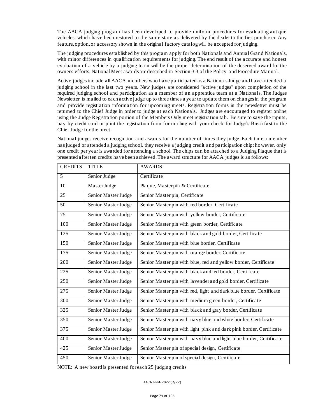The AACA judging program has been developed to provide uniform procedures for evaluating antique vehicles, which have been restored to the same state as delivered by the dealer to the first purchaser. Any feature, option, or accessory shown in the original factory catalog will be accepted for judging.

The judging procedures established by this program apply for both Nationals and Annual Grand Nationals, with minor differences in qualification requirements for judging. The end result of the accurate and honest evaluation of a vehicle by a judging team will be the proper determination of the deserved award for the owner's efforts. National Meet awards are described in Section 3.3 of the Policy and Procedure Manual.

Active judges include all AACA members who have participated as a Nationals Judge and have attended a judging school in the last two years. New judges are considered "active judges" upon completion of the required judging school and participation as a member of an apprentice team at a Nationals. The Judges Newsletter is mailed to each active judge up to three times a year to update them on changes in the program and provide registration information for upcoming meets. Registra tion forms in the newsletter must be returned to the Chief Judge in order to judge at each Nationals. Judges are encouraged to register online using the Judge Registration portion of the Members Only meet registration tab. Be sure to save the inputs, pay by credit card or print the registration form for mailing with your check for Judge's Breakfa st to the Chief Judge for the meet.

National judges receive recognition and awards for the number of times they judge. Each time a member has judged or attended a judging school, they receive a judging credit and participation chip; however, only one credit per year is awarded for attending a school. The chips can be attached to a Judging Plaque that is presented after ten credits have been achieved. The award structure for AACA judges is as follows:

| <b>CREDITS</b> | <b>TITLE</b>        | <b>AWARDS</b>                                                       |
|----------------|---------------------|---------------------------------------------------------------------|
| 5 <sup>5</sup> | Senior Judge        | Certificate                                                         |
| 10             | Master Judge        | Plaque, Masterpin & Certificate                                     |
| 25             | Senior Master Judge | Senior Master pin, Certificate                                      |
| 50             | Senior Master Judge | Senior Master pin with red border, Certificate                      |
| 75             | Senior Master Judge | Senior Master pin with yellow border, Certificate                   |
| 100            | Senior Master Judge | Senior Master pin with green border, Certificate                    |
| 125            | Senior Master Judge | Senior Master pin with black and gold border, Certificate           |
| 150            | Senior Master Judge | Senior Master pin with blue border, Certificate                     |
| 175            | Senior Master Judge | Senior Master pin with orange border, Certificate                   |
| 200            | Senior Master Judge | Senior Master pin with blue, red and yellow border, Certificate     |
| 225            | Senior Master Judge | Senior Master pin with black and red border, Certificate            |
| 250            | Senior Master Judge | Senior Master pin with lavender and gold border, Certificate        |
| 275            | Senior Master Judge | Senior Master pin with red, light and dark blue border, Certificate |
| 300            | Senior Master Judge | Senior Master pin with medium green border, Certificate             |
| 325            | Senior Master Judge | Senior Master pin with black and gray border, Certificate           |
| 350            | Senior Master Judge | Senior Master pin with navy blue and white border, Certificate      |
| 375            | Senior Master Judge | Senior Master pin with light pink and dark pink border, Certificate |
| 400            | Senior Master Judge | Senior Master pin with navy blue and light blue border, Certificate |
| 425            | Senior Master Judge | Senior Master pin of special design, Certificate                    |
| 450            | Senior Master Judge | Senior Master pin of special design, Certificate                    |

NOTE: A new board is presented for each 25 judging credits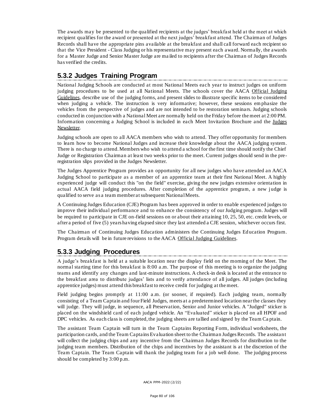The awards may be presented to the qualified recipients at the judges' breakfast held at the meet at which recipient qualifies for the award or presented at the next judges' breakfast attend. The Chairman of Judges Records shall have the appropriate pins available at the breakfast and shall call forward each recipient so that the Vice President - Class Judging or his representative may present each award. Normally, the awards for a Master Judge and Senior Master Judge are ma iled to recipients after the Chairman of Judges Records has verified the credits.

## **5.3.2 Judges Training Program**

National Judging Schools are conducted at most National Meets each year to instruct judges on uniform judging procedures to be used at all National Meets. The schools cover the AACA Official Judging Guidelines, describe use of the judging forms, and present slides to illustrate specific items to be considered when judging a vehicle. The instruction is very informative; however, these sessions em phasize the vehicles from the perspective of judges and are not intended to be restoration seminars. Judging schools conducted in conjunction with a National Meet are normally held on the Friday before the meet at 2:00 PM. Information concerning a Judging School is included in each Meet Invitation Brochure and the Judges Newsletter.

Judging schools are open to all AACA members who wish to attend. They offer opportunity for members to learn how to become National Judges and increase their knowledge about the AACA judging system. There is no charge to attend. Members who wish to attend a school for the first time should notify the Chief Judge or Registration Chairman at least two weeks prior to the meet. Current judges should send in the preregistration slips provided in the Judges Newsletter.

The Judges Apprentice Program provides an opportunity for all new judges who have attended an AACA Judging School to participate as a member of an apprentice team at their first National Meet. A highly experienced judge will conduct this "on the field" exercise, giving the new judges extensive orientation in actual AACA field judging procedures. After completion of the apprentice program, a new judge is qualified to serve as a team member at subsequent National Meets.

A Continuing Judges Education (CJE) Program has been approved in order to enable experienced judges to improve their individual performance and to enhance the consistency of our Judging program. Judges will be required to participate in CJE on-field sessions on or about their attaining 10, 25, 50, etc. credit levels, or after a period of five (5) years having elapsed since they last attended a CJE session, whichever occurs first.

The Chairman of Continuing Judges Education administers the Continuing Judges Ed ucation Program. Program details will be in future revisions to the AACA Official Judging Guidelines.

## **5.3.3 Judging Procedures**

A judge's breakfast is held at a suitable location near the display field on the morning of the Meet. The normal starting time for this breakfast is 8:00 a.m. The purpose of this meeting is to organize the judging teams and identify any changes and last-minute instructions. A check-in desk is located at the entrance to the breakfast area to distribute judges' lists and to verify attendance of all judges. All judges (including apprentice judges) must attend this breakfast to receive credit for judging at the meet.

Field judging begins promptly at 11:00 a.m. (or sooner, if required). Each judging team, normally consisting of a Team Captain and four Field Judges, meets at a predetermined location near the classes they will judge. They will judge, in sequence, all Preservation, Senior and Junior vehicles. A "Judged" sticker is placed on the windshield card of each judged vehicle. An "Evaluated" sticker is placed on all HPOF and DPC vehicles. As each class is completed, the judging sheets are tallied and signed by the Team Ca ptain.

The assistant Team Captain will turn in the Team Captains Reporting Form, individual worksheets, the participation cards, and the Team Captains Evaluation sheet to the Chairman Judges Records. The assistant will collect the judging chips and any incentive from the Chairman Judges Records for distribution to the judging team members. Distribution of the chips and incentives by the assistant is at the discretion of the Team Captain. The Team Captain will thank the judging team for a job well done. The judging process should be completed by 3:00 p.m.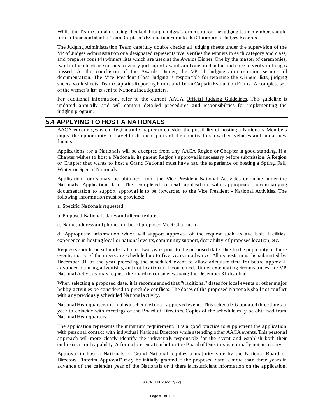While the Team Captain is being checked through judges' administration the judging team members should turn in their confidential Team Captain's Evaluation Form to the Chairman of Judges Records.

The Judging Administration Team carefully double checks all judging sheets under the supervision of the VP of Judges Administration or a designated representative, verifies the winners in each category and class, and prepares four (4) winners lists which are used at the Awards Dinner. One by the master of ceremonies, two for the check-in stations to verify pick-up of awards and one used in the audience to verify nothing is missed. At the conclusion of the Awards Dinner, the VP of Judging administration secures all documentation. The Vice President-Class Judging is responsible for retaining the winners' lists, judging sheets, work sheets, Team Captains Reporting Forms and Team Captain Evaluation Forms. A complete set of the winner's list is sent to National headquarters.

For additional information, refer to the current AACA Official Judging Guidelines. This guideline is updated annually and will contain detailed procedures and responsibilities for implementing the judging program.

#### **5.4 APPLYING TO HOST A NATIONALS**

AACA encourages each Region and Chapter to consider the possibility of hosting a Nationals. Members enjoy the opportunity to travel to different parts of the country to show their vehicles and make new friends.

Applications for a Nationals will be accepted from any AACA Region or Chapter in good standing. If a Chapter wishes to host a Nationals, its parent Region's approval is necessary before submission. A Region or Chapter that wants to host a Grand National must have had the experience of hosting a Spring, Fall, Winter or Special Nationals.

Application forms may be obtained from the Vice President-National Activities or online under the Nationals Application tab. The completed official application with appropriate accompanying documentation to support approval is to be forwarded to the Vice President - National Activities. The following information must be provided:

- a. Specific Nationals requested
- b. Proposed Nationals dates and alternate dates
- c. Name, address and phone number of proposed Meet Chairman

d. Appropriate information which will support approval of the request such as available facilities, experience in hosting local or national events, community support, desirability of proposed location, etc.

Requests should be submitted at least two years prior to the proposed date. Due to the popularity of these events, many of the meets are scheduled up to five years in advance. All requests must be submitted by December 31 of the year preceding the scheduled event to allow adequate time for board approval, advanced planning, advertising and notification to all concerned. Under extenuating circumstances the VP National Activities may request the board to consider wa iving the December 31 deadline.

When selecting a proposed date, it is recommended that "traditional" dates for local events or other major hobby activities be considered to preclude conflicts. The dates of the proposed Nationals shall not conflict with any previously scheduled National activity.

National Headquarters maintains a schedule for all approved events. This schedule is updated three time s a year to coincide with meetings of the Board of Directors. Copies of the schedule may be obtained from National Headquarters.

The application represents the minimum requirement. It is a good practice to supplement the application with personal contact with individual National Directors while attending other AACA events. This personal approach will more clearly identify the individuals responsible for the event and establish both their enthusiasm and capability. A formal presentation before the Board of Directors is normally not necessary.

Approval to host a Nationals or Grand National requires a majority vote by the National Board of Directors. "Interim Approval" may be initially granted if the proposed date is more than three years in advance of the calendar year of the Nationals or if there is insufficient information on the application.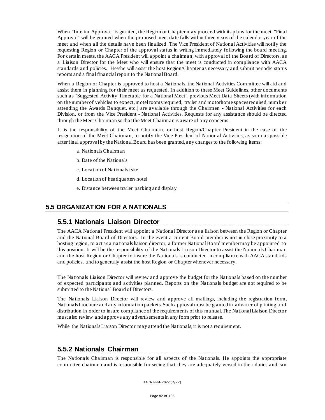When "Interim Approval" is granted, the Region or Chapter may proceed with its plans for the meet. "Final Approval" will be granted when the proposed meet date falls within three years of the calendar year of the meet and when all the details have been finalized. The Vice President of National Activities will notify the requesting Region or Chapter of the approval status in writing immediately following the board meeting. For certain meets, the AACA President will appoint a chairman, with approval of the Board of Directors, as a Liaison Director for the Meet who will ensure that the meet is conducted in compliance with AACA standards and policies. He/she will assist the host Region/Chapter as necessary and submit periodic status reports and a final financial report to the National Board.

When a Region or Chapter is approved to host a Nationals, the National Activities Committee will aid and assist them in planning for their meet as requested. In addition to these Meet Guidelines, other documents such as "Suggested Activity Timetable for a National Meet", previous Meet Data Sheets (with information on the number of vehicles to expect, motel rooms required, trailer and motorhome spaces required, num ber attending the Awards Banquet, etc.) are available through the Chairmen - National Activities for each Division, or from the Vice President - National Activities. Requests for any assistance should be directed through the Meet Chairman so that the Meet Chairman is aware of any concerns.

It is the responsibility of the Meet Chairman, or host Region/Chapter President in the case of the resignation of the Meet Chairman, to notify the Vice President of Nation al Activities, as soon as possible after final approval by the National Board has been granted, any changes to the following items:

- a. Nationals Chairman
- b. Date of the Nationals
- c. Location of Nationals fsite
- d. Location of headquarters hotel
- e. Distance between trailer parking and display

#### **5.5 ORGANIZATION FOR A NATIONALS**

#### **5.5.1 Nationals Liaison Director**

The AACA National President will appoint a National Director as a liaison between the Region or Chapter and the National Board of Directors. In the event a current Board member is not in close proximity to a hosting region, to act as a nationals liaison director, a former National Board member may be appointed to this position. It will be the responsibility of the Nationals Liaison Director to assist the Nationals Chairman and the host Region or Chapter to insure the Nationals is conducted in compliance with AACA standards and policies, and to generally assist the host Region or Chapter whenever necessary.

The Nationals Liaison Director will review and approve the budget for the Nationals based on the number of expected participants and activities planned. Reports on the Nationals budget are not required to be submitted to the National Board of Directors.

The Nationals Liaison Director will review and approve all mailings, including the registration form, Nationals brochure and any information packets. Such approval must be granted in advance of printing and distribution in order to insure compliance of the requirements of this manual. The National Liaison Director must also review and approve any advertisements in any form prior to release.

While the Nationals Liaison Director may attend the Nationals, it is not a requirement.

#### **5.5.2 Nationals Chairman**

The Nationals Chairman is responsible for all aspects of the Nationals. He appoints the appropriate committee chairmen and is responsible for seeing that they are adequately versed in their duties and can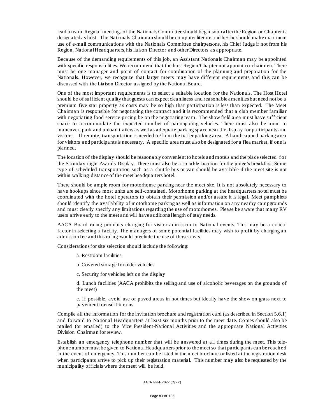lead a team. Regular meetings of the Nationals Committee should begin soon after the Region or Chapter is designated as host. The Nationals Chairman should be computer literate and he/she should make maximum use of e-mail communications with the Nationals Committee chairpersons, his Chief Judge if not from his Region, National Headquarters, his liaison Director and other Directors as appropriate.

Because of the demanding requirements of this job, an Assistant Nationals Chairman may be appointed with specific responsibilities. We recommend that the host Region/Chapter not appoint co-chairmen. There must be one manager and point of contact for coordination of the planning and preparation for the Nationals. However, we recognize that larger meets may have different requirements and this can be discussed with the Liaison Director assigned by the National Board.

One of the most important requirements is to select a suitable location for the Nationals. The Host Hotel should be of sufficient quality that guests can expect cleanliness and reasonable amenities but need not be a premium five star property as costs may be so high that participation is less than expected. The Meet Chairman is responsible for negotiating the contract and it is recommended that a club member familiar with negotiating food service pricing be on the negotiating team. The show field area must have sufficient space to accommodate the expected number of participating vehicles. There must also be room to maneuver, park and unload trailers as well as adequate parking space near the display for participants and visitors. If remote, transportation is needed to/from the trailer parking area. A handicapped parking area for visitors and participants is necessary. A specific area must also be designated for a flea market, if one is planned.

The location of the display should be reasonably convenient to hotels and motels and the place selected f or the Saturday night Awards Display. There must also be a suitable location for the judge's breakfast. Some type of scheduled transportation such as a shuttle bus or van should be available if the meet site is not within walking distance of the meet headquarters hotel.

There should be ample room for motorhome parking near the meet site. It is not absolutely necessary to have hookups since most units are self-contained. Motorhome parking at the headquarters hotel must be coordinated with the hotel operators to obtain their permission and/or assure it is legal. Meet pamphlets should identify the availability of motorhome parking as well as information on any nearby campgrounds and must clearly specify any limitations regarding the use of motorhomes. Please be aware that many RV users arrive early to the meet and will have additional length of stay needs.

AACA Board ruling prohibits cha rging for visitor admission to National events. This may be a critical factor in selecting a facility. The managers of some potential facilities may wish to profit by charging an admission fee and this ruling would preclude the use of those areas.

Considerations for site selection should include the following:

a. Restroom facilities

- b. Covered storage for older vehicles
- c. Security for vehicles left on the display

d. Lunch facilities (AACA prohibits the selling and use of alcoholic beverages on the grounds of the meet)

e. If possible, avoid use of paved areas in hot times but ideally have the show on grass next to pavement for use if it rains.

Compile all the information for the invitation brochure and registration card (as described in Section 5.6.1) and forward to National Headquarters at least six months prior to the meet date. Copies should also be mailed (or emailed) to the Vice President-National Activities and the appropriate National Activities Division Chairman for review.

Establish an emergency telephone number that will be answered at all times during the meet. This telephone number must be given to National Headquarters prior to the meet so that participants can be reached in the event of emergency. This number can be listed in the meet brochure or listed at the registration desk when participants arrive to pick up their registration material. This number may also be requested by the municipality officials where the meet will be held.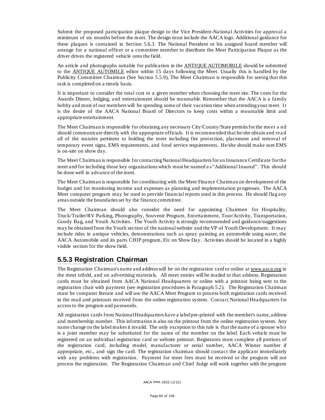Submit the proposed participation plaque design to the Vice President-National Activities for approval a minimum of six months before the meet. The design must include the AACA logo. Additional guidance for these plaques is contained in Section 5.6.3. The National President or his assigned board member will arrange for a national officer or a committee member to distribute the Meet Participation Plaque as the driver drives the registered vehicle onto the field.

An article and photographs suitable for publication in the ANTIQUE AUTOMOBILE should be submitted to the ANTIQUE AUTOMILE editor within 15 days following the Meet. Usually this is handled by the Publicity Committee Chairman (See Section 5.5.9). The Meet Chairman is responsible for seeing that this task is completed on a timely basis.

It is important to consider the total cost to a given member when choosing the meet site. The costs for the Awards Dinner, lodging, and entertainment should be reasonable. Remember that the AACA is a family hobby and most of our members will be spending some of their vacation time when attending your meet. It is the desire of the AACA National Board of Directors to keep costs within a reasonable limit and appropriate entertainment.

The Meet Chairman is responsible for obtaining any necessary City/County/State permits for the meet a nd should communicate directly with the appropriate officials. It is recommended that he/she obtain and rea d all of the statutes pertinent to holding the meet including fire protection, placement and removal of temporary event signs, EMS requirements, and food service requirements. He/she should make sure EMS is on-site on show day.

The Meet Chairman is responsible for contacting National Headquarters for an Insurance Certificate for the meet and for including those key organizations which must be named a s "Additional Insured". This should be done well in advance of the meet.

The Meet Chairman is responsible for coordinating with the Meet Finance Chairman on development of the budget and for monitoring income and expenses as planning and implementation progresses. The AACA Meet computer program may be used to provide financial reports used in this process. He should flag any areas outside the boundaries set by the finance committee.

The Meet Chairman should also consider the need for appointing Chairmen for Hospitality, Truck/Trailer/RV Parking, Photography, Souvenir Program, Entertainment, Tour/Activity, Transportation, Goody Bag, and Youth Activities. The Youth Activity is strongly recommended and guidance/suggestions may be obtained from the Youth section of the national website and the VP of Youth Development. It may include rides in antique vehicles, demonstrations such as spray painting an automobile using water, the AACA Automobile and its parts CHIP program, Etc on Show Day. Activities should be located in a highly visible section for the show field.

## **5.5.3 Registration Chairman**

The Registration Chairman's name and address will be on the registration card or online a[t www.aaca.org](http://www.aaca.org/) in the meet trifold, and on advertising materials. All meet entries will be mailed to that address. Registration cards must be obtained from AACA National Headquarters or online with a printout being sent to the registration chair with payment (see registration procedures in Paragraph 5.2). The Registration Chairman must be computer literate and will use the AACA Meet Program to process both registration cards received in the mail and printouts received from the online registration system. Contact National Headqua rters for access to the program and passwords.

All registration cards from National Headquarters have a label pre-printed with the member's name, address and membership number. This information is also on the printout from the online registration system. Any name change on the label makes it invalid. The only exception to this rule is that the name of a spouse who is a joint member may be substituted for the name of the member on the label. Each vehicle must be registered on an individual registration card or website printout. Registrants must complete all portions of the registration card, including model, manufacturer or serial number, AACA Winner number if appropriate, etc., and sign the card. The registration chairman should contact the applicant immediately with any problems with registration. Payment for meet fees must be received or the program will not process the registration. The Registration Chairman and Chief Judge will work together with the program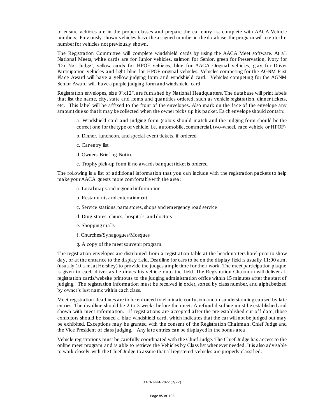to ensure vehicles are in the proper classes and prepare the car entry list complete with AACA Vehicle numbers. Previously shown vehicles have the assigned number in the database; the program will cre ate the number for vehicles not previously shown.

The Registration Committee will complete windshield cards by using the AACA Meet software. At all National Meets, white cards are for Junior vehicles, salmon for Senior, green for Preservation, ivory for 'Do Not Judge', yellow cards for HPOF vehicles, blue for AACA Original vehicles, gray for Driver Participation vehicles and light blue for HPOF original vehicles. Vehicles competing for the AGNM First Place Award will have a yellow judging form and windshield card. Vehicles competing for the AGNM Senior Award will have a purple judging form and windshield card.

Registration envelopes, size 9"x12", are furnished by National Headquarters. The database will print labels that list the name, city, state and items and quantities ordered, such as vehicle registration, dinner tickets, etc. This label will be affixed to the front of the envelopes. Also mark on the face of the envelope any amount due so that it may be collected when the owner picks up his packet. Ea ch envelope should contain:

a. Windshield card and judging form (colors should match and the judging form should be the correct one for the type of vehicle, i.e. automobile, commercial, two-wheel, race vehicle or HPOF)

- b. Dinner, luncheon, and special event tickets, if ordered
- c. Car entry list
- d. Owners Briefing Notice
- e. Trophy pick-up form if no awa rds banquet ticket is ordered

The following is a list of additional information that you can include with the registration packets to help make your AACA guests more comfortable with the area:

- a. Local maps and regional information
- b. Restaurants and entertainment
- c. Service stations, parts stores, shops and emergency road service
- d. Drug stores, clinics, hospitals, and doctors
- e. Shopping malls
- f. Churches/Synagogues/Mosques
- g. A copy of the meet souvenir program

The registration envelopes are distributed from a registration table at the headquarters hotel prior to show day, or at the entrance to the display field. Deadline for cars to be on the display field is usually 11:00 a.m. (usually 10 a.m. at Hershey) to provide the judges ample time for their work. The meet participation plaque is given to each driver as he drives his vehicle onto the field. The Registration Chairman will deliver all registration cards/website printouts to the judging administration office within 15 minutes after the start of judging. The registration information must be received in order, sorted by class number, and alphabetized by owner's last name within each class.

Meet registration deadlines are to be enforced to eliminate confusion and misunderstanding cau sed by late entries. The deadline should be 2 to 3 weeks before the meet. A refund deadline must be established and shown with meet information. If registrations are accepted after the pre-established cut-off date, those exhibitors should be issued a blue windshield card, which indicates that the car will not be judged but may be exhibited. Exceptions may be granted with the consent of the Registration Chairman, Chief Judge and the Vice President of class judging. Any late entries can be displayed in the bonus area.

Vehicle registrations must be carefully coordinated with the Chief Judge. The Chief Judge has access to the online meet program and is able to retrieve the Vehicles by Class list whenever needed. It is also advisable to work closely with the Chief Judge to assure that all registered vehicles are properly classified.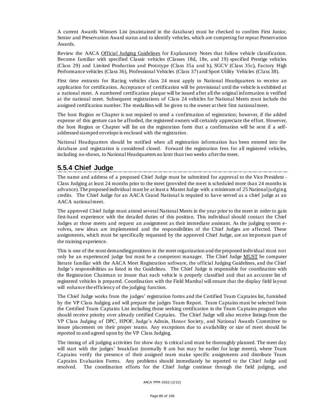A current Awards Winners List (maintained in the database) must be checked to confirm First Junior, Senior and Preservation Award status and to identify vehicles, which are competing for repeat Preservation Awards.

Review the AACA Official Judging Guidelines for Explanatory Notes that follow vehicle classification. Become familiar with specified Classic vehicles (Classes 18d, 18e, and 19) specified Prestige vehicles (Class 29) and Limited Production and Prototype (Class 35a and b), SGCV (Class 35c), Factory High Performance vehicles (Class 36), Professional Vehicles (Class 37) and Sport Utility Vehicles (Class 38).

First time entrants for Racing vehicles class 24 must apply to National Headquarters to receive an application for certification. Acceptance of certification will be provisional until the vehicle is exhibited at a national meet. A numbered certification plaque will be issued after all the original information is verified at the national meet. Subsequent registrations of Class 24 vehicles for National Meets must include the assigned certification number. The medallion will be given to the owner at their first national meet.

The host Region or Chapter is not required to send a confirmation of registration; however, if the added expense of this gesture can be afforded, the registered owners will certainly appreciate the effort. However, the host Region or Chapter will list on the registration form that a confirmation will be sent if a selfaddressed stamped envelope is enclosed with the registration.

National Headquarters should be notified when all registration information has been entered into the database and registration is considered closed. Forward the registration fees for all registered vehicles, including no-shows, to National Headquarters no later than two weeks after the meet.

## **5.5.4 Chief Judge**

The name and address of a proposed Chief Judge must be submitted for approval to the Vice President - Class Judging at least 24 months prior to the meet (provided the meet is scheduled more than 24 months in advance). The proposed individual must be at least a Master Judge with a minimum of 25 National judging credits. The Chief Judge for an AACA Grand National is required to have served as a chief judge at an AACA national meet.

The approved Chief Judge must attend several National Meets in the year prior to the meet in order to gain first-hand experience with the detailed duties of this position. This individual should contact the Chief Judges at those meets and request an assignment as their immediate assistant. As the judging system evolves, new ideas are implemented and the responsibilities of the Chief Judges are affected. These assignments, which must be specifically requested by the approved Chief Judge, are an important part of the training experience.

This is one of the most demanding positions in the meet organization and the proposed individual must not only be an experienced judge but must be a competent manager. The Chief Judge MUST be computer literate familiar with the AACA Meet Registration software, the official Judging Guidelines, and the Chief Judge's responsibilities as listed in the Guidelines. The Chief Judge is responsible for coordination with the Registration Chairman to insure that each vehicle is properly classified and that an accurate list of registered vehicles is prepared. Coordination with the Field Marshal will ensure that the display field layout will enhance the efficiency of the judging function.

The Chief Judge works from the judges' registration forms and the Certified Team Captains list, furnished by the VP Class Judging and will prepare the judges Team Report. Team Captains must be selected from the Certified Team Captains List including those seeking certification in the Team Ca ptains program who should receive priority over already certified Captains. The Chief Judge will also receive listings from the VP Class Judging of DPC, HPOF, Judge's Admin, Honor Society, and Nationa l Awards Committee to insure placement on their proper teams. Any exceptions due to availability or size of meet should be reported to and agreed upon by the VP Class Judging.

The timing of all judging activities for show day is critical and must be thoroughly planned. The meet day will start with the judges' breakfast (normally 8 am but may be earlier for large meets), where Team Captains verify the presence of their assigned team make specific assignments and distribute Team Captains Evaluation Forms. Any problems should immediately be reported to the Chief Judge and resolved. The coordination efforts for the Chief Judge continue through the field judging, and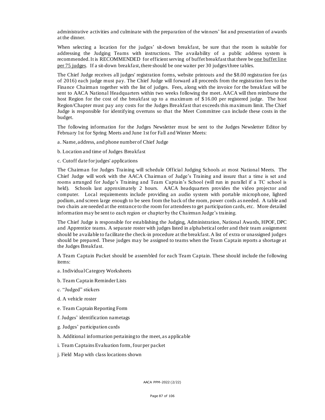administrative activities and culminate with the preparation of the winners' list and presentation of awards at the dinner.

When selecting a location for the judges' sit-down breakfast, be sure that the room is suitable for addressing the Judging Teams with instructions. The availability of a public address system is recommended. It is RECOMMENDED for efficient serving of buffet breakfast that there be one buffet line per 75 judges. If a sit-down breakfast, there should be one waiter per 30 judges/three tables.

The Chief Judge receives all judges' registration forms, website printouts and the \$8.00 registration fee (as of 2016) each judge must pay. The Chief Judge will forward all proceeds from the registration fees to the Finance Chairman together with the list of judges. Fees, along with the invoice for the breakfast will be sent to AACA National Headquarters within two weeks following the meet. AACA will then reimburse the host Region for the cost of the breakfast up to a maximum of \$ 16.00 per registered judge. The host Region/Chapter must pay any costs for the Judges Breakfast that exceeds this maximum limit. The Chief Judge is responsible for identifying overruns so that the Meet Committee can include these costs in the budget.

The following information for the Judges Newsletter must be sent to the Judges Newsletter Editor by February 1st for Spring Meets and June 1st for Fall and Winter Meets:

a. Name, address, and phone number of Chief Judge

b. Location and time of Judges Breakfast

c. Cutoff date for judges' applications

The Chairman for Judges Training will schedule Official Judging Schools at most National Meets. The Chief Judge will work with the AACA Chairman of Judge's Training and insure that a time is set and rooms arranged for Judge's Training and Team Captain's School (will run in parallel if a TC school is held). Schools last approximately 2 hours. AACA headquarters provides the video projector and computer. Local requirements include providing an audio system with portable microph one, lighted podium, and screen large enough to be seen from the back of the room, power cords as needed. A table and two chairs are needed at the entrance to the room for attendees to get participation cards, etc. More detailed information may be sent to each region or chapter by the Chairman Judge's training.

The Chief Judge is responsible for establishing the Judging, Administration, National Awards, HPOF, DPC and Apprentice teams. A separate roster with judges listed in alphabetical order and their team assignment should be available to facilitate the check-in procedure at the breakfast. A list of extra or unassigned judges should be prepared. These judges may be assigned to teams when the Team Captain reports a shortage at the Judges Breakfast.

A Team Captain Packet should be assembled for each Team Captain. These should include the following items:

- a. Individual Category Worksheets
- b. Team Capta in ReminderLists
- c. "Judged" stickers
- d. A vehicle roster
- e. Team Captain Reporting Form
- f. Judges' identification nametags
- g. Judges' participation cards
- h. Additional information pertaining to the meet, as applicable
- i. Team Captains Evaluation form, four per packet
- j. Field Map with class locations shown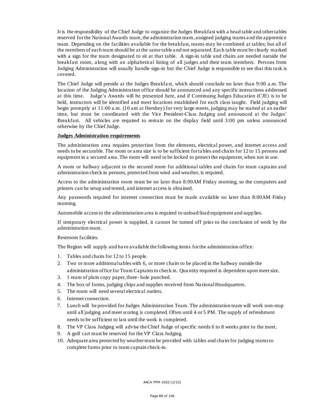It is the responsibility of the Chief Judge to organize the Judges Breakfast with a head table and other tables reserved for the National Awards team, the administration team, assigned judging teams a nd the apprentice team. Depending on the facilities available for the breakfast, teams may be combined at tables; but all of the members of each team should be at the same table a nd not separated. Each table must be clearly marked with a sign for the team designated to sit at that table. A sign-in table and chairs are needed outside the breakfast room, a long with an alphabetical listing of all judges and their team members. Persons from Judging Administration will usually handle sign-in but the Chief Judge is responsible to see that this task is covered.

The Chief Judge will preside at the Judges Breakfa st, which should conclude no later than 9:00 a.m. The location of the Judging Administration office should be announced and any specific instructions addressed at this time. Judge's Awards will be presented here, and if Continuing Judges Education (CJE) is to be held, instructors will be identified and meet locations established for each class taught. Field judging will begin promptly at 11:00 a.m. (10 am at Hershey) for very large meets, judging may be started at an earlier time, but must be coordinated with the Vice President-Class Judging and announced at the Judges' Breakfast. All vehicles are required to remain on the display field until 3:00 pm unless announced otherwise by the Chief Judge.

#### **Judges Administration requirements**

The administration area requires protection from the elements, electrical power, and internet access and needs to be securable. The room or area size is to be sufficient for ta bles and chairs for 12 to 15 persons and equipment in a secured area. The room will need to be locked to protect the equipment, when not in use.

A room or hallway adjacent to the secured room for additional tables and chairs for team captains and administration check in persons, protected from wind and weather, is required.

Access to the administration room must be no later than 8:00AM Friday morning, so the computers and printers can be setup and tested, and internet access is obtained.

Any passwords required for internet connection must be made available no later than 8:00AM Friday morning.

Automobile access to the administration area is required to unload/load equipment and supp lies.

If temporary electrical power is supplied, it cannot be turned off prior to the conclusion of work by the administration team.

#### Restroom facilities.

The Region will supply and have available the following items for the administration office:

- 1. Tables and chairs for 12 to 15 people.
- 2. Two or more additional tables with 6, or more chairs to be placed in the hallway outside the administration office for Team Captains to check in. Qua ntity required is dependent upon meet size.
- 3. 1 ream of plain copy paper, three- hole punched.
- 4. The box of forms, judging chips and supplies received from Na tional Headquarters.
- 5. The room will need several electrical outlets.
- 6. Internet connection.
- 7. Lunch will be provided for Judges Administration Team. The administration team will work non-stop until all judging and meet scoring is completed. Often until 4 or 5 PM. The supply of refreshment needs to be sufficient to last until the work is completed.
- 8. The VP Class Judging will advise the Chief Judge of specific needs 6 to 8 weeks prior to the meet.
- 9. A golf cart must be reserved for the VP Class Judging.
- 10. Adequate area protected by weather must be provided with tables and cha irs for judging teams to complete forms prior to team captain check-in.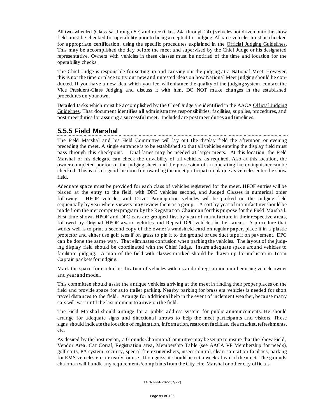All two-wheeled (Class 5a through 5e) and race (Class 24a through 24c) vehicles not driven onto the show field must be checked for operability prior to being accepted for judging. All race vehicles must be checked for appropriate certification, using the specific procedures explained in the Official Judging Guidelines. This may be accomplished the day before the meet and supervised by the Chief Judge or his designated representative. Owners with vehicles in these classes must be notified of the time and location for the operability checks.

The Chief Judge is responsible for setting up and carrying out the judging at a National Meet. However, this is not the time or place to try out new and untested ideas on how National Meet judging should be conducted. If you have a new idea which you feel will enhance the quality of the judging system, contact the Vice President-Class Judging and discuss it with him. DO NOT make changes in the established procedures on your own.

Detailed tasks which must be accomplished by the Chief Judge a re identified in the AACA Official Judging Guidelines. That document identifies all administrative responsibilities, facilities, supplies, procedures, and post-meet duties for assuring a successful meet. Included are post meet duties and timelines.

### **5.5.5 Field Marshal**

The Field Marshal and his Field Committee will lay out the display field the afternoon or evening preceding the meet. A single entrance is to be established so that all vehicles entering the display field must pass through this checkpoint. Dual lanes may be needed at larger meets. At this location, the Field Marshal or his delegate can check the drivability of all vehicles, as required. Also at this location, the owner-completed portion of the judging sheet and the possession of an operating fire extinguisher can be checked. This is also a good location for awarding the meet participation plaque as vehicles enter the show field.

Adequate space must be provided for each class of vehicles registered for the meet. HPOF entries will be placed at the entry to the field, with DPC vehicles second, and Judged Classes in numerical order following. HPOF vehicles and Driver Participation vehicles will be parked on the judging field sequentially by year where viewers may review them as a group. A sort by year of manufacturer should be made from the met computer program by the Registration Chairman for this purpose for the Field Marsha l. First time shown HPOF and DPC cars are grouped first by year of manufacture in their respective areas, followed by Original HPOF award vehicles and Repeat DPC vehicles in their areas. A procedure that works well is to print a second copy of the owner's windshield card on regular paper, place it in a plastic protector and either use golf tees if on grass to pin it to the ground or use duct tape if on pavement. DPC can be done the same way. That eliminates confusion when parking the vehicles. The layout of the judging display field should be coordinated with the Chief Judge. Insure adequate space around vehicles to facilitate judging. A map of the field with classes marked should be drawn up for inclusion in Team Captain packets for judging.

Mark the space for each classification of vehicles with a standard registration number using vehicle owner and year and model.

This committee should assist the antique vehicles arriving at the meet in finding their proper places on the field and provide space for auto trailer parking. Nearby parking for brass era vehicles is needed for short travel distances to the field. Arrange for additional help in the event of inclement weather, because many cars will wait until the last moment to arrive on the field.

The Field Marshal should arrange for a public address system for public announcements. He should arrange for adequate signs and directional arrows to help the meet participants and visitors. These signs should indicate the location of registration, information, restroom facilities, flea market, refreshments, etc.

As desired by the host region, a Grounds Chairman/Committee may be set up to insure that the Show Field, Vendor Area, Car Corral, Registration area, Membership Table (see AACA VP Membership for needs), golf carts, PA system, security, special fire extinguishers, insect control, clean sanitation facilities, parking for EMS vehicles etc are ready for use. If on grass, it should be cut a week ahead of the meet. The grounds chairman will handle any requirements/complaints from the City Fire Marshal or other city officials.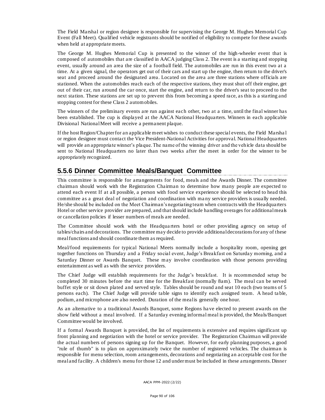The Field Marshal or region designee is responsible for supervising the George M. Hughes Memorial Cup Event (Fall Meet). Qualified vehicle registrants should be notified of eligibility to compete for these awards when held at appropriate meets.

The George M. Hughes Memorial Cup is presented to the winner of the high-wheeler event that is composed of automobiles that are classified in AACA judging Class 2. The event is a starting and stopping event, usually around an area the size of a football field. The automobiles are run in this event two at a time. At a given signal, the operators get out of their cars and start up the engine, then return to the driver's seat and proceed around the designated area. Located on the area are three stations where officials are stationed. When the automobiles reach each of the respective stations, they must shut off their engine, get out of their car, run around the car once, start the engine, and return to the driver's seat to proceed to the next station. These stations are set up to prevent this from becoming a speed race, as this is a starting and stopping contest for these Class 2 automobiles.

The winners of the preliminary events are run against each other, two at a time, until the final winner has been established. The cup is displayed at the AACA National Headquarters. Winners in each applicable Divisional National Meet will receive a permanent plaque.

If the host Region/Chapter for an applicable meet wishes to conduct these special events, the Field Marsha l or region designee must contact the Vice President-National Activities for approval. National Headquarters will provide an appropriate winner's plaque. The name of the winning driver and the vehicle data should be sent to National Headquarters no later than two weeks after the meet in order for the winner to be appropriately recognized.

## **5.5.6 Dinner Committee Meals/Banquet Committee**

This committee is responsible for arrangements for food, meals and the Awards Dinner. The committee chairman should work with the Registration Chairman to determine how many people are expected to attend each event If at all possible, a person with food service experience should be selected to head this committee as a great deal of negotiation and coordination with ma ny service providers is usually needed. He/she should be included on the Meet Chairman's negotiating team when contracts with the Headquarters Hotel or other service provider are prepared, and that should include handling overages for additional meals or cancellation policies if lesser numbers of meals are needed.

The Committee should work with the Headqua rters hotel or other providing agency on setup of tables/chairs and decorations. The committee may decide to provide additional decorations for any of these meal functions and should coordinate them as required.

Meal/food requirements for typical National Meets normally include a hospitality room, opening get together functions on Thursday and a Friday social event, Judge's Breakfast on Saturday morning, and a Saturday Dinner or Awards Banquet. These may involve coordination with those persons providing entertainment as well as with the service providers.

The Chief Judge will establish requirements for the Judge's breakfast. It is recommended setup be completed 30 minutes before the start time for the Breakfast (normally 8am). The meal can be served buffet style or sit down plated and served style. Tables should be round and seat 10 each (two teams of 5 persons each). The Chief Judge will provide table signs to identify each assigned team. A head ta ble, podium, and microphone are also needed. Duration of the meal is generally one hour.

As an alternative to a traditional Awards Banquet, some Regions ha ve elected to present awards on the show field without a meal involved. If a Saturday evening informal meal is provided, the Meals/Banquet Committee would be involved.

If a formal Awards Banquet is provided, the list of requirements is extensive and requires significant up front planning and negotiation with the hotel or service provider. The Registration Chairman will provide the actual numbers of persons signing up for the Banquet. However, for early planning purposes, a good "rule of thumb" is to plan on approximately twice the number of registered vehicles. The chairman is responsible for menu selection, room arrangements, decorations and negotiating an acceptable cost for the meal and facility. A children's menu for those 12 and under must be included in these arrangements. Dinner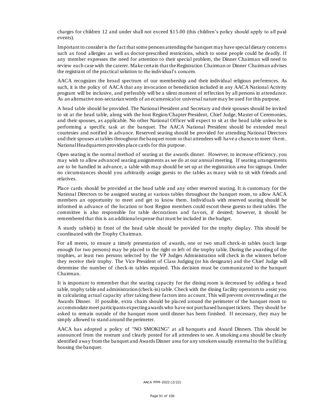charges for children 12 and under shall not exceed \$15.00 (this children's policy should apply to all paid events).

Important to consider is the fact that some persons attending the banquet may have special dietary concern s such as food allergies as well as doctor-prescribed restrictions, which to some people could be deadly. If any member expresses the need for attention to their special problem, the Dinner Chairman will need to review each case with the caterer. Make certain that the Registration Chairman or Dinner Chairman advises the registrant of the practical solution to the individual's concern.

AACA recognizes the broad spectrum of our membership and their individual religious preferences. As such, it is the policy of AACA that any invocation or benediction included in any AACA National Activity program will be inclusive, and preferably will be a silent moment of reflection by all persons in attendance. As an alternative non-sectarian words of an ecumenical or universal nature may be used for this purpose.

A head table should be provided. The National President and Secretary and their spouses should be invited to sit at the head table, along with the host Region/Chapter President, Chief Judge, Master of Ceremonies, and their spouses, as applicable. No other National Officer will expect to sit at the head table unless he is performing a specific task at the banquet. The AACA National President should be extended meal courtesies and notified in advance. Reserved seating should be provided for attending National Directors and their spouses at tables throughout the banquet room so that attendees will have a chance to meet them . National Headquarters provides place cards for this purpose.

Open seating is the normal method of seating at the awards dinner. However, to increase efficiency, you may wish to allow advanced sea ting assignments as we do at our annual meeting. If seating arrangements are to be handled in advance, a table with ma p should be set up at the registration area for signups. Under no circumstances should you arbitrarily assign guests to the tables as many wish to sit with friends and relatives.

Place cards should be provided at the head table and any other reserved seating. It is customary for the National Directors to be assigned seating at various tables throughout the banquet room, to allow AACA members an opportunity to meet and get to know them. Individuals with reserved seating should be informed in advance of the location or host Region members could escort these guests to their tables. The committee is also responsible for table decorations and favors, if desired; however, it should be remembered that this is an additional expense that must be included in the budget.

A sturdy table(s) in front of the head table should be provided for the trophy display. This should be coordinated with the Trophy Chairman.

For all meets, to ensure a timely presentation of awards, one or two small check-in tables (each large enough for two persons) may be placed to the right or left of the trophy table. During the awarding of the trophies, at least two persons selected by the VP Judges Administration will check in the winners before they receive their trophy. The Vice President of Class Judging (or his designate) and the Chief Judge will determine the number of check-in tables required. This decision must be communica ted to the banquet Chairman.

It is important to remember that the seating capacity for the dining room is decreased by adding a head table, trophy table and administration (check-in) table. Check with the dining facility operators to assist you in calculating actual capacity after taking these factors into account. This will prevent overcrowding at the Awards Dinner. If possible, extra chairs should be pla ced around the perimeter of the banquet room to accommodate meet participants expecting awards who have not purchased banquet tickets. They should be asked to remain outside of the banquet room until dinner has been finished. If necessary, they may be simply allowed to stand around the perimeter.

AACA has adopted a policy of "NO SMOKING" at all banquets and Award Dinners. This should be announced from the rostrum and clearly posted for all attendees to see. A smoking a rea should be clearly identified away from the banquet and Awards Dinner area for any smokers usually external to the building housing the banquet.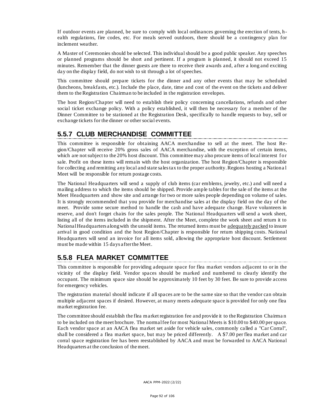If outdoor events are planned, be sure to comply with local ordinances governing the erection of tents, health regulations, fire codes, etc. For meals served outdoors, there should be a contingency plan for inclement weather.

A Master of Ceremonies should be selected. This individual should be a good public speaker. Any speeches or planned programs should be short and pertinent. If a program is planned, it should not exceed 15 minutes. Remember that the dinner guests are there to receive their awards and, after a long and exciting day on the display field, do not wish to sit through a lot of speeches.

This committee should prepare tickets for the dinner and any other events that may be scheduled (luncheons, breakfasts, etc.). Include the place, date, time and cost of the event on the tickets and deliver them to the Registration Chairman to be included in the registration envelopes.

The host Region/Chapter will need to establish their policy concerning cancellations, refunds and other social ticket exchange policy. With a policy established, it will then be necessary for a member of the Dinner Committee to be stationed at the Registration Desk, specifically to handle requests to buy, sell or exchange tickets for the dinner or other social events.

### **5.5.7 CLUB MERCHANDISE COMMITTEE**

This committee is responsible for obtaining AACA merchandise to sell at the meet. The host Region/Chapter will receive 20% gross sales of AACA merchandise, with the exception of certain items, which are not subject to the 20% host discount. This committee may also procure items of local interest for sale. Profit on these items will remain with the host organization. The host Region/Chapter is responsible for collecting and remitting any local and state sales tax to the proper authority. Regions hosting a Nationa l Meet will be responsible for return postage costs.

The National Headquarters will send a supply of club items (car emblems, jewelry, etc.) and will need a mailing address to which the items should be shipped. Provide ample tables for the sale of the items at the Meet Headquarters and show site and arrange for two or more sales people depending on volume of sales. It is strongly recommended that you provide for merchandise sales at the display field on the day of the meet. Provide some secure method to handle the cash and have adequate change. Have volunteers in reserve, and don't forget chairs for the sales people. The National Headquarters will send a work sheet, listing all of the items included in the shipment. After the Meet, complete the work sheet and return it to National Headquarters along with the unsold items. The returned items must be adequately packed to insure arrival in good condition and the host Region/Chapter is responsible for return shipping costs. National Headquarters will send an invoice for all items sold, allowing the appropriate host discount. Settlement must be made within 15 days after the Meet.

## **5.5.8 FLEA MARKET COMMITTEE**

This committee is responsible for providing adequate space for flea market vendors adjacent to or in the vicinity of the display field. Vendor spaces should be marked and numbered to clearly identify the occupant. The minimum space size should be approximately 10 feet by 30 feet. Be sure to provide access for emergency vehicles.

The registration material should indicate if all spaces are to be the same size so that the vendor can obtain multiple adjacent spaces if desired. However, at many meets adequate space is provided for only one flea market registration fee.

The committee should establish the flea market registration fee and provide it to the Registration Chairma n to be included on the meet brochure. The normal fee for most National Meets is \$10.00 to \$40.00 per space. Each vendor space at an AACA flea market set aside for vehicle sales, commonly ca lled a "Car Corral", shall be considered a flea market space, but may be priced differently. A \$7.00 per flea market and car corral space registration fee has been reestablished by AACA and must be forwarded to AACA National Headquarters at the conclusion of the meet.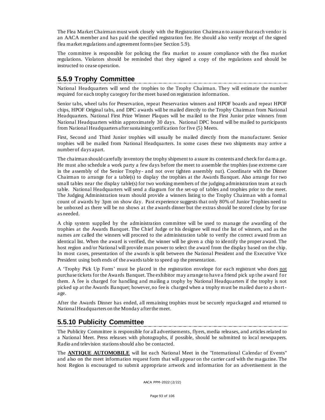The Flea Market Chairman must work closely with the Registration Chairma n to assure that each vendor is an AACA member and has paid the specified registration fee. He should a lso verify receipt of the signed flea market regulations and agreement forms (see Section 5.9).

The committee is responsible for policing the flea market to assure compliance with the flea market regulations. Violators should be reminded that they signed a copy of the regulations and should be instructed to cease opera tion.

## **5.5.9 Trophy Committee**

National Headquarters will send the trophies to the Trophy Chairman. They will estimate the number required for each trophy ca tegory for the meet based on registration information.

Senior tabs, wheel tabs for Preservation, repeat Preservation winners and HPOF boards and repeat HPOF chips, HPOF Original tabs, and DPC awards will be mailed directly to the Trophy Chairman from National Headquarters. National First Prize Winner Plaques will be ma iled to the First Junior prize winners from National Headquarters within approximately 30 days. National DPC board will be mailed to participants from National Headquarters after sustaining certification for five (5) Meets.

First, Second and Third Junior trophies will usually be mailed directly from the manufacturer. Senior trophies will be mailed from National Headquarters. In some cases these two shipments may arrive a number of days apart.

The chairman should carefully inventory the trophy shipment to a ssure its contents and check for da m a ge. He must also schedule a work party a few days before the meet to assemble the trophies (use extreme care in the assembly of the Senior Trophy- and not over tighten assembly nut). Coordinate with the Dinner Chairman to arrange for a table(s) to display the trophies at the Awards Banquet. Also arrange for two small tables near the display table(s) for two working members of the judging administration team at each table. National Headquarters will send a diagram for the set-up of tables and trophies prior to the meet. The Judging Administration team should provide a winners listing to the Trophy Chairman with a formal count of awards by 3pm on show day. Past experience suggests that only 80% of Junior Trophies need to be unboxed as there will be no shows at the awards dinner but the extras should be stored close by for use as needed.

A chip system supplied by the administration committee will be used to manage the awarding of the trophies at the Awards Banquet. The Chief Judge or his designee will read the list of winners, and as the names are called the winners will proceed to the administration table to verify the correct award from an identical list. When the award is verified, the winner will be given a chip to identify the proper award. The host region and/or National will provide man power to select the award from the display based on the chip. In most cases, presentation of the awards is split between the National President and the Executive Vice President using both ends of the awards table to speed up the presentation.

A 'Trophy Pick Up Form' must be placed in the registration envelope for each registrant who does not purchase tickets for the Awards Banquet. The exhibitor may arrange to have a friend pick up the award for them. A fee is charged for handling and mailing a trophy by National Headquarters if the trophy is not picked up at the Awards Banquet; however, no fee is charged when a trophy must be mailed due to a shortage.

After the Awards Dinner has ended, all remaining trophies must be securely repackaged and returned to National Headquarters on the Monday after the meet.

## **5.5.10 Publicity Committee**

The Publicity Committee is responsible for all advertisements, flyers, media releases, and articles related to a National Meet. Press releases with photographs, if possible, should be submitted to local newspapers. Radio and television stations should also be contacted.

The **ANTIQUE AUTOMOBILE** will list each National Meet in the "International Calendar of Events" and also on the meet information request form that will appear on the carrier card with the ma gazine. The host Region is encouraged to submit appropriate artwork and information for an advertisement in the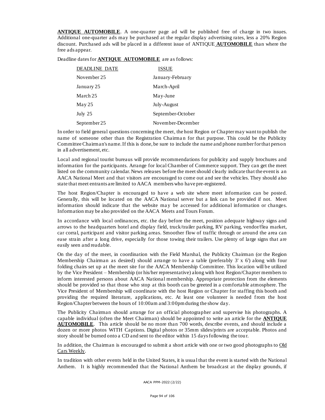**ANTIQUE AUTOMOBILE**. A one-quarter page ad will be published free of charge in two issues. Additional one-quarter ads may be purchased at the regular display advertising rates, less a 20% Region discount. Purchased ads will be placed in a different issue of ANTIQUE **AUTOMOBILE** than where the free ads appear.

Deadline dates for **ANTIQUE AUTOMOBILE** are as follows:

| <b>DEADLINE DATE</b> | ISSUE             |
|----------------------|-------------------|
| November 25          | January-February  |
| January 25           | March-April       |
| March 25             | May-June          |
| $\text{Mav}\,25$     | July-August       |
| July $25$            | September-October |
| September 25         | November-December |

In order to field general questions concerning the meet, the host Region or Chapter may want to publish the name of someone other than the Registration Chairman for that purpose. This could be the Publicity Committee Chairman's name. If this is done, be sure to include the name and phone number for that person in all advertisement, etc.

Local and regional tourist bureaus will provide recommendations for publicity and supply brochures and information for the participants. Arrange for local Chamber of Commerce support. They can get the meet listed on the community calendar. News releases before the meet should clearly indicate that the event is an AACA National Meet and that visitors are encouraged to come out and see the vehicles. They should also state that meet entrants are limited to AACA members who have pre-registered.

The host Region/Chapter is encouraged to have a web site where meet information can be posted. Generally, this will be located on the AACA National server but a link can be provided if not. Meet information should indicate that the website ma y be accessed for additional information or changes. Information may be also provided on the AACA Meets and Tours Forum.

In accordance with local ordinances, etc. the day before the meet, position adequate highway signs and arrows to the headquarters hotel and display field, truck/trailer parking, RV parking, vendor/flea market, car corral, participant and visitor parking areas. Smoother flow of traffic through or around the area can ease strain after a long drive, especially for those towing their trailers. Use plenty of large signs that are easily seen and readable.

On the day of the meet, in coordination with the Field Marshal, the Publicity Chairman (or the Region Membership Chairman as desired) should arrange to have a table (preferably  $3' \times 6'$ ) along with four folding chairs set up at the meet site for the AACA Membership Committee. This location will be utilized by the Vice President – Membership (or his/her representative) along with host Region/Chapter members to inform interested persons about AACA National membership. Appropriate protection from the elements should be provided so that those who stop at this booth can be greeted in a comfortable atmosphere. The Vice President of Membership will coordinate with the host Region or Chapter for staffing this booth and providing the required literature, applications, etc. At least one volunteer is needed from the host Region/Chapter between the hours of 10:00am and 3:00pm during the show day.

The Publicity Chairman should arrange for an official photographer and supervise his photographs. A capable individual (often the Meet Chairman) should be appointed to write an article for the **ANTIQUE AUTOMOBILE**. This article should be no more than 700 words, describe events, and should include a dozen or more photos WITH Captions. Digital photos or 35mm slides/prints are acceptable. Photos and story should be burned onto a CD and sent to the editor within 15 days following the tour.

In addition, the Chairman is encouraged to submit a short article with one or two good photographs to Old Cars Weekly.

In tradition with other events held in the United States, it is usua l that the event is started with the National Anthem. It is highly recommended that the National Anthem be broadcast at the display grounds, if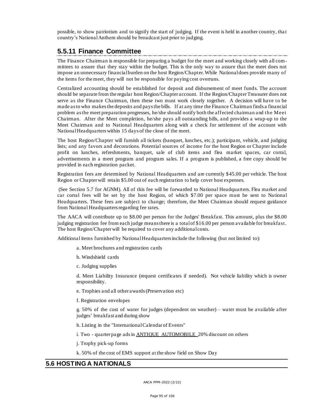possible, to show patriotism and to signify the start of judging. If the event is held in another country, tha t country's National Anthem should be broadcast just prior to judging.

### **5.5.11 Finance Committee**

The Finance Chairman is responsible for preparing a budget for the meet and working closely with all committees to assure that they stay within the budget. This is the only way to assure that the meet does not impose an unnecessary financial burden on the host Region/Chapter. While National does provide many of the items for the meet, they will not be responsible for paying cost overruns.

Centralized accounting should be established for deposit and disbursement of meet funds. The account should be separate from the regular host Region/Chapter account. If the Region/ChapterTreasurer does not serve as the Finance Chairman, then these two must work closely together. A decision will have to be made as to who makes the deposits and pays the bills. If at any time the Finance Chairman finds a financial problem as the meet preparation progresses, he/she should notify both the affected chairman and the Meet Chairman. After the Meet completion, he/she pays all outstanding bills, a nd provides a wrap-up to the Meet Chairman and to National Headquarters along with a check for settlement of the account with National Headquarters within 15 days of the close of the meet.

The host Region/Chapter will furnish all tickets (banquet, lunches, etc.); participant, vehicle, and judging lists; and any favors and decorations. Potential sources of income for the host Region or Chapter include profit on lunches, refreshments, banquet, sale of club items and flea market spaces, car corral, advertisements in a meet program and program sales. If a program is published, a free copy should be provided in each registration packet.

Registration fees are determined by National Headquarters and are currently \$45.00 per vehicle. The host Region or Chapter will retain \$5.00 out of each registration to help cover host expenses.

(See Section 5.7 for AGNM). All of this fee will be forwarded to National Headquarters. Flea market and car corral fees will be set by the host Region, of which \$7.00 per space must be sent to National Headquarters. These fees are subject to change; therefore, the Meet Chairman should request guidance from National Headquarters regarding fee rates.

The AACA will contribute up to \$8.00 per person for the Judges' Breakfast. This amount, plus the \$8.00 judging registration fee from each judge means there is a total of \$16.00 per person available for breakfast. The host Region/Chapter will be required to cover any additional costs.

Additional items furnished by National Headquarters include the following (but not limited to):

- a. Meet brochures and registration cards
- b. Windshield cards
- c. Judging supplies

d. Meet Liability Insurance (request certificates if needed). Not vehicle liability which is owner responsibility.

e. Trophies and all other awards (Preservation etc)

f. Registration envelopes

g. 50% of the cost of water for judges (dependent on weather) – water must be available after judges' breakfast and during show

h. Listing in the "International Calendar of Events"

i. Two - quarter page adsin ANTIQUE AUTOMOBILE 20% discount on others

j. Trophy pick-up forms

k. 50% of the cost of EMS support at the show field on Show Day

#### **5.6 HOSTING A NATIONALS**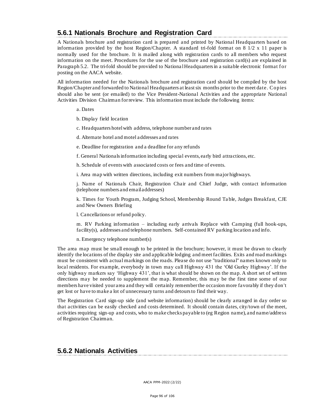## **5.6.1 Nationals Brochure and Registration Card**

A Nationals brochure and registration card is prepared and printed by National Headquarters based on information provided by the host Region/Chapter. A standard tri-fold format on 8 1/2 x 11 paper is normally used for the brochure. It is mailed along with registration cards to all members who request information on the meet. Procedures for the use of the brochure and registration card(s) are explained in Paragraph 5.2. The tri-fold should be provided to Nationa l Headquarters in a suitable electronic format for posting on the AACA website.

All information needed for the Nationals brochure and registration card should be compiled by the host Region/Chapter and forwarded to National Headquarters at least six months prior to the meet date. Copies should also be sent (or emailed) to the Vice President-National Activities and the appropriate National Activities Division Chairman for review. This information must include the following items:

a. Dates

b. Display field location

c. Headquarters hotel with address, telephone number and rates

d. Alternate hotel and motel a ddresses and rates

- e. Deadline for registration and a deadline for any refunds
- f. General Nationals information including special events, early bird attractions, etc.

h. Schedule of events with associated costs or fees and time of events.

i. Area map with written directions, including exit numbers from major highways.

j. Name of Nationals Chair, Registration Chair and Chief Judge, with contact information (telephone numbers and email addresses)

k. Times for Youth Program, Judging School, Membership Round Ta ble, Judges Breakfast, CJE and New Owners Briefing

l. Cancellations or refund policy.

m. RV Parking information – including early arrivals Replace with Camping (full hook-ups, facility(s), addresses and telephone numbers. Self-contained RV parking location and info.

n. Emergency telephone number(s)

The area map must be small enough to be printed in the brochure; however, it must be drawn to clearly identify the locations of the display site and applicable lodging and meet facilities. Exits and road markings must be consistent with actual markings on the roads. Please do not use "traditional" names known only to local residents. For example, everybody in town may call Highway 431 the 'Old Gurley Highway'. If the only highway markers say 'Highway 431', that is what should be shown on the map. A short set of written directions may be needed to supplement the map. Remember, this may be the first time some of our members have visited your area and they will certainly remember the occasion more favorably if they don't get lost or have to make a lot of unnecessary turns and detours to find their way.

The Registration Card sign-up side (and website information) should be clearly arranged in day order so that activities can be easily checked and costs determined. It should contain dates, city/town of the meet, activities requiring sign-up and costs, who to make checks payable to (eg Region name), and name/address of Registration Chairman.

### **5.6.2 Nationals Activities**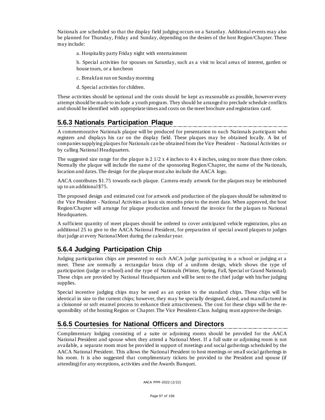Nationals are scheduled so that the display field judging occurs on a Saturday. Additional events may also be planned for Thursday, Friday and Sunday, depending on the desires of the host Region/Chapter. These may include:

a. Hospitality party Friday night with entertainment

b. Special activities for spouses on Saturday, such as a visit to local areas of interest, garden or house tours, or a luncheon

- c. Breakfast run on Sunday morning
- d. Special activities for children.

These activities should be optional and the costs should be kept as reasonable as possible, however every attempt should be made to include a youth program. They should be arranged to preclude schedule conflicts and should be identified with appropriate times and costs on the meet brochure and registration card.

### **5.6.3 Nationals Participation Plaque**

A commemorative Nationals plaque will be produced for presentation to each Nationals participant who registers and displays his car on the display field. These plaques may be obtained locally. A list of companies supplying plaques for Nationals can be obtained from the Vice President - National Activities or by calling National Headquarters.

The suggested size range for the plaque is  $2 \frac{1}{2} \times 4$  inches to  $4 \times 4$  inches, using no more than three colors. Normally the plaque will include the name of the sponsoring Region/Chapter, the name of the Na tionals, location and dates. The design for the plaque must also include the AACA logo.

AACA contributes \$1.75 towards each plaque. Camera-ready artwork for the plaques may be reimbursed up to an additional \$75.

The proposed design and estimated cost for artwork and production of the pla ques should be submitted to the Vice President - National Activities at least six months prior to the meet date. When approved, the host Region/Chapter will arrange for plaque production and forward the invoice for the plaques to National Headquarters.

A sufficient quantity of meet plaques should be ordered to cover anticipated vehicle registration, plus an additional 25 to give to the AACA National President, for preparation of special award plaques to judges that judge at every National Meet during the ca lendar year.

## **5.6.4 Judging Participation Chip**

Judging participation chips are presented to each AACA judge participating in a school or judging at a meet. These are normally a rectangular brass chip of a uniform design, which shows the type of participation (judge or school) and the type of Nationals (Winter, Spring, Fall, Special or Grand National). These chips are provided by National Headquarters and will be sent to the chief judge with his/her judging supplies.

Special incentive judging chips may be used as an option to the standard chips. These chips will be identical in size to the current chips; however, they may be specially designed, dated, and manufactured in a cloisonné or soft enamel process to enhance their attractiveness. The cost for these chips will be the responsibility of the hosting Region or Chapter. The Vice President-Class Judging must approve the design.

## **5.6.5 Courtesies for National Officers and Directors**

Complimentary lodging consisting of a suite or adjoining rooms should be provided for the AACA National President and spouse when they attend a National Meet. If a full suite or adjoining room is not available, a separate room must be provided in support of meetings and social gatherings scheduled by the AACA National President. This allows the National President to host meetings or small social gatherings in his room. It is also suggested that complimentary tickets be provided to the President and spouse (if attending) for any receptions, activities and the Awards Banquet.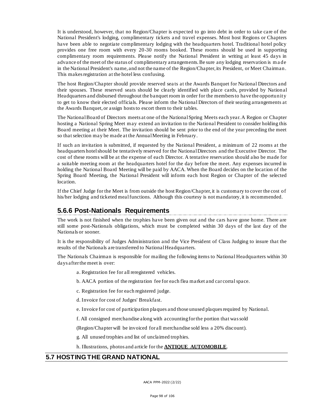It is understood, however, that no Region/Chapter is expected to go into debt in order to take care of the National President's lodging, complimentary tickets a nd travel expenses. Most host Regions or Chapters have been able to negotiate complimentary lodging with the headquarters hotel. Traditional hotel policy provides one free room with every 20-30 rooms booked. These rooms should be used in supporting complimentary room requirements. Please notify the National President in writing at least 45 days in advance of the meet of the status of complimentary arrangements. Be sure any lodging reservation is m a de in the National President's name, and not the name of the Region/Chapter, its President, or Meet Chairman. This makes registration at the hotel less confusing.

The host Region/Chapter should provide reserved sea ts at the Awards Banquet for National Directors and their spouses. These reserved seats should be clearly identified with place cards, provided by National Headquarters and disbursed throughout the banquet room in order for the members to have the opportunity to get to know their elected officials. Please inform the Na tional Directors of their seating arrangements at the Awards Banquet, or assign hosts to escort them to their tables.

The National Board of Directors meets at one of the National Spring Meets each year. A Region or Chapter hosting a National Spring Meet may extend an invitation to the National President to consider holding this Board meeting at their Meet. The invitation should be sent prior to the end of the year preceding the meet so that selection may be made at the Annual Meeting in February.

If such an invitation is submitted, if requested by the National President, a minimum of 22 rooms at the headquarters hotel should be tentatively reserved for the National Directors and the Executive Director. The cost of these rooms will be at the expense of each Director. A tentative reservation should also be made for a suitable meeting room at the headquarters hotel for the day before the meet. Any expenses incurred in holding the National Board Meeting will be paid by AACA. When the Board decides on the location of the Spring Board Meeting, the National President will inform each host Region or Chapter of the selected location.

If the Chief Judge for the Meet is from outside the host Region/Chapter, it is customary to cover the cost of his/her lodging and ticketed meal functions. Although this courtesy is not mandatory, it is recommended.

### **5.6.6 Post-Nationals Requirements**

The work is not finished when the trophies have been given out and the cars have gone home. There are still some post-Nationals obligations, which must be completed within 30 days of the last day of the Nationals or sooner.

It is the responsibility of Judges Administration and the Vice President of Class Judging to insure that the results of the Nationals are transferred to National Headquarters.

The Nationals Chairman is responsible for mailing the following items to National Headquarters within 30 days after the meet is over:

- a. Registration fee for all reregistered vehicles.
- b. AACA portion of the registration fee for each flea market and car corral space.
- c. Registration fee for each registered judge.
- d. Invoice for cost of Judges' Breakfast.
- e. Invoice for cost of participation plaques and those unused plaques required by National.
- f. All consigned merchandise along with accounting for the portion that was sold
- (Region/Chapter will be invoiced for all merchandise sold less a 20% discount).
- g. All unused trophies and list of unclaimed trophies.
- h. Illustrations, photos and article for the **ANTIQUE AUTOMOBILE**.

#### **5.7 HOSTING THE GRAND NATIONAL**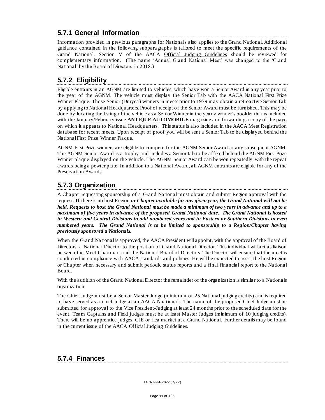## **5.7.1 General Information**

Information provided in previous paragraphs for Nationals also applies to the Grand National. Additional guidance contained in the following subparagraphs is tailored to meet the specific requirements of the Grand National. Section V of the AACA Official Judging Guidelines should be reviewed for complementary information. (The name 'Annual Grand National Meet' was changed to the 'Grand National' by the Board of Directors in 2018.)

## **5.7.2 Eligibility**

Eligible entrants in an AGNM are limited to vehicles, which have won a Senior Award in any year prior to the year of the AGNM. The vehicle must display the Senior Tab with the AACA National First Prize Winner Plaque. Those Senior (Duryea) winners in meets prior to 1979 may obtain a retroactive Senior Tab by applying to National Headquarters. Proof of receipt of the Senior Award must be furnished. This may be done by locating the listing of the vehicle as a Senior Winner in the yearly winner's booklet that is included with the January/February issue **ANTIQUE AUTOMOBILE** magazine and forwarding a copy of the page on which it appears to National Headquarters. This status is also included in the AACA Meet Registration database for recent meets. Upon receipt of proof you will be sent a Senior Tab to be displayed behind the National First Prize Winner Plaque.

AGNM First Prize winners are eligible to compete for the AGNM Senior Award at any subsequent AGNM. The AGNM Senior Award is a trophy and includes a Senior tab to be affixed behind the AGNM First Prize Winner plaque displayed on the vehicle. The AGNM Senior Award can be won repeatedly, with the repeat awards being a pewter plate. In addition to a National Award, all AGNM entrants are eligible for any of the Preservation Awards.

## **5.7.3 Organization**

A Chapter requesting sponsorship of a Grand National must obtain and submit Region approval with the request. If there is no host Region *or Chapter available for any given year, the Grand National will not be held. Requests to host the Grand National must be made a minimum of two years in advance and up to a maximum of five years in advance of the proposed Grand National date. The Grand National is hosted in Western and Central Divisions in odd numbered years and in Eastern or Southern Divisions in even numbered years. The Grand National is to be limited to sponsorship to a Region/Chapter having previously sponsored a Nationals.*

When the Grand National is approved, the AACA President will appoint, with the approval of the Board of Directors, a National Director to the position of Grand National Director. This individual will act as liaison between the Meet Chairman and the National Board of Directors. The Director will ensure that the meet is conducted in compliance with AACA standards and policies. He will be expected to assist the host Region or Chapter when necessary and submit periodic status reports and a final financial report to the National Board.

With the addition of the Grand National Director the remainder of the organization is similar to a Nationals organization.

The Chief Judge must be a Senior Master Judge (minimum of 25 National judging credits) and is required to have served as a chief judge at an AACA Nnationals. The name of the proposed Chief Judge must be submitted for approval to the Vice President-Judging at least 24 months prior to the scheduled date for the event. Team Captains and Field judges must be at least Master Judges (minimum of 10 judging credits). There will be no apprentice judges, CJE or flea market at a Grand National. Further details may be found in the current issue of the AACA Official Judging Guidelines.

### **5.7.4 Finances**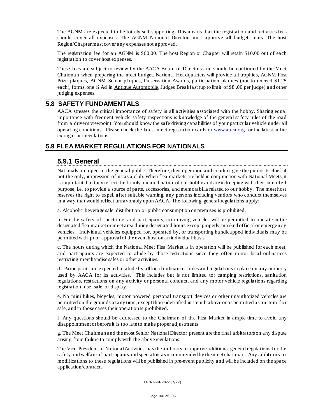The AGNM are expected to be totally self-supporting. This means that the registration and activities fees should cover all expenses. The AGNM National Director must approve all budget items. The host Region/Chapter must cover any expenses not approved.

The registration fee for an AGNM is \$60.00. The host Region or Chapter will retain \$10.00 out of each registration to cover host expenses.

These fees are subject to review by the AACA Board of Directors and should be confirmed by the Meet Chairman when preparing the meet budget. National Headquarters will provide all trophies, AGNM First Prize plaques, AGNM Senior pla ques, Preservation Awards, participation plaques (not to exceed \$1.25 each), forms, one ¼ Ad in Antique Automobile, Judges Breakfast (up to limit of \$8 .00 per judge) and other judging expenses.

#### **5.8 SAFETY FUNDAMENTALS**

AACA stresses the critical importance of safety in all activities associated with the hobby. Sharing equal importance with frequent vehicle safety inspections is knowledge of the general safety rules of the road from a driver's viewpoint. You should know the safe driving capabilities of your particular vehicle under all operating conditions. Please check the latest meet registra tion cards o[r www.aaca.org](http://www.aaca.org/) for the latest in fire extinguisher regulations.

#### **5.9 FLEA MARKET REGULATIONS FOR NATIONALS**

#### **5.9.1 General**

Nationals are open to the general public. Therefore, their operation and conduct give the public its chief, if not the only, impression of us as a club. When flea markets are held in conjunction with National Meets, it is important that they reflect the family oriented nature of our hobby and are in keeping with their intended purpose, i.e. to provide a source of parts, accessories, and memorabilia related to our hobby. The meet host reserves the right to expel, after suitable warning, any persons including vendors who conduct themselves in a way that would reflect unfavorably upon AACA. The following general regulations apply:

a. Alcoholic beverage sale, distribution or public consumption on premises is prohibited.

b. For the safety of spectators and participants, no moving vehicles will be permitted to operate in the designated flea market or meet area during designated hours except properly ma rked official or emergency vehicles. Individual vehicles equipped for, operated by, or transporting handicapped individuals may be permitted with prior approval of the event host on an individual basis.

c. The hours during which the National Meet Flea Market is in operation will be published for each meet, and participants are expected to abide by those restrictions since they often mirror local ordinances restricting merchandise sales or other activities.

d. Participants are expected to abide by all loca l ordinances, rules and regulations in place on any property used by AACA for its activities. This includes but is not limited to: camping restrictions, sanitation regulations, restrictions on any activity or personal conduct, and any motor vehicle regula tions regarding registration, use, sale, or display.

e. No mini bikes, bicycles, motor powered personal transport devices or other unauthorized vehicles are permitted on the grounds at any time, except those identified in item b above or as permitted as an item f or sale, and in those cases their operation is prohibited.

f. Any questions should be addressed to the Chairman of the Flea Market in ample time to avoid any disappointment or before it is too late to make proper adjustments.

g. The Meet Chairman and the most Senior National Director present are the final arbitrators on any dispute arising from failure to comply with the above regulations.

The Vice President of National Activities has the authority to approve additional general regulations for the safety and welfare of participants and spectators as recommended by the meet chairman. Any additions or modifications to these regulations will be published in pre-event publicity and will be included on the space application/contract.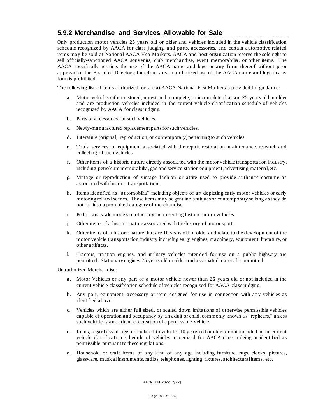## **5.9.2 Merchandise and Services Allowable for Sale**

Only production motor vehicles **25** years old or older and vehicles included in the vehicle classification schedule recognized by AACA for class judging, and parts, accessories, and certain automotive related items may be sold at National AACA Flea Markets. AACA and host organization reserve the sole right to sell officially-sanctioned AACA souvenirs, club merchandise, event memorabilia, or other items. The AACA specifically restricts the use of the AACA name and logo or any form thereof without prior approval of the Board of Directors; therefore, any unauthorized use of the AACA name and logo in any form is prohibited.

The following list of items authorized for sale at AACA National Flea Markets is provided for guidance:

- a. Motor vehicles either restored, unrestored, complete, or incomplete that are **25** years old or older and are production vehicles included in the current vehicle classification schedule of vehicles recognized by AACA for class judging.
- b. Parts or accessories for such vehicles.
- c. Newly-manufactured replacement parts for such vehicles.
- d. Literature (original, reproduction, or contemporary) pertaining to such vehicles.
- e. Tools, services, or equipment associated with the repair, restoration, maintenance, research and collecting of such vehicles.
- f. Other items of a historic nature directly associated with the motor vehicle transportation industry, including petroleum memorabilia , gas and service station equipment, advertising material, etc.
- g. Vintage or reproduction of vintage fashion or attire used to provide authentic costume as associated with historic transportation.
- h. Items identified as "automobilia" including objects of art depicting early motor vehicles or early motoring related scenes. These items may be genuine antiques or contemporary so long as they do not fall into a prohibited category of merchandise.
- i. Pedal cars, scale models or other toys representing historic motor vehicles.
- j. Other items of a historic nature associated with the history of motor sport.
- k. Other items of a historic nature that are 10 years old or older and relate to the development of the motor vehicle transportation industry including early engines, machinery, equipment, literature, or other artifacts.
- l. Tractors, traction engines, and military vehicles intended for use on a public highway are permitted. Stationary engines 25 years old or older and associated material is permitted.

Unauthorized Merchandise:

- a. Motor Vehicles or any part of a motor vehicle newer than **25** years old or not included in the current vehicle classification schedule of vehicles recognized for AACA class judging.
- b. Any part, equipment, accessory or item designed for use in connection with any vehicles as identified above.
- c. Vehicles which are either full sized, or scaled down imitations of otherwise permissible vehicles capable of operation and occupancy by an adult or child, commonly known a s "replicars," unless such vehicle is an authentic recreation of a permissible vehicle.
- d. Items, regardless of age, not related to vehicles 10 years old or older or not included in the current vehicle classification schedule of vehicles recognized for AACA class judging or identified as permissible pursuant to these regulations.
- e. Household or craft items of any kind of any age including furniture, rugs, clocks, pictures, glassware, musical instruments, radios, telephones, lighting fixtures, architectural items, etc.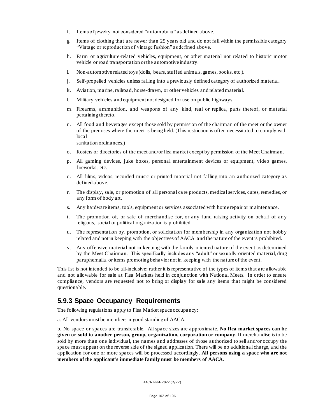- f. Items of jewelry not considered "automobilia" as defined above.
- g. Items of clothing that are newer than 25 years old and do not fall within the permissible category "Vintage or reproduction of vintage fashion" as defined above.
- h. Farm or agriculture-related vehicles, equipment, or other material not related to historic motor vehicle or road transportation or the automotive industry.
- i. Non-automotive related toys (dolls, bears, stuffed animals, games, books, etc.).
- j. Self-propelled vehicles unless falling into a previously defined category of authorized material.
- k. Aviation, marine, railroad, horse-drawn, or other vehicles and related material.
- l. Military vehicles and equipment not designed for use on public highways.
- m. Firearms, ammunition, and weapons of any kind, real or replica, parts thereof, or material pertaining thereto.
- n. All food and beverages except those sold by permission of the chairman of the meet or the owner of the premises where the meet is being held. (This restriction is often necessitated to comply with local

sanitation ordinances.)

- o. Rosters or directories of the meet and/or flea market except by permission of the Meet Chairman.
- p. All gaming devices, juke boxes, personal entertainment devices or equipment, video games, fireworks, etc.
- q. All films, videos, recorded music or printed material not falling into an authorized category as defined above.
- r. The display, sale, or promotion of all personal ca re products, medical services, cures, remedies, or any form of body art.
- s. Any hardware items, tools, equipment or services associated with home repair or maintenance.
- t. The promotion of, or sale of merchandise for, or any fund raising activity on behalf of any religious, social or political organization is prohibited.
- u. The representation by, promotion, or solicitation for membership in any organization not hobby related and not in keeping with the objectives of AACA and the nature of the event is prohibited.
- v. Any offensive material not in keeping with the family-oriented nature of the event as determined by the Meet Chairman. This specifically includes any "adult" or sexually-oriented material, drug paraphernalia, or items promoting behavior not in keeping with the nature of the event.

This list is not intended to be all-inclusive; rather it is representative of the types of items that are allowable and not allowable for sale at Flea Markets held in conjunction with National Meets. In order to ensure compliance, vendors are requested not to bring or display for sale any items that might be considered questionable.

#### **5.9.3 Space Occupancy Requirements**

The following regulations apply to Flea Market space occupancy:

a. All vendors must be members in good standing of AACA.

b. No space or spaces are transferable. All space sizes are approximate. **No flea market spaces can be given or sold to another person, group, organization, corporation or company.** If merchandise is to be sold by more than one individual, the names and addresses of those authorized to sell and/or occupy the space must appear on the reverse side of the signed application. There will be no additiona l charge, and the application for one or more spaces will be processed accordingly. **All persons using a space who are not members of the applicant's immediate family must be members of AACA.**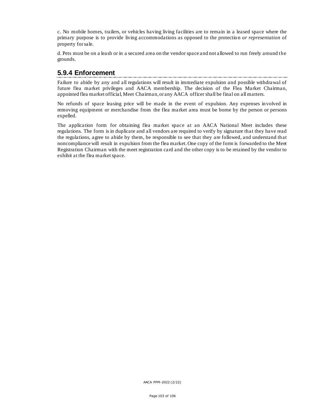c. No mobile homes, trailers, or vehicles having living facilities are to remain in a leased space where the primary purpose is to provide living accommodations as opposed to the protection *or representation* of property for sale.

d. Pets must be on a leash or in a secured area on the vendor space and not allowed to run freely around the grounds.

### **5.9.4 Enforcement**

Failure to abide by any and all regulations will result in immediate expulsion and possible withdrawal of future flea market privileges and AACA membership. The decision of the Flea Market Chairman, appointed flea market official, Meet Chairman, or any AACA officer shall be final on all matters.

No refunds of space leasing price will be made in the event of expulsion. Any expenses involved in removing equipment or merchandise from the flea market area must be borne by the person or persons expelled.

The application form for obtaining flea market space at an AACA National Meet includes these regulations. The form is in duplicate and all vendors are required to verify by signature that they have read the regulations, agree to abide by them, be responsible to see that they are followed, and understand that noncompliance will result in expulsion from the flea market. One copy of the form is forwarded to the Meet Registration Chairman with the meet registration card and the other copy is to be retained by the vendor to exhibit at the flea market space.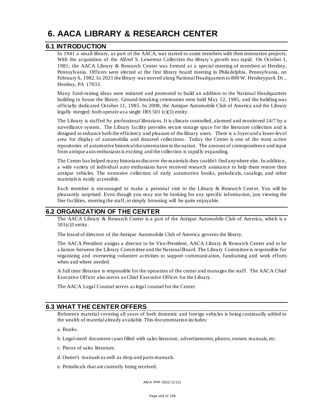# **6. AACA LIBRARY & RESEARCH CENTER**

#### **6.1 INTRODUCTION**

In 1941 a small library, as part of the AACA, was started to assist members with their restoration projects. With the acquisition of the Alfred S. Lewerenz Collection the library's growth was rapid. On October 1, 1981; the AACA Library & Research Center was formed at a special meeting of members at Hershey, Pennsylvania. Officers were elected at the first library board meeting in Philadelphia, Pennsylvania, on February 6, 1982. In 2021 the library was moved along National Headquarters to 800 W. Hersheypark Dr., Hershey, PA 17033.

Many fund-raising ideas were initiated and promoted to build an addition to the National Headquarters building to house the library. Ground-breaking ceremonies were held May 12, 1985, and the building was officially dedicated October 11, 1985. In 2008, the Antique Automobile Club of America and the Library legally merged; both operate as a single IRS 501 (c)(3) entity.

The Library is staffed by professional librarians. It is climate controlled, alarmed and monitored 24/7 by a surveillance system. The Library facility provides secure storage space for the literature collection and is designed to enhance both the efficiency and pleasure of the library users. There is a foyer and a lower-level area for display of automobilia and donated collections. Today the Center is one of the most active repositories of automotive historical documentation in the nation. The amount of correspondence and input from antique auto enthusiasts is exciting and the collection is rapidly expanding.

The Center has helped many historians discover the materials they couldn't find anywhere else. In addition, a wide variety of individual auto enthusiasts have received research assistance to help them restore their antique vehicles. The extensive collection of early automotive books, periodicals, catalogs, and other materials is easily accessible.

Each member is encouraged to make a personal visit to the Library  $\&$  Research Center. You will be pleasantly surprised. Even though you may not be looking for any specific informa tion, just viewing the fine facilities, meeting the staff, or simply browsing will be quite enjoyable.

### **6.2 ORGANIZATION OF THE CENTER**

The AACA Library & Research Center is a part of the Antique Automobile Club of America, which is a 501(c)3 entity.

The board of directors of the Antique Automobile Club of America governs the library.

The AACA President assigns a director to be Vice-President, AACA Library & Research Center and to be a liaison between the Library Committee and the National Board. The Library Committee is responsible for organizing and overseeing volunteer activities to support communication, fundraising and work efforts when and where needed.

A full time librarian is responsible for the operation of the center and manages the staff. The AACA Chief Executive Officer also serves as Chief Executive Officer for the Library.

The AACA Legal Counsel serves as lega l counsel for the Center.

### **6.3 WHAT THE CENTER OFFERS**

Reference material covering all years of both domestic and foreign vehicles is being continually added to the wealth of material already available. This documentation includes:

a. Books.

- b. Legal-sized document casesfilled with sales literature, advertisements, photos, owners manuals, etc.
- c. Pieces of sales literature.
- d. Owner's manuals as well as shop and parts manuals.
- e. Periodicals that are currently being received.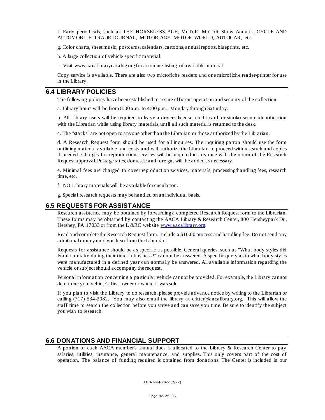f. Early periodicals, such as THE HORSELESS AGE, MoToR, MoToR Show Annuals, CYCLE AND AUTOMOBILE TRADE JOURNAL, MOTOR AGE, MOTOR WORLD, AUTOCAR, etc.

g. Color charts, sheet music, postcards, calendars, cartoons, annual reports, blueprints, etc.

h. A large collection of vehicle specific material.

i. Visit [www.aacalibrarycatalog.org](http://www.aacalibrarycatalog.org/) for an online listing of available material.

Copy service is available. There are also two microfiche readers and one microfiche reader-printer for use in the Library.

#### **6.4 LIBRARY POLICIES**

The following policies have been established to assure efficient operation and security of the co llection:

a. Library hours will be from 8:00 a.m. to 4:00 p.m., Monday through Saturday.

b. All Library users will be required to leave a driver's license, credit card, or similar secure identification with the Librarian while using library materials, until all such material is returned to the desk.

c. The "stacks" are not open to anyone other than the Librarian or those authorized by the Librarian.

d. A Research Request form should be used for all inquiries. The inquiring patron should use the form outlining material available and costs and will authorize the Librarian to proceed with research and copies if needed. Charges for reproduction services will be required in advance with the return of the Research Request approval. Postage rates, domestic and foreign, will be added as necessary.

e. Minimal fees are charged to cover reproduction services, materials, processing/handling fees, research time, etc.

f. NO Library materials will be available for circulation.

g. Special research requests may be handled on an individual basis.

#### **6.5 REQUESTS FOR ASSISTANCE**

Research assistance may be obtained by forwarding a completed Research Request form to the Librarian. These forms may be obtained by contacting the AACA Library & Research Center, 800 Hersheypark Dr., Hershey, PA 17033 or from the L &RC website [www.aacalibrary.org.](http://www.aacalibrary.org/)

Read and complete the Research Request form. Include a \$10.00 process and handling fee. Do not send any additional money until you hear from the Librarian.

Requests for assistance should be as specific as possible. General queries, such as "What body styles did Franklin make during their time in business?" cannot be answered. A specific query as to what body styles were manufactured in a defined year can normally be answered. All available information regarding the vehicle or subject should accompany the request.

Personal information concerning a particular vehicle cannot be provided. For example, the Library cannot determine your vehicle's first owner or where it was sold.

If you plan to visit the Libra ry to do research, please provide advance notice by writing to the Librarian or calling (717) 534-2082. You may also email the library at critter@aacalibrary.org. This will allow the staff time to search the collection before you arrive and can save you time. Be sure to identify the subject you wish to research.

#### **6.6 DONATIONS AND FINANCIAL SUPPORT**

A portion of each AACA member's annual dues is allocated to the Library & Research Center to pay salaries, utilities, insurance, general maintenance, and supplies. This only covers part of the cost of operation. The balance of funding required is obtained from donations. The Center is included in our